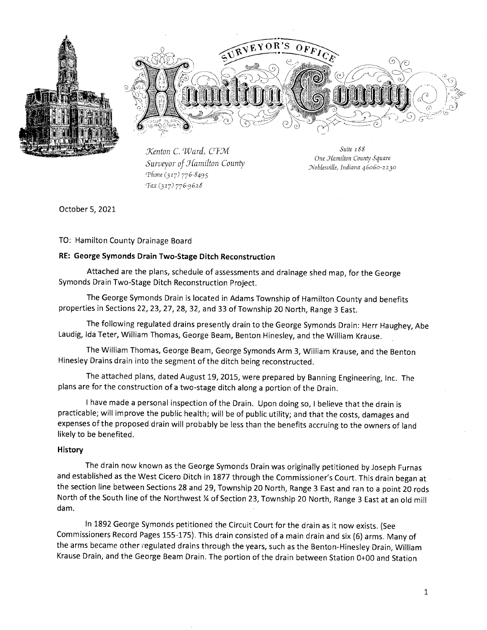



Kenton C. Ward, CFM Surveyor of Hamilton County Phone (317) 776-8495 Tax (317) 776-9628

Suite 188 One Hamilton County Square Noblesville, Indiana 46060-2230

October 5, 2021

TO: Hamilton County Drainage Board

#### RE: George Symonds Drain Two-Stage Ditch Reconstruction

Attached are the plans, schedule of assessments and drainage shed map, for the George Symonds Drain Two-Stage Ditch Reconstruction Project.

The George Symonds Drain is located in Adams Township of Hamilton County and benefits properties in Sections 22, 23, 27, 28, 32, and 33 of Township 20 North, Range 3 East.

The following regulated drains presently drain to the George Symonds Drain: Herr Haughey, Abe Laudig, Ida Teter, William Thomas, George Beam, Benton Hinesley, and the William Krause.

The William Thomas, George Beam, George Symonds Arm 3, William Krause, and the Benton Hinesley Drains drain into the segment of the ditch being reconstructed.

The attached plans, dated August 19, 2015, were prepared by Banning Engineering, Inc. The plans are for the construction of a two-stage ditch along a portion of the Drain.

I have made a personal inspection of the Drain. Upon doing so, I believe that the drain is practicable; will improve the public health; will be of public utility; and that the costs, damages and expenses of the proposed drain will probably be less than the benefits accruing to the owners of land likely to be benefited.

#### History

The drain now known as the George Symonds Drain was originally petitioned by Joseph Furnas and established as the West Cicero Ditch in 1877 through the Commissioner's Court. This drain began at the section line between Sections 28 and 29, Township 20 North, Range 3 East and ran to a point 20 rods North of the South line of the Northwest % of Section 23, Township 20 North, Range 3 East at an old mill dam.

In 1892 George Symonds petitioned the Circuit Court for the drain as it now exists. (See Commissioners Record Pages 155-175). This drain consisted of a main drain and six (6) arms. Many of the arms became other regulated drains through the years, such as the Benton-Hinesley Drain, William Krause Drain, and the George Beam Drain. The portion of the drain between Station 0+00 and Station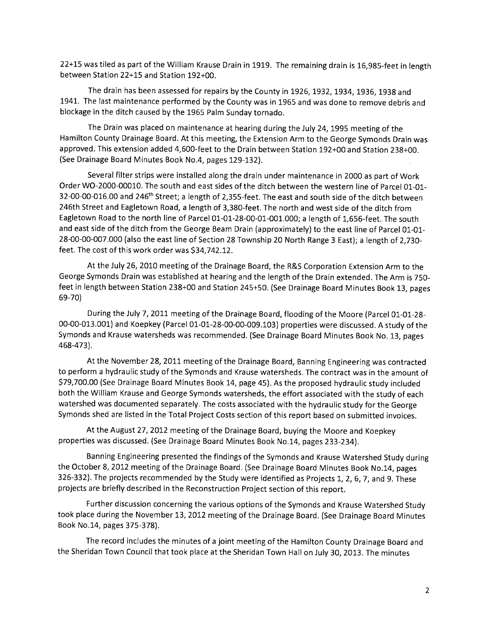22+15 was tiled as part of the William Krause Drain in 1919. The remaining drain is 16,985-feet in length between Station 22+15 and Station 192+00.

The drain has been assessed for repairs by the County in 1926, 1932, 1934, 1936, 1938 and 1941. The last maintenance performed by the County was in 1965 and was done to remove debris and blockage in the ditch caused by the 1965 Palm Sunday tornado.

The Drain was placed on maintenance at hearing during the July 24, 1995 meeting of the Hamilton County Drainage Board. At this meeting, the Extension Arm to the George Symonds Drain was approved. This extension added 4,600-feet to the Drain between Station 192+00 and Station 238+00. (See Drainage Board Minutes Book No.4, pages 129-132).

Several filter strips were installed along the drain under maintenance in 2000 as part of Work Order WO-2000-00010. The south and east sides of the ditch between the western line of Parcel 01-01-32-00-00-016.00 and 246<sup>th</sup> Street; a length of 2,355-feet. The east and south side of the ditch between 246th Street and Eagletown Road, a length of 3,380-feet. The north and west side of the ditch from Eagletown Road to the north line of Parcel 01-01-28-00-01-001.000; a length of 1,656-feet. The south and east side of the ditch from the George Beam Drain (approximately) to the east line of Parcel 01-01-28-00-00-007.000 (also the east line of Section 28 Township 20 North Range 3 East); a length of 2,730feet. The cost of this work order was \$34,742.12.

At the July 26, 2010 meeting of the Drainage Board, the R&S Corporation Extension Arm to the George Symonds Drain was established at hearing and the length of the Drain extended. The Arm is 750feet in length between Station 238+00 and Station 245+50. (See Drainage Board Minutes Book 13, pages 69-70)

During the July 7, 2011 meeting of the Drainage Board, flooding of the Moore (Parcel 01-01-28-00-00-013.001) and Koepkey (Parcel 01-01-28-00-00-009.103) properties were discussed. A study of the Symonds and Krause watersheds was recommended. (See Drainage Board Minutes Book No. 13, pages 468-473).

At the November 28, 2011 meeting of the Drainage Board, Banning Engineering was contracted to perform a hydraulic study of the Symonds and Krause watersheds. The contract was in the amount of \$79,700.00 (See Drainage Board Minutes Book 14, page 45). As the proposed hydraulic study included both the William Krause and George Symonds watersheds, the effort associated with the study of each watershed was documented separately. The costs associated with the hydraulic study for the George Symonds shed are listed in the Total Project Costs section of this report based on submitted invoices.

At the August 27, 2012 meeting of the Drainage Board, buying the Moore and Koepkey properties was discussed. (See Drainage Board Minutes Book No.14, pages 233-234).

Banning Engineering presented the findings of the Symonds and Krause Watershed Study during the October 8, 2012 meeting of the Drainage Board. (See Drainage Board Minutes Book No.14, pages 326-332). The projects recommended by the Study were identified as Projects 1, 2, 6, 7, and 9. These projects are briefly described in the Reconstruction Project section of this report.

Further discussion concerning the various options of the Symonds and Krause Watershed Study took place during the November 13, 2012 meeting of the Drainage Board. (See Drainage Board Minutes Book No.14, pages 375-378).

The record includes the minutes of a joint meeting of the Hamilton County Drainage Board and the Sheridan Town Council that took place at the Sheridan Town Hall on July 30, 2013. The minutes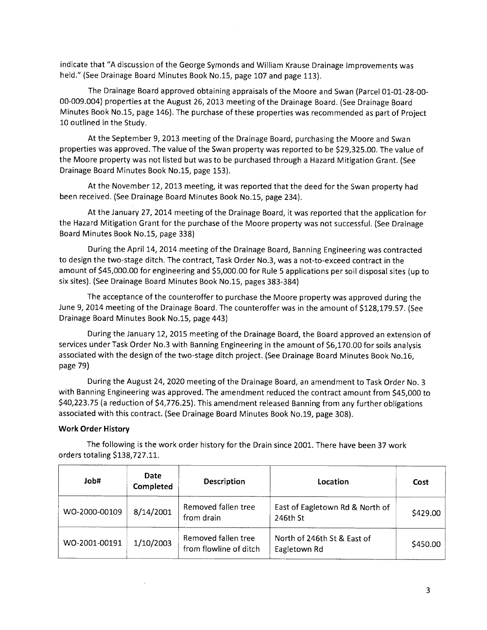indicate that "A discussion of the George Symonds and William Krause Drainage Improvements was held." (See Drainage Board Minutes Book No.15, page 107 and page 113).

The Drainage Board approved obtaining appraisals of the Moore and Swan (Parcel 01-01-28-00-00-009.004) properties at the August 26, 2013 meeting of the Drainage Board. (See Drainage Board Minutes Book No.15, page 146). The purchase of these properties was recommended as part of Project 10 outlined in the Study.

At the September 9, 2013 meeting of the Drainage Board, purchasing the Moore and Swan properties was approved. The value of the Swan property was reported to be \$29,325.00. The value of the Moore property was not listed but was to be purchased through a Hazard Mitigation Grant. (See Drainage Board Minutes Book No.15, page 153).

At the November 12, 2013 meeting, it was reported that the deed for the Swan property had been received. (See Drainage Board Minutes Book No.15, page 234).

At the January 27, 2014 meeting of the Drainage Board, it was reported that the application for the Hazard Mitigation Grant for the purchase of the Moore property was not successful. (See Drainage Board Minutes Book No.15, page 338)

During the April 14, 2014 meeting of the Drainage Board, Banning Engineering was contracted to design the two-stage ditch. The contract, Task Order No.3, was a not-to-exceed contract in the amount of \$45,000.00 for engineering and \$5,000.00 for Rule 5 applications per soil disposal sites (up to six sites). (See Drainage Board Minutes Book No.15, pages 383-384)

The acceptance of the counteroffer to purchase the Moore property was approved during the June 9, 2014 meeting of the Drainage Board. The counteroffer was in the amount of \$128,179.57. (See Drainage Board Minutes Book No.15, page 443)

During the January 12, 2015 meeting of the Drainage Board, the Board approved an extension of services under Task Order No.3 with Banning Engineering in the amount of \$6,170.00 for soils analysis associated with the design of the two-stage ditch project. (See Drainage Board Minutes Book No.16, page 79)

During the August 24, 2020 meeting of the Drainage Board, an amendment to Task Order No. 3 with Banning Engineering was approved. The amendment reduced the contract amount from \$45,000 to \$40,223.75 (a reduction of \$4,776.25). This amendment released Banning from any further obligations associated with this contract. (See Drainage Board Minutes Book No.19, page 308).

#### **Work Order History**

The following is the work order history for the Drain since 2001. There have been 37 work orders totaling \$138,727.11.

| Hdol          | Date<br>Completed | Description<br>Location                       |                                             | Cost     |
|---------------|-------------------|-----------------------------------------------|---------------------------------------------|----------|
| WO-2000-00109 | 8/14/2001         | Removed fallen tree<br>from drain             | East of Eagletown Rd & North of<br>246th St | \$429.00 |
| WO-2001-00191 | 1/10/2003         | Removed fallen tree<br>from flowline of ditch | North of 246th St & East of<br>Eagletown Rd | \$450.00 |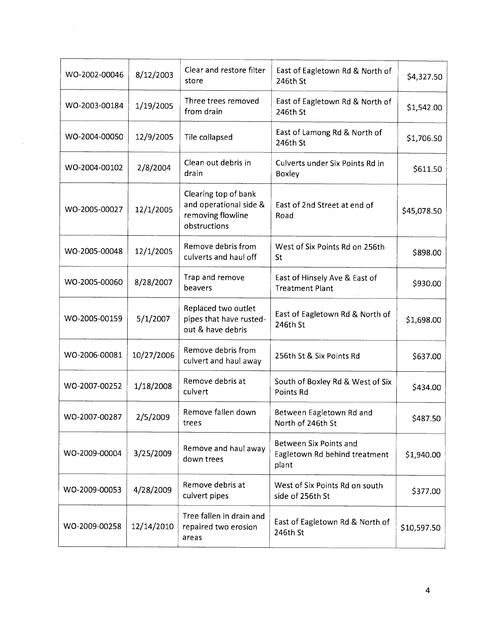| WO-2002-00046 | 8/12/2003  | Clear and restore filter<br>East of Eagletown Rd & North of<br>store<br>246th St    |                                                                  | \$4,327.50  |
|---------------|------------|-------------------------------------------------------------------------------------|------------------------------------------------------------------|-------------|
| WO-2003-00184 | 1/19/2005  | Three trees removed<br>from drain                                                   | East of Eagletown Rd & North of<br>246th St                      |             |
| WO-2004-00050 | 12/9/2005  | Tile collapsed                                                                      | East of Lamong Rd & North of<br>246th St                         | \$1,706.50  |
| WO-2004-00102 | 2/8/2004   | Clean out debris in<br>drain                                                        | Culverts under Six Points Rd in<br>Boxley                        | \$611.50    |
| WO-2005-00027 | 12/1/2005  | Clearing top of bank<br>and operational side &<br>removing flowline<br>obstructions | East of 2nd Street at end of<br>Road                             | \$45,078.50 |
| WO-2005-00048 | 12/1/2005  | Remove debris from<br>culverts and haul off                                         | West of Six Points Rd on 256th<br>St                             | \$898.00    |
| WO-2005-00060 | 8/28/2007  | Trap and remove<br>beavers                                                          | East of Hinsely Ave & East of<br><b>Treatment Plant</b>          | \$930.00    |
| WO-2005-00159 | 5/1/2007   | Replaced two outlet<br>pipes that have rusted-<br>out & have debris                 | East of Eagletown Rd & North of<br>246th St                      | \$1,698.00  |
| WO-2006-00081 | 10/27/2006 | Remove debris from<br>culvert and haul away                                         | 256th St & Six Points Rd                                         | \$637.00    |
| WO-2007-00252 | 1/18/2008  | Remove debris at<br>culvert                                                         | South of Boxley Rd & West of Six<br><b>Points Rd</b>             | \$434.00    |
| WO-2007-00287 | 2/5/2009   | Remove fallen down<br>trees                                                         | Between Eagletown Rd and<br>North of 246th St                    | \$487.50    |
| WO-2009-00004 | 3/25/2009  | Remove and haul away<br>down trees                                                  | Between Six Points and<br>Eagletown Rd behind treatment<br>plant | \$1,940.00  |
| WO-2009-00053 | 4/28/2009  | Remove debris at<br>culvert pipes                                                   | West of Six Points Rd on south<br>side of 256th St               | \$377.00    |
| WO-2009-00258 | 12/14/2010 | Tree fallen in drain and<br>repaired two erosion<br>areas                           | East of Eagletown Rd & North of<br>246th St                      | \$10,597.50 |

 $\hat{\mathcal{L}}$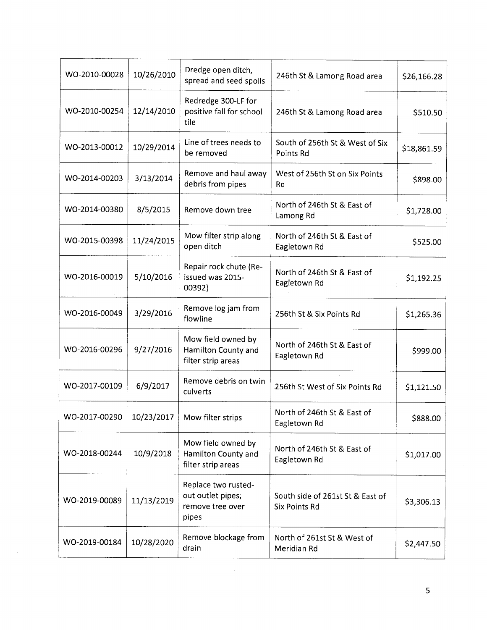| WO-2010-00028 | 10/26/2010 | Dredge open ditch,<br>spread and seed spoils                          | 246th St & Lamong Road area                              | \$26,166.28 |
|---------------|------------|-----------------------------------------------------------------------|----------------------------------------------------------|-------------|
| WO-2010-00254 | 12/14/2010 | Redredge 300-LF for<br>positive fall for school<br>tile               | 246th St & Lamong Road area                              | \$510.50    |
| WO-2013-00012 | 10/29/2014 | Line of trees needs to<br>be removed                                  | South of 256th St & West of Six<br>Points Rd             | \$18,861.59 |
| WO-2014-00203 | 3/13/2014  | Remove and haul away<br>debris from pipes                             | West of 256th St on Six Points<br>Rd                     | \$898.00    |
| WO-2014-00380 | 8/5/2015   | Remove down tree                                                      | North of 246th St & East of<br>Lamong Rd                 | \$1,728.00  |
| WO-2015-00398 | 11/24/2015 | Mow filter strip along<br>open ditch                                  | North of 246th St & East of<br>Eagletown Rd              | \$525.00    |
| WO-2016-00019 | 5/10/2016  | Repair rock chute (Re-<br>issued was 2015-<br>00392)                  | North of 246th St & East of<br>Eagletown Rd              | \$1,192.25  |
| WO-2016-00049 | 3/29/2016  | Remove log jam from<br>flowline                                       | 256th St & Six Points Rd                                 | \$1,265.36  |
| WO-2016-00296 | 9/27/2016  | Mow field owned by<br>Hamilton County and<br>filter strip areas       | North of 246th St & East of<br>Eagletown Rd              | \$999.00    |
| WO-2017-00109 | 6/9/2017   | Remove debris on twin<br>culverts                                     | 256th St West of Six Points Rd                           | \$1,121.50  |
| WO-2017-00290 | 10/23/2017 | Mow filter strips                                                     | North of 246th St & East of<br>Eagletown Rd              | \$888.00    |
| WO-2018-00244 | 10/9/2018  | Mow field owned by<br>Hamilton County and<br>filter strip areas       | North of 246th St & East of<br>Eagletown Rd              | \$1,017.00  |
| WO-2019-00089 | 11/13/2019 | Replace two rusted-<br>out outlet pipes;<br>remove tree over<br>pipes | South side of 261st St & East of<br><b>Six Points Rd</b> | \$3,306.13  |
| WO-2019-00184 | 10/28/2020 | Remove blockage from<br>drain                                         | North of 261st St & West of<br>Meridian Rd               | \$2,447.50  |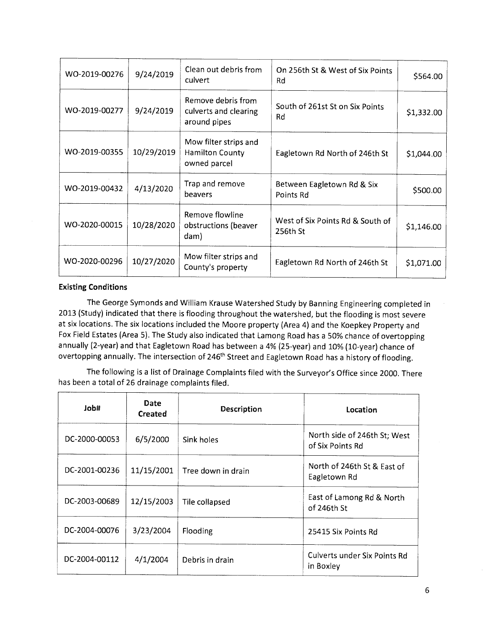| WO-2019-00276 | 9/24/2019  | Clean out debris from<br>culvert                                | On 256th St & West of Six Points<br>Rd       | \$564.00   |
|---------------|------------|-----------------------------------------------------------------|----------------------------------------------|------------|
| WO-2019-00277 | 9/24/2019  | Remove debris from<br>culverts and clearing<br>around pipes     | South of 261st St on Six Points<br>Rd        | \$1,332.00 |
| WO-2019-00355 | 10/29/2019 | Mow filter strips and<br><b>Hamilton County</b><br>owned parcel | Eagletown Rd North of 246th St               | \$1,044.00 |
| WO-2019-00432 | 4/13/2020  | Trap and remove<br>beavers                                      | Between Eagletown Rd & Six<br>Points Rd      | \$500.00   |
| WO-2020-00015 | 10/28/2020 | Remove flowline<br>obstructions (beaver<br>dam)                 | West of Six Points Rd & South of<br>256th St | \$1,146.00 |
| WO-2020-00296 | 10/27/2020 | Mow filter strips and<br>County's property                      | Eagletown Rd North of 246th St               | \$1,071.00 |

#### **Existing Conditions**

The George Symonds and William Krause Watershed Study by Banning Engineering completed in 2013 (Study) indicated that there is flooding throughout the watershed, but the flooding is most severe at six locations. The six locations included the Moore property (Area 4) and the Koepkey Property and Fox Field Estates (Area 5). The Study also indicated that Lamong Road has a 50% chance of overtopping annually (2-year) and that Eagletown Road has between a 4% (25-year) and 10% (10-year) chance of overtopping annually. The intersection of 246<sup>th</sup> Street and Eagletown Road has a history of flooding.

The following is a list of Drainage Complaints filed with the Surveyor's Office since 2000. There has been a total of 26 drainage complaints filed.

| #dol          | Date<br><b>Created</b> | Description        | Location                                         |
|---------------|------------------------|--------------------|--------------------------------------------------|
| DC-2000-00053 | 6/5/2000               | Sink holes         | North side of 246th St; West<br>of Six Points Rd |
| DC-2001-00236 | 11/15/2001             | Tree down in drain | North of 246th St & East of<br>Eagletown Rd      |
| DC-2003-00689 | 12/15/2003             | Tile collapsed     | East of Lamong Rd & North<br>of 246th St         |
| DC-2004-00076 | 3/23/2004              | Flooding           | 25415 Six Points Rd                              |
| DC-2004-00112 | 4/1/2004               | Debris in drain    | Culverts under Six Points Rd<br>in Boxley        |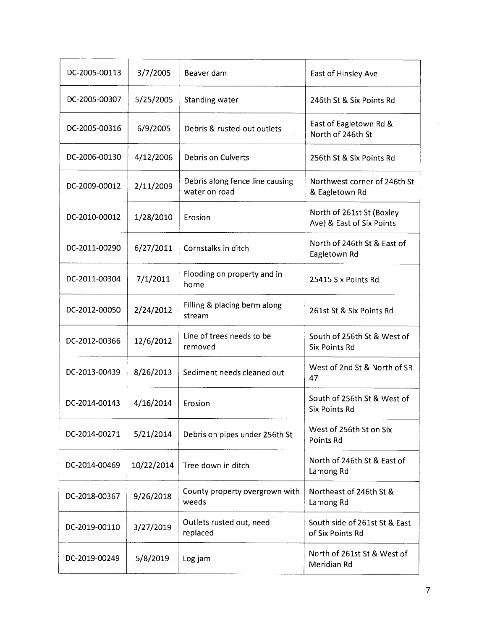| DC-2005-00113 | 3/7/2005   | Beaver dam                                       | East of Hinsley Ave                                    |
|---------------|------------|--------------------------------------------------|--------------------------------------------------------|
| DC-2005-00307 | 5/25/2005  | Standing water                                   | 246th St & Six Points Rd                               |
| DC-2005-00316 | 6/9/2005   | Debris & rusted-out outlets                      | East of Eagletown Rd &<br>North of 246th St            |
| DC-2006-00130 | 4/12/2006  | <b>Debris on Culverts</b>                        | 256th St & Six Points Rd                               |
| DC-2009-00012 | 2/11/2009  | Debris along fence line causing<br>water on road | Northwest corner of 246th St<br>& Eagletown Rd         |
| DC-2010-00012 | 1/28/2010  | Erosion                                          | North of 261st St (Boxley<br>Ave) & East of Six Points |
| DC-2011-00290 | 6/27/2011  | Cornstalks in ditch                              | North of 246th St & East of<br>Eagletown Rd            |
| DC-2011-00304 | 7/1/2011   | Flooding on property and in<br>home              | 25415 Six Points Rd                                    |
| DC-2012-00050 | 2/24/2012  | Filling & placing berm along<br>stream           | 261st St & Six Points Rd                               |
| DC-2012-00366 | 12/6/2012  | Line of trees needs to be<br>removed             | South of 256th St & West of<br><b>Six Points Rd</b>    |
| DC-2013-00439 | 8/26/2013  | Sediment needs cleaned out                       | West of 2nd St & North of SR<br>47                     |
| DC-2014-00143 | 4/16/2014  | Erosion                                          | South of 256th St & West of<br><b>Six Points Rd</b>    |
| DC-2014-00271 | 5/21/2014  | Debris on pipes under 256th St                   | West of 256th St on Six<br><b>Points Rd</b>            |
| DC-2014-00469 | 10/22/2014 | Tree down in ditch                               | North of 246th St & East of<br>Lamong Rd               |
| DC-2018-00367 | 9/26/2018  | County property overgrown with<br>weeds          | Northeast of 246th St &<br>Lamong Rd                   |
| DC-2019-00110 | 3/27/2019  | Outlets rusted out, need<br>replaced             | South side of 261st St & East<br>of Six Points Rd      |
| DC-2019-00249 | 5/8/2019   | Log jam                                          | North of 261st St & West of<br>Meridian Rd             |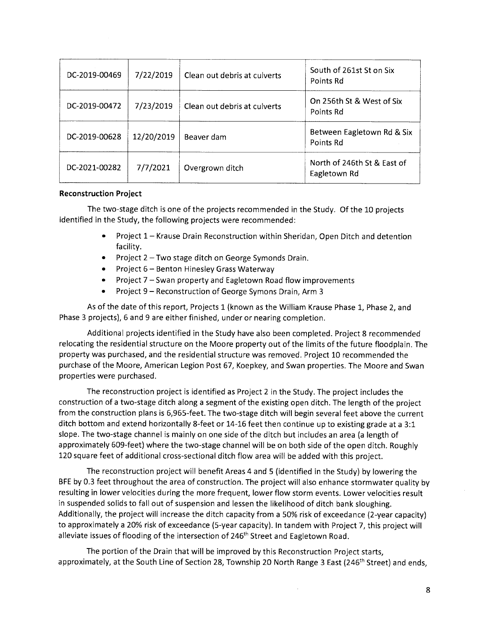| DC-2019-00469 | 7/22/2019  | Clean out debris at culverts | South of 261st St on Six<br>Points Rd       |
|---------------|------------|------------------------------|---------------------------------------------|
| DC-2019-00472 | 7/23/2019  | Clean out debris at culverts | On 256th St & West of Six<br>Points Rd      |
| DC-2019-00628 | 12/20/2019 | Beaver dam                   | Between Eagletown Rd & Six<br>Points Rd     |
| DC-2021-00282 | 7/7/2021   | Overgrown ditch              | North of 246th St & East of<br>Eagletown Rd |

#### **Reconstruction Project**

The two-stage ditch is one of the projects recommended in the Study. Of the 10 projects identified in the Study, the following projects were recommended:

- $\bullet$ Project 1 - Krause Drain Reconstruction within Sheridan, Open Ditch and detention facility.
- Project  $2$  Two stage ditch on George Symonds Drain.
- Project 6 Benton Hinesley Grass Waterway
- Project 7 Swan property and Eagletown Road flow improvements
- Project 9 Reconstruction of George Symons Drain, Arm 3

As of the date of this report, Projects 1 (known as the William Krause Phase 1, Phase 2, and Phase 3 projects), 6 and 9 are either finished, under or nearing completion.

Additional projects identified in the Study have also been completed. Project 8 recommended relocating the residential structure on the Moore property out of the limits of the future floodplain. The property was purchased, and the residential structure was removed. Project 10 recommended the purchase of the Moore, American Legion Post 67, Koepkey, and Swan properties. The Moore and Swan properties were purchased.

The reconstruction project is identified as Project 2 in the Study. The project includes the construction of a two-stage ditch along a segment of the existing open ditch. The length of the project from the construction plans is 6,965-feet. The two-stage ditch will begin several feet above the current ditch bottom and extend horizontally 8-feet or 14-16 feet then continue up to existing grade at a 3:1 slope. The two-stage channel is mainly on one side of the ditch but includes an area (a length of approximately 609-feet) where the two-stage channel will be on both side of the open ditch. Roughly 120 square feet of additional cross-sectional ditch flow area will be added with this project.

The reconstruction project will benefit Areas 4 and 5 (identified in the Study) by lowering the BFE by 0.3 feet throughout the area of construction. The project will also enhance stormwater quality by resulting in lower velocities during the more frequent, lower flow storm events. Lower velocities result in suspended solids to fall out of suspension and lessen the likelihood of ditch bank sloughing. Additionally, the project will increase the ditch capacity from a 50% risk of exceedance (2-year capacity) to approximately a 20% risk of exceedance (5-year capacity). In tandem with Project 7, this project will alleviate issues of flooding of the intersection of 246<sup>th</sup> Street and Eagletown Road.

The portion of the Drain that will be improved by this Reconstruction Project starts, approximately, at the South Line of Section 28, Township 20 North Range 3 East (246<sup>th</sup> Street) and ends,

 $\bar{z}$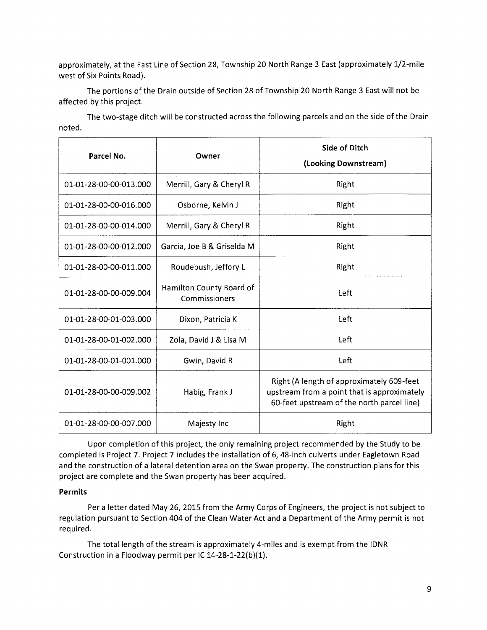approximately, at the East Line of Section 28, Township 20 North Range 3 East (approximately 1/2-mile west of Six Points Road).

The portions of the Drain outside of Section 28 of Township 20 North Range 3 East will not be affected by this project.

The two-stage ditch will be constructed across the following parcels and on the side of the Drain noted.

| Parcel No.             | Owner                                     | <b>Side of Ditch</b><br>(Looking Downstream)                                                                                           |
|------------------------|-------------------------------------------|----------------------------------------------------------------------------------------------------------------------------------------|
| 01-01-28-00-00-013.000 | Merrill, Gary & Cheryl R                  | Right                                                                                                                                  |
| 01-01-28-00-00-016.000 | Osborne, Kelvin J                         | Right                                                                                                                                  |
| 01-01-28-00-00-014.000 | Merrill, Gary & Cheryl R                  | Right                                                                                                                                  |
| 01-01-28-00-00-012.000 | Garcia, Joe B & Griselda M                | Right                                                                                                                                  |
| 01-01-28-00-00-011.000 | Roudebush, Jeffory L                      | Right                                                                                                                                  |
| 01-01-28-00-00-009.004 | Hamilton County Board of<br>Commissioners | Left                                                                                                                                   |
| 01-01-28-00-01-003.000 | Dixon, Patricia K                         | Left                                                                                                                                   |
| 01-01-28-00-01-002.000 | Zola, David J & Lisa M                    | Left                                                                                                                                   |
| 01-01-28-00-01-001.000 | Gwin, David R                             | Left                                                                                                                                   |
| 01-01-28-00-00-009.002 | Habig, Frank J                            | Right (A length of approximately 609-feet<br>upstream from a point that is approximately<br>60-feet upstream of the north parcel line) |
| 01-01-28-00-00-007.000 | Majesty Inc                               | Right                                                                                                                                  |

Upon completion of this project, the only remaining project recommended by the Study to be completed is Project 7. Project 7 includes the installation of 6, 48-inch culverts under Eagletown Road and the construction of a lateral detention area on the Swan property. The construction plans for this project are complete and the Swan property has been acquired.

#### **Permits**

Per a letter dated May 26, 2015 from the Army Corps of Engineers, the project is not subject to regulation pursuant to Section 404 of the Clean Water Act and a Department of the Army permit is not required.

The total length of the stream is approximately 4-miles and is exempt from the IDNR Construction in a Floodway permit per IC 14-28-1-22(b)(1).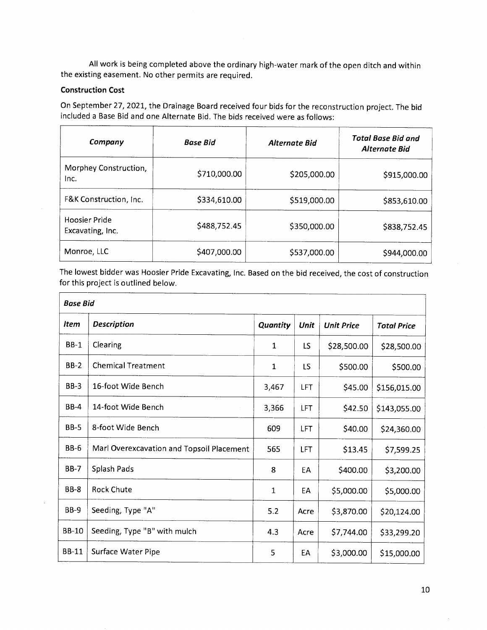All work is being completed above the ordinary high-water mark of the open ditch and within the existing easement. No other permits are required.

#### **Construction Cost**

On September 27, 2021, the Drainage Board received four bids for the reconstruction project. The bid included a Base Bid and one Alternate Bid. The bids received were as follows:

| Company                           | <b>Base Bid</b> | <b>Alternate Bid</b> | Total Base Bid and<br><b>Alternate Bid</b> |
|-----------------------------------|-----------------|----------------------|--------------------------------------------|
| Morphey Construction,<br>Inc.     | \$710,000.00    | \$205,000.00         | \$915,000.00                               |
| F&K Construction, Inc.            | \$334,610.00    | \$519,000.00         | \$853,610.00                               |
| Hoosier Pride<br>Excavating, Inc. | \$488,752.45    | \$350,000.00         | \$838,752.45                               |
| Monroe, LLC                       | \$407,000.00    | \$537,000.00         | \$944,000.00                               |

The lowest bidder was Hoosier Pride Excavating, Inc. Based on the bid received, the cost of construction for this project is outlined below.

|              | <b>Base Bid</b>                           |              |            |                   |                    |  |
|--------------|-------------------------------------------|--------------|------------|-------------------|--------------------|--|
| <b>Item</b>  | <b>Description</b>                        | Quantity     | Unit       | <b>Unit Price</b> | <b>Total Price</b> |  |
| <b>BB-1</b>  | Clearing                                  | $\mathbf{1}$ | <b>LS</b>  | \$28,500.00       | \$28,500.00        |  |
| $BB-2$       | <b>Chemical Treatment</b>                 | 1            | LS         | \$500.00          | \$500.00           |  |
| $BB-3$       | 16-foot Wide Bench                        | 3,467        | <b>LFT</b> | \$45.00           | \$156,015.00       |  |
| <b>BB-4</b>  | 14-foot Wide Bench                        | 3,366        | LFT        | \$42.50           | \$143,055.00       |  |
| <b>BB-5</b>  | 8-foot Wide Bench                         | 609          | LFT        | \$40.00           | \$24,360.00        |  |
| <b>BB-6</b>  | Marl Overexcavation and Topsoil Placement | 565          | LFT        | \$13.45           | \$7,599.25         |  |
| $BB-7$       | Splash Pads                               | 8            | EA         | \$400.00          | \$3,200.00         |  |
| <b>BB-8</b>  | <b>Rock Chute</b>                         | $\mathbf{1}$ | EA         | \$5,000.00        | \$5,000.00         |  |
| $BB-9$       | Seeding, Type "A"                         | 5.2          | Acre       | \$3,870.00        | \$20,124.00        |  |
| <b>BB-10</b> | Seeding, Type "B" with mulch              | 4.3          | Acre       | \$7,744.00        | \$33,299.20        |  |
| <b>BB-11</b> | Surface Water Pipe                        | 5            | EA         | \$3,000.00        | \$15,000.00        |  |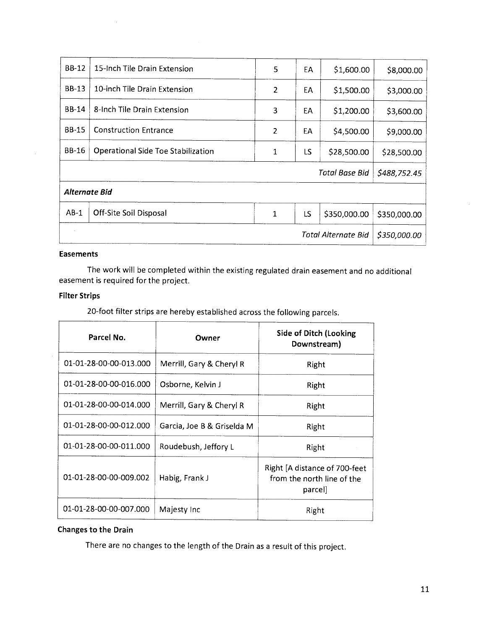| <b>BB-12</b>         | 15-Inch Tile Drain Extension       | 5              | EA | \$1,600.00                 | \$8,000.00   |
|----------------------|------------------------------------|----------------|----|----------------------------|--------------|
| $BB-13$              | 10-inch Tile Drain Extension       | $\overline{2}$ | EA | \$1,500.00                 | \$3,000.00   |
| <b>BB-14</b>         | 8-Inch Tile Drain Extension        | 3              | EA | \$1,200.00                 | \$3,600.00   |
| <b>BB-15</b>         | <b>Construction Entrance</b>       | 2              | EA | \$4,500.00                 | \$9,000.00   |
| BB-16                | Operational Side Toe Stabilization | 1              | LS | \$28,500.00                | \$28,500.00  |
|                      |                                    |                |    | <b>Total Base Bid</b>      | \$488,752.45 |
| <b>Alternate Bid</b> |                                    |                |    |                            |              |
| $AB-1$               | Off-Site Soil Disposal             | $\mathbf{1}$   | LS | \$350,000.00               | \$350,000.00 |
|                      |                                    |                |    | <b>Total Alternate Bid</b> | \$350,000.00 |

#### **Easements**

The work will be completed within the existing regulated drain easement and no additional easement is required for the project.

#### **Filter Strips**

20-foot filter strips are hereby established across the following parcels.

| Parcel No.             | Owner                      | Side of Ditch (Looking<br>Downstream)                                  |
|------------------------|----------------------------|------------------------------------------------------------------------|
| 01-01-28-00-00-013.000 | Merrill, Gary & Cheryl R   | Right                                                                  |
| 01-01-28-00-00-016.000 | Osborne, Kelvin J          | Right                                                                  |
| 01-01-28-00-00-014.000 | Merrill, Gary & Cheryl R   | Right                                                                  |
| 01-01-28-00-00-012.000 | Garcia, Joe B & Griselda M | Right                                                                  |
| 01-01-28-00-00-011.000 | Roudebush, Jeffory L       | Right                                                                  |
| 01-01-28-00-00-009.002 | Habig, Frank J             | Right [A distance of 700-feet<br>from the north line of the<br>parcell |
| 01-01-28-00-00-007.000 | Majesty Inc                | Right                                                                  |

#### Changes to the Drain

There are no changes to the length of the Drain as a result of this project.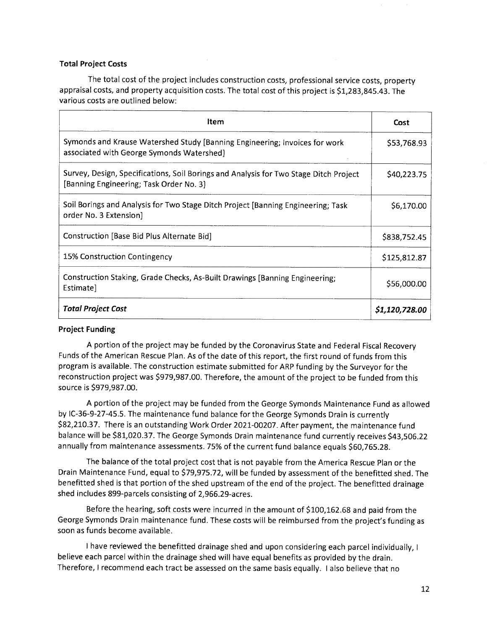#### **Total Project Costs**

The total cost of the project includes construction costs, professional service costs, property appraisal costs, and property acquisition costs. The total cost of this project is \$1,283,845.43. The various costs are outlined below:

| Item                                                                                                                             | Cost           |
|----------------------------------------------------------------------------------------------------------------------------------|----------------|
| Symonds and Krause Watershed Study [Banning Engineering; Invoices for work<br>associated with George Symonds Watershed)          | \$53,768.93    |
| Survey, Design, Specifications, Soil Borings and Analysis for Two Stage Ditch Project<br>[Banning Engineering; Task Order No. 3] | \$40,223.75    |
| Soil Borings and Analysis for Two Stage Ditch Project [Banning Engineering; Task<br>order No. 3 Extension)                       | \$6,170.00     |
| Construction [Base Bid Plus Alternate Bid]                                                                                       | \$838,752.45   |
| 15% Construction Contingency                                                                                                     | \$125,812.87   |
| Construction Staking, Grade Checks, As-Built Drawings [Banning Engineering;<br>Estimate]                                         | \$56,000.00    |
| <b>Total Project Cost</b>                                                                                                        | \$1,120,728.00 |

#### **Project Funding**

A portion of the project may be funded by the Coronavirus State and Federal Fiscal Recovery Funds of the American Rescue Plan. As of the date of this report, the first round of funds from this program is available. The construction estimate submitted for ARP funding by the Surveyor for the reconstruction project was \$979,987.00. Therefore, the amount of the project to be funded from this source is \$979,987.00.

A portion of the project may be funded from the George Symonds Maintenance Fund as allowed by IC-36-9-27-45.5. The maintenance fund balance for the George Symonds Drain is currently \$82,210.37. There is an outstanding Work Order 2021-00207. After payment, the maintenance fund balance will be \$81,020.37. The George Symonds Drain maintenance fund currently receives \$43,506.22 annually from maintenance assessments. 75% of the current fund balance equals \$60,765.28.

The balance of the total project cost that is not payable from the America Rescue Plan or the Drain Maintenance Fund, equal to \$79,975.72, will be funded by assessment of the benefitted shed. The benefitted shed is that portion of the shed upstream of the end of the project. The benefitted drainage shed includes 899-parcels consisting of 2,966.29-acres.

Before the hearing, soft costs were incurred in the amount of \$100,162.68 and paid from the George Symonds Drain maintenance fund. These costs will be reimbursed from the project's funding as soon as funds become available.

I have reviewed the benefitted drainage shed and upon considering each parcel individually, I believe each parcel within the drainage shed will have equal benefits as provided by the drain. Therefore, I recommend each tract be assessed on the same basis equally. I also believe that no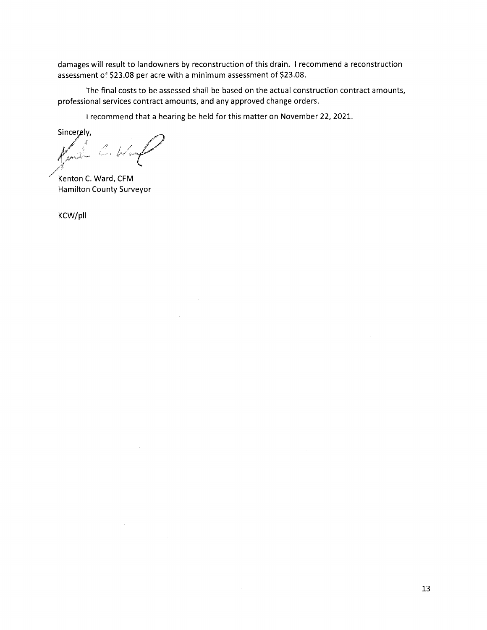damages will result to landowners by reconstruction of this drain. I recommend a reconstruction assessment of \$23.08 per acre with a minimum assessment of \$23.08.

The final costs to be assessed shall be based on the actual construction contract amounts, professional services contract amounts, and any approved change orders.

I recommend that a hearing be held for this matter on November 22, 2021.

Sincerely,

 $\mathbb{Z}$  , for

Kenton C. Ward, CFM **Hamilton County Surveyor** 

KCW/pll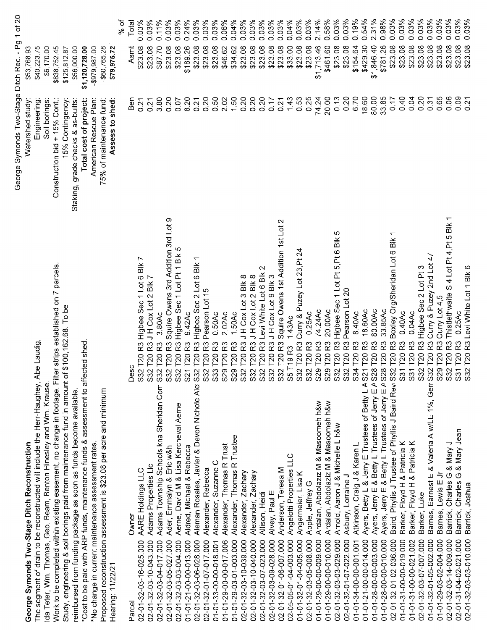|                                                                                                                                                         |                                                                                           | George Symonds Two-Stage Ditch Rec. - Pg 1 of 20 |                                      |
|---------------------------------------------------------------------------------------------------------------------------------------------------------|-------------------------------------------------------------------------------------------|--------------------------------------------------|--------------------------------------|
| George Symonds Two-Stage Ditch Reconstruction                                                                                                           |                                                                                           | Watershed study                                  | \$53,768.93                          |
| The segment of drain to be reconstructed will include the Herr-Haughey, Abe Laudig<br>Ida Teter, Wm. Thomas, Geo. Beam, Benton Hinesley and Wm. Krause. |                                                                                           | Soil borings:<br>Engineering                     | \$40,223.75<br>\$6,170.00            |
| Work to be completed within existing easement, no change in footage. Filter strips established on 7 parcels                                             |                                                                                           | Construction bid + 15% Cont.:                    | \$838,752.45                         |
| Study, engineering & soil borings paid from maintenance fund in amount of                                                                               | \$100,162.68. To be                                                                       | 15% Contingency                                  | \$125,812.87                         |
| reimbursed from funding package as soon as funds become available.                                                                                      |                                                                                           | Staking, grade checks & as-builts:               | \$56,000.00                          |
| *Cost to be paid with ARP funds, maintenance funds & assessment to affected shed                                                                        |                                                                                           | Total cost of project:                           | \$1,120,728.00                       |
| *No change in current maintenance assessment rates.                                                                                                     |                                                                                           | American Rescue Plan:                            | $-$979,987.00$                       |
| Proposed reconstruction assessment is \$23.08 per acre and minimum                                                                                      |                                                                                           | 75% of maintenance fund:                         | $-$60,765.28$                        |
| Hearing: 11/22/21                                                                                                                                       |                                                                                           | Assess to shed:                                  | \$79,975.72                          |
|                                                                                                                                                         |                                                                                           |                                                  | ্ব<br>১                              |
| Owner<br>Parcel                                                                                                                                         | ပ<br>Des                                                                                  | Ben                                              | Total<br>Asmt                        |
| AARE Holdings LLC<br>02-01-32-03-16-025.000                                                                                                             | R3 Higbee Sec 1 Lot 6 Blk 7<br>T20<br>S <sub>32</sub>                                     | 0.21                                             | 0.03%<br>\$23.08                     |
| Adams Properties Lic<br>02-01-32-03-10-043.000                                                                                                          | R3 J H Cox Lot 2 Blk 7<br>T20<br>S <sub>32</sub>                                          | 0.21                                             | 0.03%<br>\$23.08                     |
| Adams Township Schools kna Sheridan Com S32<br>02-01-32-03-04-017.000                                                                                   | 3.80Ac<br>R3<br>T20                                                                       | 3.80                                             | 0.11%<br>\$87.70                     |
| Ader, Emmalyn & Eric w&h<br>02-01-32-03-05-027.000                                                                                                      | R3 Squire Owens 3rd Addition 3rd Lot 9<br>T20<br>S32                                      | 0.20                                             | 0.03%<br>\$23.08                     |
| Aerne, David M & Lisa Kercheval Aerne<br>02-01-32-03-03-004.000                                                                                         | R3 Higbee Sec 1 Lot Pt 1 Blk 5<br>T20<br>S <sub>32</sub>                                  | 0.07                                             | 0.03%<br>\$23.08                     |
| Aldred, Michael & Rebecca<br>01-01-21-00-00-013.000                                                                                                     | $9.42$ Ac<br>R3<br><b>T20</b><br>S <sub>21</sub>                                          | 8.20                                             | 0.24%<br>\$189.26                    |
| Aleman Rosales, Javier & Devon Nichole Alei<br>02-01-32-03-06-028.000                                                                                   | R3 Higbee Sec 2 Lot 6 Blk<br><b>P20</b><br>S32                                            | 0.21                                             | 0.03%<br>\$23.08                     |
| Alexander, Rebecca<br>02-01-32-01-07-017.000                                                                                                            | Pearson Lot 15<br>R3<br>T20<br>S <sub>32</sub>                                            | 0.20                                             | 0.03%<br>\$23.08                     |
| Alexander, Suzanne C<br>01-01-33-00-00-018.001                                                                                                          | 0.50Ac<br>R3<br>T <sub>20</sub><br>S33                                                    | 0.50                                             | 0.03%<br>\$23.08                     |
| Alexander, Thomas R Trust<br>01-01-29-00-00-017.006                                                                                                     | 2.02Ac<br>R3<br>T20<br>S29                                                                | 2.02                                             | $0.06\%$<br>\$46.62                  |
| Alexander, Thomas R Trustee<br>01-01-29-03-01-003.000                                                                                                   | 1.50Ac<br>53<br><b>P20</b><br>S <sub>29</sub>                                             | 1.50                                             | 0.04%<br>\$34.62                     |
| Alexander, Zachary<br>02-01-32-03-10-039.000                                                                                                            | R3JHCoxLot3Blk8<br>T20<br>S <sub>32</sub>                                                 | 0.20                                             | 0.03%<br>\$23.08                     |
| Alexander, Zachary<br>02-01-32-03-10-040.000                                                                                                            | T20 R3 J H Cox Lot 2 Blk 8<br>S <sub>32</sub>                                             | 0.20                                             | 0.03%<br>\$23.08                     |
| Allison, Heidi<br>02-01-32-03-07-023.000                                                                                                                | T20 R3 Levi White Lot 6 Blk 2<br>S <sub>32</sub>                                          | 0.20                                             | 0.03%<br>\$23.08                     |
| Alvey, Paul E<br>02-01-32-03-09-028.000                                                                                                                 | T20 R3 J H Cox Lot 9 Blk 3<br>S <sub>32</sub>                                             | 0.17                                             | 0.03%<br>\$23.08                     |
| Anderson, Teresa M<br>02-01-32-01-06-007.000                                                                                                            | T20 R3 Squire Owens 1st Addition 1st Lot 2<br>\$32                                        | 0.21                                             | 0.03%<br>\$23.08                     |
| Angelotti Properties LLC<br>02-05-05-01-04-003.000                                                                                                      | 1.43AC<br>T19 <sub>R3</sub><br><b>S5</b>                                                  | 1.43                                             | 0.04%<br>\$33.00                     |
| Angermeier, Lisa K<br>01-01-32-01-04-005.000                                                                                                            | T20 R3 Curry & Puzey Lot 23, Pt 2<br>S <sub>32</sub>                                      | 0.53                                             | 0.03%<br>\$23.08                     |
| Apple, Jeffrey G<br>02-01-32-03-05-008 000                                                                                                              | 0.25Ac<br>T20 <sub>R3</sub><br>S <sub>32</sub>                                            | 0.25                                             | 0.03%<br>\$23.08                     |
| Ardalan, Abdolaziz M & Masoomeh h&w<br>01-01-29-00-00-009.000                                                                                           | 74.24Ac<br><b>T20 R3</b><br>S <sub>29</sub>                                               | 74.24                                            | 2.14%<br>\$1,713.46                  |
| Ardalan, Abdolaziz M & Masoomeh h&w<br>01-01-29-00-00-010.000                                                                                           | 20.00Ac<br><b>T20R3</b><br>S <sub>29</sub>                                                | 20.00                                            | 0.58%<br>\$461.60                    |
| Arnold, Aaron J & Michelle L h&w<br>02-01-32-03-03-029.000                                                                                              | T20 R3 Higbee Sec 1 Lot Pt 5, Pt 6 Blk 5<br>S32                                           | 0.13                                             | 0.03%<br>\$23.08                     |
| Asbury, Lorraine J<br>02-01-32-01-07-022.000                                                                                                            | T20 R3 Pearson Lot 20<br>S <sub>32</sub>                                                  | 0.20                                             | 0.03%<br>\$23.08                     |
| Atkinson, Craig J & Karen L<br>01-01-34-00-00-001.001                                                                                                   | 8.40Ac<br>T20 <sub>R3</sub><br>\$34                                                       | 6.70                                             | 0.19%<br>\$154.64                    |
| Ayers, Betty L & Jerry E Trustees of Betty L A S21<br>Ayers, Jerry E & Betty L Trustees of Jerry E A S28<br>01-01-21-00-00-014.000                      | 18.60Ac<br><b>T20 R3</b>                                                                  | 18.60                                            | 0.54%<br>\$429.30                    |
| 01-01-28-00-00-003.000                                                                                                                                  | 80.00Ac<br>T20 <sub>R3</sub>                                                              | 80.00                                            | 2.31%<br>\$1,846.40                  |
| Ayers, Jerry E & Betty L Trustees of Jerry E A S28<br>01-01-28-00-00-010.000                                                                            | 33.85Ac<br>T20 <sub>R3</sub>                                                              | 33.85                                            | 0.98%<br>\$781.26                    |
| Baird, Phyllis J Trustee of Phyllis J Baird Rev S32<br>02-01-32-01-02-036.000                                                                           | $\overline{ }$<br>Boxley Org/Sheridan Lot 6 Blk<br>T20 <sub>R3</sub>                      | 0.17                                             | 0.03%<br>\$23.08                     |
| Barker, Floyd H & Patricia K<br>Barker, Floyd H & Patricia K<br>01-01-31-00-00-019.000                                                                  | 0.40Ac<br>T20 <sub>R3</sub><br>$\overline{\text{S}}$                                      | 0.40                                             | 0.03%<br>\$23.08                     |
| 01-01-31-00-00-021.002                                                                                                                                  | 0.04Ac<br>T20 <sub>R3</sub><br>$\overline{5}$                                             | 0.04                                             | 0.03%<br>\$23.08                     |
| Barker, Luke<br>02-01-32-03-07-007.000                                                                                                                  | Higbee Sec 2 Lot Pt 3<br><b>T20R3</b><br>S <sub>32</sub>                                  | 0.20                                             | 0.03%<br>\$23.08                     |
| Earnest E & Valeria A w/LE 1%, Gerr S32<br>Barnes,<br>01-01-32-01-05-002.000                                                                            | $\overline{47}$<br>Curry & Puzey 2nd Lot<br><b>T20 R3</b>                                 | 0.31                                             | 0.03%<br>\$23.08                     |
| Barnes, Lewis E Jr<br>01-01-29-03-02-004.000                                                                                                            | Curry Lot 4,5<br><b>T20R3</b><br>S29                                                      | 0.65                                             | 0.03%<br>\$23.08                     |
| Charles G & Mary J<br>Barrick,<br>02-01-32-03-14-009.000                                                                                                | Thistlethwaite S 4 Lot Pt 4, Pt 5 Blk 1<br>R3<br>T <sub>20</sub><br>$\overline{\text{S}}$ | 0.06                                             | 0.03%<br>\$23.08                     |
| Barrick, Charles G & Mary Jean<br>02-01-31-04-02-021.000                                                                                                | 0.25Ac<br>R3<br>$\overline{120}$<br>S32<br>$\overline{5}$                                 | 0.09<br>0.21                                     | 0.03%<br>0.03%<br>\$23.08<br>\$23.08 |
| Barrick, Joshua<br>02-01-32-03-03-010.000                                                                                                               | T20 R3 Levi White Lot 1 Blk 6                                                             |                                                  |                                      |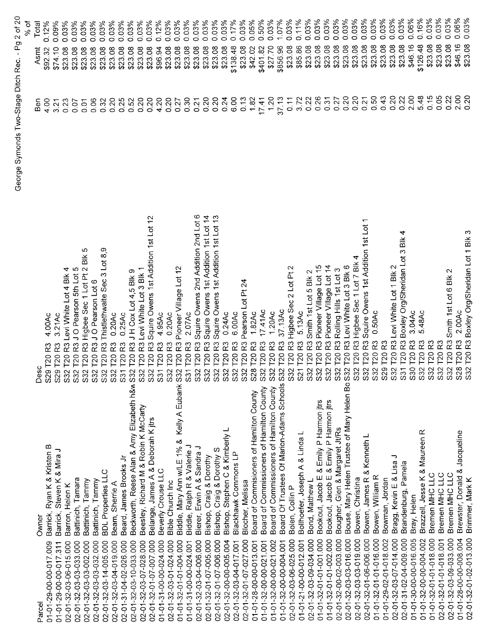|                                                                                |                                                                                  |         | % of              |
|--------------------------------------------------------------------------------|----------------------------------------------------------------------------------|---------|-------------------|
| Owner<br>Parcel                                                                | Desc                                                                             | ნო<br>მ | Total<br>Asmt     |
| Barrick, Ryan K & Kristen B<br>01-01-29-00-00-017.009                          | 4.00Ac<br>S29 T20 R3                                                             | 4.00    | 0.12%<br>\$92.32  |
| Barrick, Steven K & Mira J<br>01-01-29-00-00-017.311                           | 3.21Ac<br>S29 T20                                                                | 3.21    | 0.09%<br>\$74.10  |
| Barron, Helen K<br>02-01-32-03-06-015.000                                      | R3 Levi White Lot 4 Blk 4<br>T20<br>S32                                          | 0.23    | 0.03%<br>\$23.08  |
| Battinich, Tamara<br>02-01-32-03-03-033.000                                    | T20 R3 J O Pearson 5th Lot 5<br>S32                                              | 0.07    | 0.03%<br>\$23.08  |
| Battinich, Tammy<br>02-01-32-03-03-002.000                                     | မာ<br>R3 Higbee Sec 1 Lot Pt 2 Blk<br>T20<br>S32                                 | 0.01    | 0.03%<br>\$23.08  |
| Battinich, Tammy<br>02-01-32-03-03-032.000                                     | T20 R3 J O Pearson Lot 6<br>S32                                                  | 0.06    | 0.03%<br>\$23.08  |
| <b>BDL</b> Properties LLC<br>02-01-32-03-14-005.000                            | S32 T20 R3 Thistlethwaite Sec 3 Lot 8,9                                          | 0.32    | 0.03%<br>\$23.08  |
| Beam, Sherrie A<br>02-01-32-03-04-019.000                                      | 0.20Ac<br>S32 T20 R3                                                             | 0.20    | 0.03%<br>\$23.08  |
| Beard, James Brooks Jr<br>02-01-31-04-02-026.000                               | 0.25Ac<br>ဥ<br>S31 T20                                                           | 0.25    | 0.03%<br>\$23.08  |
| Beckworth, Reese Alan & Amy Elizabeth h&w S32 T20<br>02-01-32-03-10-033.000    | R3 J H Cox Lot 4,5 Blk 9                                                         | 0.52    | 0.03%<br>\$23.08  |
| Beesley, Richard M & Robin K McCarty<br>02-01-32-03-07-028.000                 | R3 Levi White Lot 3 Blk 1<br><b>T20</b><br>S32                                   | 0.20    | 0.03%<br>\$23.08  |
| Belange, James A & Deborah K jtrs<br>02-01-32-01-07-007.000                    | R3 Squire Owens 1st Addition 1st Lot 12<br>S32 T20                               | 0.20    | 0.03%<br>\$23.08  |
| Beverly Crouse LLC<br>01-01-31-00-00-024.000                                   | 4.95Ac<br>R3<br>S31 T20                                                          | 4.20    | 0.12%<br>\$96.94  |
| <b>Bible Church Inc</b><br>02-01-32-03-01-024.000                              | 0.20Ac<br>R3<br>S32 T20                                                          | 0.20    | 0.03%<br>\$23.08  |
| Kelly A Eubank S32 T20<br>Biddle, Mary Ann w/LE 1% &<br>01-01-32-01-01-004.000 | R3 Pioneer Village Lot 12                                                        | 0.27    | 0.03%<br>\$23.08  |
| Biddle, Ralph R & Valerie J<br>01-01-31-00-00-024.001                          | 2.07Ac<br>R3<br>S31 T20                                                          | 0.30    | 0.03%<br>\$23.08  |
| Bierer, Erwin A & Sandra J<br>02-01-32-03-04-006.000                           | Squire Owens 2nd Addition 2nd Lot 6<br>23<br>S32 T20 F<br>S32 T20 F<br>S32 T20 F | 0.21    | 0.03%<br>\$23.08  |
| Bishop, Craig & Dorothy<br>02-01-32-01-07-005.000                              | Squire Owens 1st Addition 1st Lot 14<br>R3                                       | 0.20    | 0.03%<br>\$23.08  |
| Bishop, Craig & Dorothy S<br>02-01-32-01-07-006.000                            | Squire Owens 1st Addition 1st Lot 13<br>R3                                       | 0.20    | 0.03%<br>\$23.08  |
| Bishop, Stephen C & Kimberly L<br>02-01-32-00-00-005.004                       | 0.24Ac<br>ಜ<br>S32 T20                                                           | 0.24    | 0.03%<br>\$23.08  |
| Blackhawk Commons LP<br>02-01-32-03-04-017.001                                 | 6.00Ac<br>R3<br>S32 T20                                                          | 6.00    | 0.17%<br>\$138.48 |
| Blocher, Melissa<br>02-01-32-01-07-027.000                                     | Pearson Lot Pt 24<br>R3<br>32 T <sub>20</sub><br>ဲဟ                              | 0.13    | 0.03%<br>\$23.08  |
| Board of Commisioners of Hamilton County<br>01-01-28-00-00-013.001             | 1.82Ac<br>ಜ<br>28 T20<br>0)                                                      | 1.82    | 0.05%<br>\$42.02  |
| Board of Commissioners of Hamilton County<br>01-01-32-00-00-021.001            | 17.41AC<br>ಜ<br>32 T <sub>20</sub><br>Ö)                                         | 17.41   | 0.50%<br>\$401.82 |
| Board of Commissioners of Hamilton County<br>01-01-32-00-00-021.002            | 1.20Ac<br>ಜ<br>32 T20<br>Ò,                                                      | 1.20    | 0.03%<br>\$27.70  |
| Board Of Trustees Of Marion-Adams Schools S32 T20<br>01-01-32-00-00-004.001    | 37.13Ac<br>ಜ                                                                     | 37.13   | 1.07%<br>\$856.96 |
| Bolen, Collin P<br>02-01-32-03-06-025.000                                      | $\scriptstyle\sim$<br>R3 Higbee Sec 2 Lot Pt<br>T20<br>S32                       | 0.11    | 0.03%<br>\$23.08  |
| Bollhoefer, Joseph A & Linda L<br>01-01-21-00-00-012.001                       | 5.13Ac<br>R3<br>S21 T20                                                          | 3.72    | 0.11%<br>\$85.86  |
| Bond, Matthew L<br>02-01-32-03-09-034 000                                      | Smith 1st Lot 5 Blk 2<br>R3<br>T20<br>532                                        | 0.22    | 0.03%<br>\$23.08  |
| Bookout, Jacob E & Emily P Harmon jtrs<br>01-01-32-01-01-001.000               | R3 Pioneer Village Lot 15<br>S32 T20                                             | 0.26    | 0.03%<br>\$23.08  |
| Bookout, Jacob E & Emily P Harmon jtrs<br>01-01-32-01-01-002.000               | Pioneer Village Lot 14<br>ဥ                                                      | 0.31    | 0.03%<br>\$23.08  |
| Bougher, Glen & Margaret Jt/Rs<br>02-01-32-00-02-003.000                       | Rolling Hills 1st Lot 3<br>R3<br>S32 T20 H                                       | 0.27    | 0.03%<br>\$23.08  |
| Bouse, Mary Helen Trustee of Mary Helen Bo S32 T20<br>02-01-32-03-03-016.000   | Levi White Lot 3 Blk 6<br>R3                                                     | 0.20    | 0.03%<br>\$23.08  |
| Bowen, Christina<br>02-01-32-03-03-019.000                                     | Higbee Sec 1 Lot 7 Blk 4<br>$\overline{3}$<br>S32 T20                            | 0.20    | 0.03%<br>\$23.08  |
| Bowen, James R & Kenneth L<br>02-01-32-01-06-006.000                           | Squire Owens 1st Addition 1st Lot<br>R3<br>S32 T20                               | 0.21    | 0.03%<br>\$23.08  |
| Bowen, William R<br>01-01-32-01-01-016.000                                     | 0.50Ac<br><b>T20R3</b><br>S32                                                    | 0.50    | 0.03%<br>\$23.08  |
| Bowman, Jordan<br>01-01-29-02-01-018.002                                       | S29 T20 R3                                                                       | 0.43    | 0.03%<br>\$23.08  |
| っ<br>Bragg, Kevin E & Lisa<br>02-01-32-03-07-014.000                           | T20 R3 Levi White Lot 1 Blk 2<br>S32                                             | 0.20    | 0.03%<br>\$23.08  |
| Brandenburg, Pamela<br>02-01-31-02-04-009.000                                  | 4<br>S31 T20 R3 Boxley Org/Sheridan Lot 3 Blk                                    | 0.22    | 0.03%<br>\$23.08  |
| Bray, Helen<br>01-01-30-00-00-016.005                                          | 3.04Ac<br>S30 T20 R3                                                             | 2.00    | 0.06%<br>\$46.16  |
| Brazzell, Jesse K & Maureen R<br>01-01-32-00-00-004.002                        | 5.48Ac<br>R <sub>3</sub><br><b>T20</b><br>S32                                    | 5.48    | 0.16%<br>\$126.48 |
| Bremen MHC LLC<br>01-01-32-01-01-018.000                                       | T20 <sub>R3</sub><br>S32                                                         | 0.15    | 0.03%<br>\$23.08  |
| Bremen MHC LLC<br>02-01-32-01-01-018.001                                       | R3<br>T20<br>S32                                                                 | 0.05    | 0.03%<br>\$23.08  |
| Bremen MHC LLC<br>02-01-32-03-09-033.000                                       | $\mathbf{\sim}$<br>T20 R3 Smith 1st Lot 6 Blk<br>S32                             | 0.22    | 0.03%<br>\$23.08  |
| Brewster, Donald & Jacqueline<br>01-01-28-00-00-08.004                         | 2.00Ac<br>S28 T20 R3                                                             | 2.00    | 0.06%<br>\$46.16  |
| Brimmer, Mark K<br>02-01-32-01-02-013.000                                      | S32 T20 R3 Boxley Org/Sheridan Lot 1 Blk 3                                       | 0.20    | 0.03%<br>\$23.08  |

George Symonds Two-Stage Ditch Rec. - Pg 2 of 20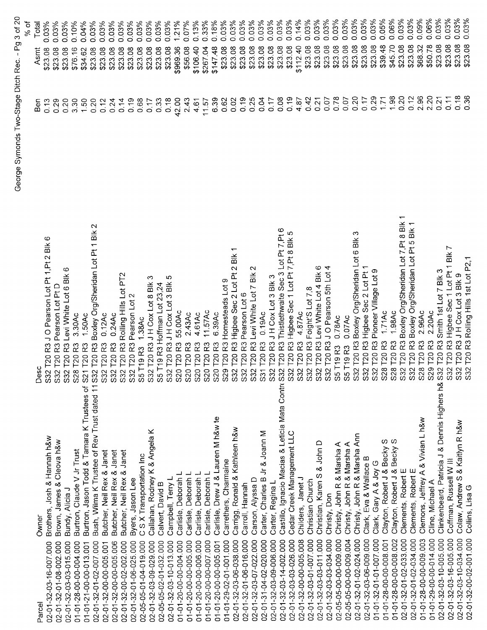|                                                                                  |                                                                                                                       |                   | % of              |
|----------------------------------------------------------------------------------|-----------------------------------------------------------------------------------------------------------------------|-------------------|-------------------|
| Owner<br>Parcel                                                                  | Desc                                                                                                                  | Ben               | Total<br>Asmt     |
| Brothers, Josh & Hannah h&w<br>02-01-32-03-16-007.000                            | ဖ<br>R3 J O Pearson Lot Pt 1, Pt 2 Blk<br>2 T20                                                                       | 0.13              | 0.03%<br>\$23.08  |
| Brown, James & Cleova h&w<br>02-01-32-01-08-002.000                              | R3 Pearson Lot Pt D<br>T20                                                                                            | 0.29              | 0.03%<br>\$23.08  |
| Bundy, Alicia J<br>02-01-32-03-03-015.000                                        | O<br>T20 R3 Levi White Lot 6 Blk<br>33.3.3                                                                            | 0.20              | 0.03%<br>\$23.08  |
| Burtron, Claude V Jr Trust<br>01-01-28-00-00-004.000                             | 3.30Ac<br>T20 <sub>R3</sub><br>S28                                                                                    | 3.30              | 0.10%<br>\$76.16  |
| Burtron, Jason Todd & Tamara K Trustees of<br>01-01-21-00-00-013.001             | 1.50Ac<br>21 T20 R3<br>S                                                                                              | 1.50              | 0.04%<br>\$34.62  |
| Bush, Wilma K Trustee of Rev Trust dated 11 S32<br>02-01-32-01-02-007.000        | $\mathbf{\Omega}$<br>T20 R3 Boxley Org/Sheridan Lot Pt 1 Blk                                                          | 0.20              | 0.03%<br>\$23.08  |
| Butcher, Neil Rex & Janet<br>02-01-32-00-00-005.001                              | $0.12$ Ac<br>S32 T20 R3                                                                                               | 0.12              | 0.03%<br>\$23.08  |
| Butcher, Neil Rex & Janet<br>02-01-32-00-00-005.006                              | 0.24AC<br>S32 T20 R3                                                                                                  | 0.24              | 0.03%<br>\$23.08  |
| Butcher, Neil Rex & Janet<br>02-01-32-00-02-002.000                              | S32 T20 R3 Rolling Hills Lot PT2                                                                                      | 0.14              | 0.03%<br>\$23.08  |
| Byers, Jason Lee<br>02-01-32-01-06-025.000                                       | $\mathbf{\Omega}$<br>S32 T20 R3 Pearson Lot                                                                           | 0.19              | 0.03%<br>\$23.08  |
| C S X Transportation Inc<br>02-05-05-01-04-019.000                               | S5 T19 R3 1.38Ac<br>S32 T20 R3 J H Cox Lot 8 Blk                                                                      | 0.68              | 0.03%<br>\$23.08  |
| Callahan, Rodney K & Angela K<br>02-01-32-03-09-029.000                          | က                                                                                                                     | 0.17              | 0.03%<br>\$23.08  |
| Calvert, David B<br>02-05-05-02-01-032.000                                       | S5 T19 R3 Hoffman Lot 23,24                                                                                           | 0.33              | 0.03%<br>\$23.08  |
| Campbell, Terry L<br>02-01-32-03-10-013.000                                      | LO<br>S32 T20 R3 J H Cox Lot 3 Blk                                                                                    | 0.18              | 0.03%<br>\$23.08  |
| Carlisle, Deborah L<br>01-01-20-00-00-004.000                                    | 55.00Ac<br>S20 T20 R3                                                                                                 | 42.00             | 1.21%<br>\$969.36 |
| Carlisle, Deborah<br>01-01-20-00-00-005.000                                      | 2.43Ac<br>S20 T20 R3                                                                                                  | 2.43              | 0.07%<br>\$56.08  |
| Carlisle, Deborah L<br>01-01-20-00-00-006.000                                    | 4.61Ac<br>S20 T20 R3                                                                                                  | 4.61              | 0.13%<br>\$106.40 |
| Carlisle, Deborah L<br>01-01-20-00-00-007.000                                    | 11.57Ac<br>S20 T20 R3                                                                                                 | 11.57             | 0.33%<br>\$267.04 |
| Carlisle, Drew J & Lauren M h&w te<br>01-01-20-00-00-005.001                     |                                                                                                                       | 6.39              | 0.18%<br>\$147.48 |
| Carrethers, Charmaine<br>01-01-29-02-01-001 000                                  |                                                                                                                       | 0.62              | 0.03%<br>\$23.08  |
| Carrigg, Ronald & Kathleen h&w<br>02-01-32-03-06-038.000                         | $\overline{\phantom{0}}$<br>ă<br>S20 T20 R3 6.39Ac<br>S29 T20 R3 Homesteads Lot 9<br>S32 T20 R3 Higbee Sec 2 Lot Pt 2 | 0.02              | 0.03%<br>\$23.08  |
| Carroll, Hannah<br>02-01-32-01-06-016.000                                        | Pearson Lot 6<br><b>T20 R3</b><br>S32                                                                                 | 0.19              | 0.03%<br>\$23.08  |
| Carson, Alyssa D<br>02-01-32-03-07-022.000                                       | $\sim$<br>Levi White Lot 7 Blk<br>S32 T20 R3                                                                          | 0.25              | 0.03%<br>\$23.08  |
| Carter, Charles B Jr & Joann M<br>02-01-31-04-02-020.000                         | 0.19AC<br>S31 T20 R3<br>S32 T20 R3                                                                                    | 0.04              | 0.03%<br>\$23.08  |
| Carter, Regina L<br>02-01-32-03-09-006.000                                       | JH Cox Lot 3 Blk 3                                                                                                    | 0.17              | 0.03%<br>\$23.08  |
| Castillo, Ignacio Macias & Leticia Mata Contri S32 T20<br>02-01-32-03-14-002.000 | R3 Thistlethwaite Sec 3 Lot Pt 7, Pt 6                                                                                | 0.08              | 0.03%<br>\$23.08  |
| Cedar Creek Management LLC<br>02-01-32-03-03-026.000                             | R3 Higbee Sec 1 Lot Pt 7, Pt 8 Blk 5<br>S32 T20                                                                       | 0.19              | 0.03%<br>\$23.08  |
| Childers, Janet J<br>02-01-32-00-00-005.008                                      | 4.87Ac<br>S32 T20 R3                                                                                                  | 4.87              | 0.14%<br>\$112.40 |
| Christian Church<br>02-01-32-03-01-007.000                                       | Foight'S Lot 7,8<br>S32 T20 R3                                                                                        | 0.42              | 0.03%<br>\$23.08  |
| & John D<br>Christian, Karen S<br>02-01-32-03-03-011.000                         | Levi White Lot 4 Blk 6<br>S32 T20 R3                                                                                  | 0.21              | 0.03%<br>\$23.08  |
| Christy, Don<br>02-01-32-03-03-034.000                                           | J O Pearson 5th Lot 4<br>32 T20 R3<br>ပာ                                                                              | 0.07              | 0.03%<br>\$23.08  |
| Christy, John R & Marsha A<br>02-05-05-00-00-009.000                             | 0.78Ac<br>5 T19 R3<br>ળ                                                                                               | 0.78              | 0.03%<br>\$23.08  |
| Christy, John R & Marsha A<br>02-05-05-00-00-009.004                             | 0.07Ac<br>5 T19 R3<br>ഗ                                                                                               | δ<br>Ο            | 0.03%<br>\$23.08  |
| Christy, John R & Marsha Ann<br>02-01-32-01-02-024.000                           | ო<br>Boxley Org/Sheridan Lot 6 Blk<br>32 T20 R3<br>ഗ                                                                  | 0.20              | 0.03%<br>\$23.08  |
| Clark, Eva & Wallace B<br>02-01-32-03-06-009.000                                 | 32 T20 R3 Higbee Sec 2 Lot Pt                                                                                         | 0.17              | 0.03%<br>\$23.08  |
| Clark, Gary A & Joy G<br>01-01-32-01-01-007.000                                  | R3 Pioneer Village Lot 9                                                                                              | 0.29              | 0.03%<br>\$23.08  |
| Clayton, Robert J & Becky S<br>01-01-28-00-00-008.001                            | 171Ac<br>S32 T20 R3 H<br>S32 T20 R3<br>S28 T20 R3                                                                     | 1.71              | 0.05%<br>\$39.48  |
| တ<br>Clayton, Robert J & Becky<br>01-01-28-00-00-008.002                         | 1.98Ac<br>S28 T20 R3                                                                                                  | 1.98              | 0.06%<br>\$45.70  |
| Clements, Robert E<br>02-01-32-01-02-033.000                                     | T20 R3 Boxley Org/Sheridan Lot 7, Pt 8 Blk<br>S32                                                                     | 0.20              | 0.03%<br>\$23.08  |
| Clements, Robert E<br>02-01-32-01-02-034.000                                     | Boxley Org/Sheridan Lot Pt 5 Blk 1<br>S32 T20 R3 E<br>S28 T20 R3                                                      | 0.12              | 0.03%<br>\$23.08  |
| Clemons, Jeffrey A & Vivian L h&w<br>01-01-28-00-00-009.003                      | 2.96Ac                                                                                                                | 2.96              | 0.09%<br>\$68.32  |
| Cline, Michael A<br>01-01-29-00-00-014.000                                       | 2.20Ac<br>S29 T20 R3                                                                                                  | 2.20              | 0.06%<br>\$50.78  |
| Clinkenbeard, Patricia J & Dennis Highers h& S32 T20<br>02-01-32-03-10-005.000   | R3 Smith 1st Lot 7 Blk 3                                                                                              | 0.21              | 0.03%<br>\$23.08  |
| Coffman, Russell W III<br>02-01-32-03-16-005.000                                 | R3 Higbee Sec 1 Lot Pt 1 Blk 7<br>S32 T20                                                                             | $\overline{0.11}$ | 0.03%<br>\$23.08  |
| Colaw, Andrew S & Kaitlyn R h&w<br>02-01-32-03-10-034.000                        | T20 R3 J H Cox Lot 3 Blk 9<br>S32<br>S32                                                                              | 0.18              | 0.03%<br>\$23.08  |
| Collins, Lisa G<br>02-01-32-00-02-001.000                                        | T20 R3 Rolling Hills 1st Lot P2,1                                                                                     | 0.36              | 0.03%<br>\$23.08  |

George Symonds Two-Stage Ditch Rec. - Pg 3 of 20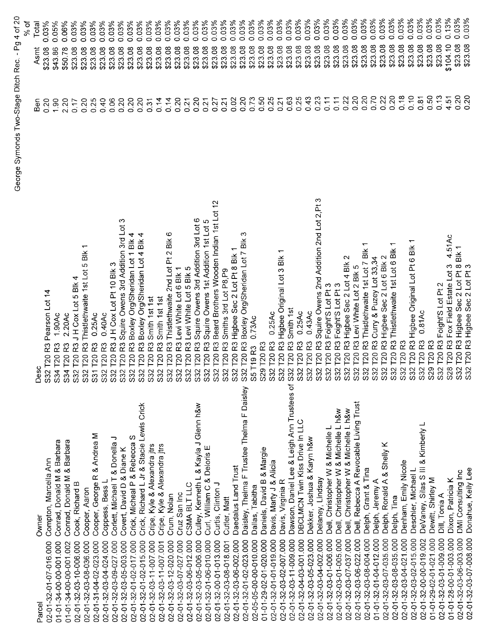|                                                                         |                                                                                         |                | George Symonds Two-Stage Ditch Rec. - Pg 4 of 20<br>% of |
|-------------------------------------------------------------------------|-----------------------------------------------------------------------------------------|----------------|----------------------------------------------------------|
| Owner                                                                   | ပ<br>Des                                                                                | Ben            | Total<br>Asmt                                            |
| Compton, Marcella Ann<br>02-01-32-01-07-016.000<br>Parcel               | Pearson Lot 14<br>R3<br>T20<br>S32                                                      | 0.20           | $0.03\%$<br>\$23.08                                      |
| Conrad, Donald M & Barbara<br>01-01-34-00-00-001.000                    | 1.90Ac<br>R <sub>3</sub><br>T <sub>20</sub><br>S34                                      | 1.90           | 0.05%<br>\$43.86                                         |
| Conrad, Donald M & Barbara<br>01-01-34-00-00-001.002                    | 2.20Ac<br>R3<br>T20<br>S34                                                              | 2.20           | 0.06%<br>\$50.78                                         |
| Cook, Richard B<br>02-01-32-03-10-006.000                               | Bik 4<br>R3 JH Cox Lot 5<br>T20<br>S32                                                  | 0.17           | 0.03%<br>\$23.08                                         |
| Cooper, Aaron<br>02-01-32-03-08-036.000                                 | ٣<br>R3 Thistlethwaite 1st Lot 5 Blk<br>T20<br>S32                                      | 0.20           | 0.03%<br>\$23.08                                         |
| & Andrea M<br>Cooper, George R<br>02-01-31-04-02-023.000                | 0.25Ac<br>R3<br>T <sub>20</sub><br>$\overline{531}$                                     | 0.25           | 0.03%<br>\$23.08                                         |
| Coppess, Bess L<br>02-01-32-03-04-024.000                               | $0.40$ Ac<br>$\approx$<br>T20<br><b>S32</b>                                             | 0.40           | 0.03%<br>\$23.08                                         |
| Corlett, Michael T & Donella J<br>02-01-32-03-09-027.000                | R3 JH Cox Lot Pt 10 Blk 3<br>T20<br>S32                                                 | 0.06           | 0.03%<br>\$23.08                                         |
| Covert, David D & Diane K<br>02-01-32-03-05-003.000                     | R3 Squire Owens 3rd Addition 3rd Lot 3<br>T20<br>S32                                    | 0.20           | 0.03%<br>\$23.08                                         |
| Crick, Micheal P & Rebecca S<br>02-01-32-01-02-017.000                  | T20 R3 Boxley Org/Sheridan Lot 1 Blk 4<br>S32                                           | 0.20           | 0.03%<br>\$23.08                                         |
| Crick, Richard L Jr & Stacie Lewis Crick<br>02-01-32-01-02-015.000      | T20 R3 Boxley Org/Sheridan Lot 4 Blk 4<br>S <sub>32</sub>                               | 0.20           | 0.03%<br>\$23.08                                         |
| Cripe, Kyle & Alexandra jtrs<br>02-01-32-03-11-007.000                  | Smith 1st 1st<br><b>T20R3</b><br>S32                                                    | 0.31           | 0.03%<br>\$23.08                                         |
| Cripe, Kyle & Alexandra jtrs<br>02-01-32-03-11-007.001                  | R3 Smith 1st 1st<br>T <sub>20</sub><br>S32                                              | 0.14           | 0.03%<br>\$23.08                                         |
| Crum, Nolan<br>02-01-32-03-12-020.000                                   | 6<br>$\frac{1}{2}$<br>T20 R3 Thistlethwaite 2nd Lot Pt 2<br>S32                         | 0.14           | 0.03%<br>\$23.08                                         |
| Cruz San Inc<br>02-01-32-03-07-027.000                                  | T20 R3 Levi White Lot 6 Blk 1<br>S32                                                    | 0.20           | 0.03%<br>\$23.08                                         |
| CSMA BLT LLC<br>02-01-32-03-06-012.000                                  | T20 R3 Levi White Lot 5 Blk 5<br>S32                                                    | 0.21           | 0.03%<br>\$23.08                                         |
| Culley, Kenneth L & Kayla J Glenn h&w<br>02-01-32-03-05-006.000         | T20 R3 Squire Owens 3rd Addition 3rd Lot 6<br>S32                                       | 0.20           | 0.03%<br>\$23.08                                         |
| Curl, William C & Deloris E<br>02-01-32-01-06-010.000                   | T20 R3 Squire Owens 1st Addition 1st Lot 5<br>S <sub>32</sub>                           | 0.21           | 0.03%<br>\$23.08                                         |
| Curtis, Clinton J<br>02-01-32-00-01-013.000                             | T20 R3 Beard Brothers Wooden Indian 1st Lot 12<br>S32                                   | 0.27           | 0.03%<br>\$23.08                                         |
| Cutler, Matt<br>02-01-32-03-08-018.001                                  | T20 R3 Smiths 3rd Lot P8, P9<br><b>S32</b>                                              | 0.21           | 0.03%<br>\$23.08                                         |
| Daedalus Land Trust<br>02-01-32-03-06-002.000                           | ↽<br>T20 R3 Higbee Sec 2 Lot Pt 8 Blk<br>S32                                            | 0.02           | 0.03%<br>\$23.08                                         |
| F Trustee Thelma F Daisley<br>Daisley, Thelma<br>02-01-32-01-02-023.000 | က<br>S32 T20 R3 Boxley Org/Sheridan Lot 7 Blk                                           | 0.20           | 0.03%<br>\$23.08                                         |
| Dallas, Tabitha<br>02-05-05-00-00-010.000                               | 0.73AC<br>T19 <sub>R3</sub><br>55                                                       | 0.73           | 0.03%<br>\$23.08                                         |
| Daniels, David B & Margie<br>01-01-29-02-01-020.000                     | S29 T20 R3                                                                              | 0.50           | 0.03%<br>\$23.08                                         |
| Davis, Marty J & Alicia<br>02-01-32-01-01-019.000                       | 0.25Ac<br><b>T20 R3</b><br>S32                                                          | 0.25           | 0.03%<br>\$23.08                                         |
| Davis, Virginia R<br>02-01-32-03-02-007.000                             | ↽<br>S32 T20 R3 Higbee Original Lot 3 Blk                                               | 0.21           | 0.03%<br>\$23.08                                         |
| Dawson, Daniel Lee & Leigh Ann Trustees of<br>02-01-32-03-11-009.000    | Smith 1st<br><b>T20 R3</b><br>S32                                                       | 0.63           | 0.03%<br>\$23.08                                         |
| DBCLMCN Twin Kiss Drive In LLC<br>02-01-32-04-03-001.000                | 0.25Ac<br>R3<br>S32 T20                                                                 | 0.25           | 0.03%<br>\$23.08                                         |
| Dekker, Joshua & Karyn h&w<br>02-01-32-03-05-023.000                    | 0.43AC<br>$\approx$<br>T <sub>20</sub><br>S32                                           | 0.43           | 0.03%<br>\$23.08                                         |
| Delaney, Lindsay<br>02-01-32-03-04-002.000                              | S<br>Squire Owens 2nd Addition 2nd Lot 2, Pt<br>R3<br>T20<br>S32                        | 0.23           | 0.03%<br>\$23.08                                         |
| Dell, Christopher W & Michelle L<br>02-01-32-03-01-006.000              | Foight'S Lot Pt 3<br>R3<br>T20<br>S32<br>S32                                            | 0.11           | 0.03%<br>\$23.08                                         |
| Dell, Christopher W & Michelle L h&w<br>02-01-32-03-01-005.000          | Foight'S Lot Pt 3<br>R3<br>T20                                                          | 0.11           | 0.03%<br>\$23.08                                         |
| Dell, Christopher W & Michelle L h&w<br>02-01-32-03-07-037.000          | Higbee Sec 2 Lot 4 Blk<br>R3<br><b>T20</b><br>S32<br>S32                                | 0.22           | 0.03%<br>\$23.08                                         |
| Dell, Rebecca A Revocable Living Trust<br>02-01-32-03-06-022.000        | Levi White Lot 2 Blk 5<br>R3<br>T20                                                     | 0.20           | 0.03%<br>\$23.08                                         |
| Delph, Grant & Tina<br>02-01-32-03-08-004.000                           | ↽<br>Thistlethwaite 1st Lot 7 Blk<br>R3<br>120<br>S32                                   | 0.20           | 0.03%<br>\$23.08                                         |
| Delph, Jeremy A<br>01-01-32-01-04-012.000                               | Curry & Puzey Lot 33,34<br>R3<br>$\overline{120}$<br><b>S32</b>                         | 0.70           | 0.03%<br>\$23.08                                         |
| Delph, Ronald A & Shelly K<br>02-01-32-03-07-035.000                    | Higbee Sec 2 Lot 6 Blk 2<br>R3<br>$\overline{120}$<br>S32                               | 0.22           | 0.03%<br>\$23.08                                         |
| Delph, Tina<br>02-01-32-03-08-035.000                                   | $\overline{\phantom{0}}$<br>$\exists k$<br>Thistlethwaite 1st Lot 6<br>R3<br>T20<br>S32 | 0.20           | 0.03%<br>\$23.08                                         |
| Denham, Emily Nicole<br>02-01-32-03-04-021.000                          | <b>T20</b><br>S32                                                                       | 0.18           | 0.03%<br>\$23.08                                         |
| Deschler, Michael L<br>02-01-32-03-02-015.000                           | R3 Higbee Original Lot Pt 6 Blk<br>T20<br>S32                                           | 0.10           | 0.03%<br>\$23.08                                         |
| DeVaney, Silas S III & Kimberly L<br>02-01-32-00-00-019.002             | 0.81AC<br>R <sub>3</sub><br>T20<br>S32                                                  | 0.81           | 0.03%<br>\$23.08                                         |
| Dewitt, Shirley M<br>01-01-29-02-01-021.000                             | R3<br>T <sub>20</sub><br>$\sigma$<br>$\tilde{\Omega}$                                   | 0.50           | 0.03%<br>\$23.08                                         |
| Dill, Tonia A<br>02-01-32-03-01-009.000                                 | Foight'S Lot Pt 2<br>T20 <sub>R3</sub><br>S32                                           | 0.13           | 0.03%<br>\$23.08                                         |
| Dixon, Patricia K<br>01-01-28-00-01-003.000                             | 4.51Ac<br>T20 R3 Fox Field Estate Lot 3<br><b>S28</b>                                   | 4.51           | 0.13%<br>\$104.10                                        |
| DMI Consulting Inc<br>02-01-32-03-06-003.000                            | T20 R3 Higbee Sec 2 Lot Pt 8 Blk 1<br>T20 R3 Higbee Sec 2 Lot Pt 3<br>S32<br>S32        | 0.20           | 0.03%<br>\$23.08                                         |
| Donahue, Kelly Lee<br>02-01-32-03-07-008.000                            |                                                                                         | $\overline{5}$ | 0.03%<br>\$23.08                                         |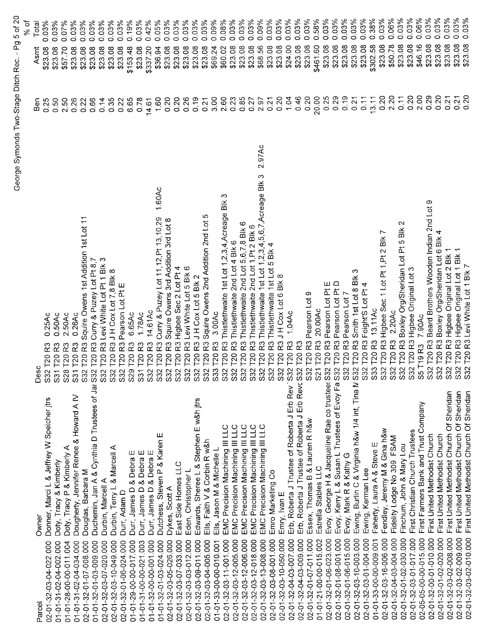|                                                                                              |                                                                                                             |                  | % of                |
|----------------------------------------------------------------------------------------------|-------------------------------------------------------------------------------------------------------------|------------------|---------------------|
| Owner<br>Parcel                                                                              | Desc                                                                                                        | Ben              | Total<br>Asmt       |
| Donner, Marci L & Jeffrey W Speicher jtrs<br>02-01-32-03-04-022.000                          | 0.25Ac<br>R3<br>T <sub>20</sub><br>$\overline{C}$<br>တ                                                      | 0.25             | 0.03%<br>\$23.08    |
| Doty, Tracy & Kimberly<br>01-01-31-02-04-002.000                                             | 0.50Ac<br>T20<br>531                                                                                        | 0.50             | 0.03%<br>\$23.08    |
| Doty, Tracy P & Kimberly A<br>01-01-28-00-00-011.004                                         | 2.50Ac<br>S28 T20                                                                                           | 2.50             | 0.07%<br>\$57.70    |
| Dougherty, Jennifer Renee & Howard A IV<br>01-01-31-02-04-034.000                            | 0.26Ac<br>S31 T20                                                                                           | 0.26             | 0.03%<br>\$23.08    |
| Douglas, Barbara M<br>02-01-32-01-07-008.000                                                 | Squire Owens 1st Addition 1st Lot 11<br>R3<br>S32 T20                                                       | 0.22             | 0.03%<br>\$23.08    |
| Duchemin, Jan A & Cynthia D Trustees of Jar S32<br>01-01-32-01-03-009.000                    | R3 Cury & Puzey Lot Pt 8,7<br>T <sub>20</sub>                                                               | 0.66             | 0.03%<br>\$23.08    |
| Durbin, Marcell A<br>02-01-32-03-07-020.000                                                  | R3 Levi White Lot Pt 1 Blk 3<br>T <sub>20</sub><br>S32                                                      | 0.14             | 0.03%<br>\$23.08    |
| Durbin, Terry L & Marcell A<br>02-01-32-03-10-049.000                                        | R3 J H Cox Lot 7,8 Blk 8<br>T <sub>20</sub><br>S32                                                          | 0.35             | 0.03%<br>\$23.08    |
| Durr, Adam D<br>02-01-32-01-06-024.000                                                       | R3 Pearson Lot Pt E<br>T <sub>20</sub><br>S32                                                               | 0.22             | 0.03%<br>\$23.08    |
| Durr, James D & Debra E<br>01-01-29-00-00-017.000                                            | 6.65Ac<br><b>23</b><br>T20<br>S <sub>29</sub>                                                               | 6.65             | 0.19%<br>\$153.48   |
| Durr, James D & Debra E<br>01-01-31-00-00-021.003                                            | 1.78Ac<br>R3<br>T <sub>20</sub><br>$\overline{\text{S}}$                                                    | 0.78             | 0.03%<br>\$23.08    |
| Durr, James D & Debra E                                                                      | 14.61Ac<br>R <sub>3</sub><br>T201<br><b>S32</b>                                                             | 14.61            | 0.42%<br>\$337.20   |
| 01-01-32-00-00-001.000                                                                       | 1.60Ac<br>Curry & Puzey Lot 11, 12, Pt 13, 10, 29<br>R3<br>7201<br>S32                                      | 1.60             | 0.05%<br>\$36.94    |
| Dutchess, Steven P & Karen E<br>01-01-32-01-03-024.000                                       | Squire Owens 3rd Addition 3rd Lot 8<br>T20R3                                                                | 0.20             | 0.03%<br>\$23.08    |
| East Side Homes LLC<br>Dykes, Scott A<br>02-01-32-03-05-026.000<br>02-01-32-03-07-033.000    | R3 Higbee Sec 2 Lot Pt 4<br>S32 T20 F<br>S32 T20 F<br>S32 T20 F                                             | 0.20             | 0.03%<br>\$23.08    |
| 02-01-32-03-03-012.000                                                                       | Levi White Lot 5 Blk 6<br>R3                                                                                | 0.26             | 0.03%<br>\$23.08    |
| Edwards, Sheree L & Stephen E w&h jtrs<br>Eden, Christopher L<br>02-01-32-03-09-011.000      | JHCox Lot 5 Blk 2<br>R3<br>S32 T20                                                                          | 0.19             | 0.03%<br>\$23.08    |
| Ells, Faith V & Corbin R w&h<br>02-01-32-03-04-005.000                                       | Squire Owens 2nd Addition 2nd Lot<br>R3                                                                     | 0.21             | 0.03%<br>\$23.08    |
|                                                                                              | 3.00Ac<br><b>23</b>                                                                                         |                  | 0.09%<br>\$69.24    |
| Ells, Jason M & Michelle L<br>01-01-33-00-00-010.001                                         |                                                                                                             | $3.00$<br>$2.60$ | 0.08%<br>\$60.02    |
| EMC Precision Machining III LLC<br>02-01-32-03-11-001.000                                    | ෆ<br>Thistlethwaite 1st Lot 1,2,3,4, Acreage Blk<br>R3<br>S32 T20 F<br>S33 T20 F<br>S32 T20 F<br>S32 T20 F  |                  | 0.03%               |
| EMC Precision Machining III LLC<br>02-01-32-03-12-005.000                                    | Thistlethwaite 2nd Lot 4 Blk 6<br>R3                                                                        | 0.23             | \$23.08             |
| EMC Precision Machining III LLC<br>02-01-32-03-12-006.000                                    | Thistlethwaite 2nd Lot 5,6,7,8 Blk 6<br>R3<br>S32 T20                                                       | 0.85             | 0.03%<br>\$23.08    |
| 02-01-32-03-12-018.000                                                                       | Thistlethwaite 2nd Lot 1, Pt 2 Blk 6<br>k3<br>K<br>S32 T20                                                  | 0.27             | 0.03%<br>\$23.08    |
| EMC Precision Machining III LLC<br>EMC Precision Machining III LLC<br>02-01-32-03-13-008.000 | 2.97Ac<br>1st Lot 1,2,3,4,5,6,7,Acreage Blk 3<br>Thistlethwaite<br>.<br>หิ<br>S32 T20                       | 2.97             | 0.09%<br>\$68.56    |
| Emro Marketing Co<br>02-01-32-03-08-001.000                                                  | 1st Lot 5 Blk 4<br>R3 Thistlethwaite<br>S32 T20                                                             | 0.21             | 0.03%<br>\$23.08    |
| Emry, Ivan E<br>02-01-32-03-10-050.000                                                       | R3 J H Cox Lot 6 Blk 8<br>S32 T20                                                                           | 0.20             | 0.03%<br>\$23.08    |
| Erb, Roberta J Trustee of Roberta J Erb Rev S32 T20<br>02-01-32-04-03-007.000                | 1.04Ac<br>R3                                                                                                | 1.04             | 0.03%<br>\$24.00    |
| Erb, Roberta J Trustee of Roberta J<br>02-01-32-04-03-009.000                                | ಜ<br>Erb Revc S32 T20                                                                                       | 0.46             | 0.03%<br>\$23.08    |
| Essex, Thomas B & Lauren R h&w                                                               | R3 Pearson Lot 9<br>T <sub>20</sub><br>S32                                                                  | 0.20             | 0.03%<br>\$23.08    |
| Estrella Stables LLC<br>02-01-32-01-07-011.000<br>01-01-21-00-00-015.002                     | 20.00Ac<br>S21 T20 R3                                                                                       | 20.00            | 0.58%<br>\$461.60   |
|                                                                                              | T20 R3 Pearson Lot Pt E                                                                                     | 0.25             | 0.03%<br>\$23.08    |
| Evoy, George H & Jacqueline Rae co trustees S32<br>02-01-32-01-06-023.000                    |                                                                                                             | 0.29             | $0.03\%$<br>\$23.08 |
| Evoy, Kerry L & Susan L Trustees of Evoy Fa S32 T20 R3<br>02-01-32-01-08-001.000             | Pearson Lot Pt D                                                                                            |                  | 0.03%<br>\$23.08    |
| Evoy, Mark R & Kathy G<br>02-01-32-01-06-015.000                                             | 32 T20 R3 Pearson Lot 7                                                                                     | 0.19             |                     |
| Ewing, Burlin C & Virginia h&w 1/4 int, Tina N S32 T20 R3<br>02-01-32-03-10-003.000          | ო<br>Smith 1st Lot 8 Blk                                                                                    | 0.21             | 0.03%<br>\$23.08    |
| Ewing, Kerman Lee<br>02-01-32-03-01-004.000                                                  | S32 T20 R3 Foight'S Lot Pt 4                                                                                | 0.11             | 0.03%<br>\$23.08    |
| Faherty, Laura A & Steve E<br>01-01-33-00-00-009.001                                         | 13.11Ac<br>S33 T20 R3                                                                                       | 13.11            | 0.38%<br>\$302.58   |
| Fendley, Jeremy M & Gina h&w<br>02-01-32-03-16-006.000                                       |                                                                                                             | 0.20             | 0.03%<br>\$23.08    |
| Fidelity Lodge No 309 FSAM<br>02-01-32-04-03-004.000                                         | S32 T20 R3 Higbee Sec 1 Lot Pt 1,Pt 2 Blk<br>S32 T20 R3 2.20Ac<br>S32 T20 R3 Boxley Org/Sheridan Lot Pt 5 B | 2.20             | 0.06%<br>\$50.78    |
| Finchum, John & Mary Lou<br>02-01-32-01-02-030.000                                           | $\mathbf{\sim}$<br>$\frac{1}{20}$                                                                           | 0.11             | 0.03%<br>\$23.08    |
| First Christian Church Trustees<br>02-01-32-03-01-017.000                                    | S32 T20 R3 Higbee Original Lot 3                                                                            | 0.20             | 0.03%<br>\$23.08    |
| First Farmers Bank and Trust Company<br>02-05-05-00-00-015.000                               | 7.90Ac<br>S5 T19 R3                                                                                         | 2.00             | 0.06%<br>\$46.16    |
| First United Methodist Church<br>02-01-32-00-01-010.000                                      | S32 T20 R3 Beard Brothers Wooden Indian 2nd Lot 9                                                           | 0.29             | 0.03%<br>\$23.08    |
| First United Methodist Church<br>02-01-32-01-02-020.000                                      | S32 T20 R3 Boxley Org/Sheridan Lot 6 Blk 4                                                                  | 0.20             | 0.03%<br>\$23.08    |
| First United Methodist Church Of Sheridan<br>02-01-32-03-02-008.000                          | T20 R3 Higbee Original Lot 2 Blk 1<br>S <sub>32</sub>                                                       | 0.21             | 0.03%<br>\$23.08    |
| First United Methodist Church Of Sheridan<br>02-01-32-03-02-009.000                          | S32 T20 R3 Higbee Original Lot 1 Blk 1                                                                      | 0.21             | 0.03%<br>\$23.08    |
| First United Methodist Church Of Sheridan<br>02-01-32-03-02-010.000                          | S32 T20 R3 Levi White Lot 1 Blk 7                                                                           |                  | 0.03%<br>\$23.08    |

George Symonds Two-Stage Ditch Rec. - Pg 5 of 20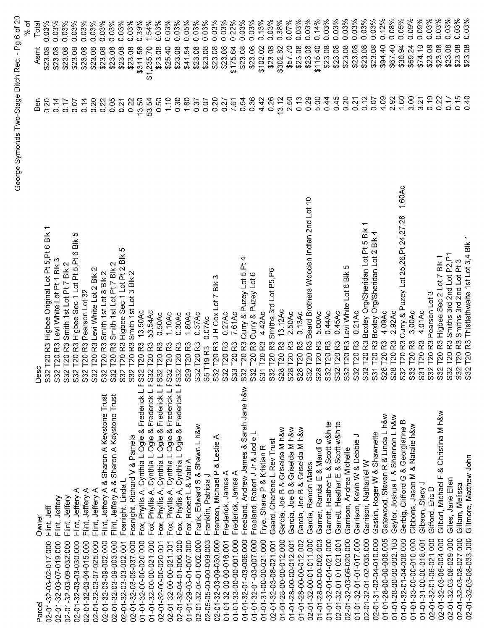|                                                                                           |                                                                                                                   |               | ್ಯ of               |
|-------------------------------------------------------------------------------------------|-------------------------------------------------------------------------------------------------------------------|---------------|---------------------|
| Owner<br>Parcel                                                                           | Desc                                                                                                              | Ben           | Total<br>Asmt       |
| Flint, Jeff<br>02-01-32-03-02-017.000                                                     | $\overline{\phantom{0}}$<br>$\frac{1}{2}$<br>R3 Higbee Original Lot Pt 5, Pt 6<br>S32 T20                         | 0.20          | 0.03%<br>\$23.08    |
| Flint, Jeffery<br>02-01-32-03-07-019.000                                                  | Levi White Lot Pt 1 Blk 3<br>$\overline{3}$<br>S32 T20                                                            | 0.14          | 0.03%<br>\$23.08    |
| Flint, Jeffery<br>02-01-32-03-09-032.000                                                  | Smith 1st Lot Pt 7 Blk 2<br>R <sub>3</sub><br>T <sub>20</sub><br>3333                                             | 0.17          | 0.03%<br>\$23.08    |
| Flint, Jeffery A<br>02-01-32-03-03-030.000                                                | Ю<br>$\frac{1}{2}$<br>R3 Higbee Sec 1 Lot Pt 5, Pt 6<br>T <sub>20</sub>                                           | 0.07          | 0.03%<br>\$23.08    |
| Flint, Jeffery A<br>02-01-32-03-04-015.000                                                | Pearson Lot 32<br><b>T20 R3</b>                                                                                   | 0.14          | 0.03%<br>\$23.08    |
| Flint, Jeffery A<br>02-01-32-03-07-025.000                                                | Levi White Lot 2 Blk 2<br><b>T20R3</b><br>S32                                                                     | 0.20          | 0.03%<br>\$23.08    |
| Flint, Jeffery A & Sharon A Keystone Trust<br>02-01-32-03-09-002.000                      | Smith 1st Lot 8 Blk 2<br><b>T20R3</b><br>S32                                                                      | 0.22          | 0.03%<br>\$23.08    |
| Flint, Jeffery A & Sharon A Keystone Trust<br>02-01-32-03-09-003.000                      | Smith 1st Lot Pt 7 Blk 2<br>T20 <sub>R3</sub><br>S32                                                              | 0.05          | 0.03%<br>\$23.08    |
| Fosnight, Linda L<br>02-01-32-03-03-002.001                                               | Ю<br>T20 R3 Higbee Sec 1 Lot Pt 2 Blk<br>S32                                                                      | 0.21          | 0.03%<br>\$23.08    |
| Fosnight, Richard V & Pamela<br>02-01-32-03-09-037.000                                    | Smith 1st Lot 3 Blk 2<br><b>T20 R3</b><br>S32                                                                     | 0.22          | 0.03%<br>\$23.08    |
| Fox, Phyllis A, Cynthia L Ogle & Frederick L F S32<br>01-01-32-00-00-020.000              | 13.50Ac<br><b>T20 R3</b>                                                                                          | 13.50         | 0.39%<br>\$311.58   |
| Fox, Phyllis A, Cynthia L Ogle & Frederick L F S32<br>01-01-32-00-00-021.000              | 53.54Ac<br>T20 <sub>R3</sub>                                                                                      | 53.54         | 1.54%<br>\$1,235.70 |
| Fox, Phyllis A, Cynthia L Ogle & Frederick L F S32<br>02-01-32-00-00-020.001              | 0.50Ac<br>T20 R3                                                                                                  | 0.50          | 0.03%<br>\$23.08    |
| Phyllis A, Cynthia L Ogle & Frederick L F S32 T20 R3<br>$Fox$ ,<br>02-01-32-00-00-021.001 | 110Ac                                                                                                             | 1.10          | 0.03%<br>\$25.40    |
| Fox, Phyllis A, Cynthia L Ogle & Frederick L F S32 T20 R3<br>02-01-32-04-01-006.000       | 0.30Ac                                                                                                            | 0.30          | 0.03%<br>\$23.08    |
| Fox, Robert L & Valri A<br>01-01-29-03-01-007.000                                         | 1.80Ac<br>S29 T20 R3                                                                                              | 1.80          | 0.05%<br>\$41.54    |
| Frank, Edward S & Shawn L h&w<br>02-01-32-04-01-002.000                                   | S32 T20 R3 0.37Ac<br>S5 T19 R3 0.07Ac<br>S32 T20 R3 J H Cox Lot 7 Blk 3<br>S32 T20 R3 0.27Ac<br>S33 T20 R3 7.61Ac | 0.37          | 0.03%<br>\$23.08    |
| Franklin, Patricia J<br>02-05-05-00-00-009.003                                            |                                                                                                                   | 0.07          | 0.03%<br>\$23.08    |
| Franzen, Michael P & Leslie A<br>02-01-32-03-09-030.000                                   | ო                                                                                                                 | 0.20          | 0.03%<br>\$23.08    |
| Frederick, James A<br>01-01-32-00-00-016.001                                              |                                                                                                                   | 0.27          | 0.03%<br>\$23.08    |
| Frederick, James A<br>01-01-33-00-00-001.000                                              |                                                                                                                   | 7.61          | 022%<br>\$175.64    |
| Freeland, Andrew James & Sarah Jane h&w<br>01-01-32-01-03-006.000                         | Curry & Puzey Lot 5, Pt 4<br>S32 T20 R3                                                                           | 0.54          | 0.03%<br>\$23.08    |
| Freeland, Robert J Jr & Jodie L<br>01-01-32-01-03-007.000                                 | R3 Curry & Puzey Lot 6<br>S32 T20                                                                                 | 0.36          | 0.03%<br>\$23.08    |
| Frye, Shane P & Kristian R<br>01-01-31-00-00-021.000                                      | 4.42Ac<br>R3<br>S31 T20                                                                                           | 4.42          | 0.13%<br>\$102.02   |
| Gaard, Charlene L Rev Trust<br>02-01-32-03-08-021.001                                     | Smiths 3rd Lot P5, P6<br>R <sub>3</sub><br>S32 T20                                                                | 0.26          | 0.03%<br>\$23.08    |
| Garcia, Joe B & Griselda M h&w<br>01-01-28-00-00-012.000                                  | 13.12Ac<br>53<br>28 T <sub>20</sub>                                                                               | 13.12         | 0.38%<br>\$302.82   |
| Garcia, Joe B & Griselda M h&w<br>01-01-28-00-00-012.001                                  | 2.50Ac<br>ဥ<br>28 T <sub>20</sub><br>တ် လ                                                                         | 2.50          | 0.07%<br>\$57.70    |
| Garcia, Joe B & Griselda M h&w<br>01-01-28-00-00-012.002                                  | 0.13Ac<br>R3<br>28 T20<br>ò,                                                                                      | 0.13          | 0.03%<br>\$23.08    |
| Garcia, Ramon Matos<br>02-01-32-00-01-011.000                                             | Beard Brothers Wooden Indian 2nd Lot 10<br>R3<br>T20<br>$\overline{32}$                                           | 0.29          | 0.03%<br>\$23.08    |
| Garner, Randal E & Mandi G<br>01-01-28-00-00-002.003                                      | 5.00Ac<br>R3<br>28 T20<br>ဟ် ဟဲ                                                                                   | 5.00          | 0.14%<br>\$115.40   |
| Garrett, Heather E & Scott w&h te<br>01-01-32-01-01-021.000                               | 0.44Ac<br>R <sub>3</sub><br>32 T <sub>20</sub>                                                                    | 0.44          | 0.03%<br>\$23.08    |
| Garrett, Heather E & Scott w&h te<br>02-01-32-01-01-021.001                               | 0.45Ac<br>R3<br>32 T20                                                                                            | 0.45          | 0.03%<br>\$23.08    |
| Garrison, Andrea Michelle<br>02-01-32-03-06-020.000                                       | S<br>Levi White Lot 6 Blk<br>R <sub>3</sub><br>32 T <sub>20</sub><br><b>wwww</b>                                  | 0.20          | 0.03%<br>\$23.08    |
| っ<br>Garrison, Kevin W & Debbie<br>01-01-32-01-01-017.000                                 | 0.21Ac<br>R3<br>T <sub>20</sub><br>$\overline{3}$                                                                 | 0.21          | 0.03%<br>\$23.08    |
| Garrison, Nathaniel W<br>02-01-32-01-02-035.000                                           | Boxley Org/Sheridan Lot Pt 5 Blk 1<br>R3<br>T <sub>20</sub><br>32                                                 | 0.12          | 0.03%<br>\$23.08    |
| Gaskin, Roger W & Shawnette<br>02-01-31-02-04-010.000                                     | R3 Boxley Org/Sheridan Lot 2 Blk 4                                                                                | 0.07          | 0.03%<br>\$23.08    |
| Gatewood, Steven R & Linda L h&w<br>01-01-28-00-00-008.005                                | 4.09Ac<br>53<br>S31 T20 F<br>S28 T20 F<br>S28 T20 F<br>S32 T20 F                                                  | 4.09          | 0.12%<br>\$94.40    |
| Gaylor, Joshua L & Shannon L h&w<br>01-01-28-00-00-002.103                                | 2.92Ac<br>R3                                                                                                      | 2.92          | 0.08%<br>\$67.40    |
| Gerbig, Clifford G & Georgianne B<br>01-01-32-01-04-008.000                               | 1.60Ac<br>Curry & Puzey Lot 25,26, Pt 24, 27,28<br>ည့                                                             | 1.60          | 0.05%<br>\$36.94    |
| Gibbons, Jason M & Natalie h&w<br>01-01-33-00-00-010.000                                  | 3.00Ac<br>53<br>S33 T20                                                                                           | 3.00          | 0.09%<br>\$69.24    |
| Gibson, Stacy J<br>01-01-31-00-00-018.001                                                 | 4.01Ac<br>R3                                                                                                      | 3.21          | 0.09%<br>\$74.10    |
| Gifford, Eric D<br>02-01-32-01-06-021.000                                                 | Pearson Lot 3<br>R3                                                                                               | 0.19          | 0.03%<br>\$23.08    |
| Gilbert, Michael F & Christina M h&w<br>02-01-32-03-06-004.000                            | R3 Higbee Sec 2 Lot 7 Blk 1<br>T201<br>S31 T20 F<br>S32 T20 F<br>S32 T20 F<br>S32 T20 F                           | 0.22          | 0.03%<br>\$23.08    |
| Giles, Jane Ellen<br>02-01-32-03-08-029.000                                               | Smiths 3rd 2nd Lot P2, P1<br>T20 <sub>R3</sub>                                                                    | $\frac{7}{2}$ | 0.03%<br>\$23.08    |
| Gillam, Melissa<br>02-01-32-03-08-027.000                                                 | Smiths 3rd 2nd Lot Pt 3<br>T20 <sub>R3</sub><br>S32                                                               | 0.15          | 0.03%<br>\$23.08    |
| Gillmore, Matthew John<br>02-01-32-03-08-033.000                                          | S32 T20 R3 Thistlethwaite 1st Lot 3,4 Blk 1                                                                       | 0.40          | 0.03%<br>\$23.08    |

George Symonds Two-Stage Ditch Rec. - Pg 6 of 20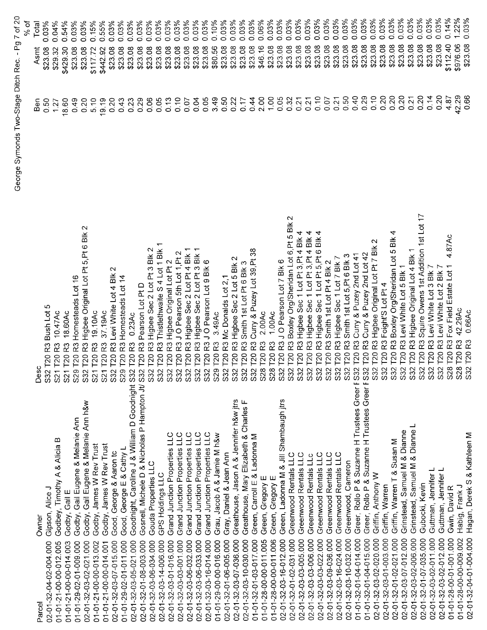|                                                                                                                              |                                                                                         |       |          | h of  |
|------------------------------------------------------------------------------------------------------------------------------|-----------------------------------------------------------------------------------------|-------|----------|-------|
| Owner<br>Parcel                                                                                                              | Desc                                                                                    | Ben   | Asmt     | Total |
| Gipson, Alice J<br>02-01-32-04-02-004.000                                                                                    | ഥ<br>R3 Bush Lot<br>S32 T20                                                             | 0.50  | \$23.08  | 0.03% |
| Godbey, Timothy A & Alicia B                                                                                                 | 10.47Ac<br>R3<br>S21 T <sub>20</sub>                                                    | 1.27  | \$29.32  | 0.04% |
| 01-01-21-00-00-012.005                                                                                                       | 18.60Ac<br>R3<br>S21 T20                                                                | 18.60 | \$429.30 | 0.54% |
| Godby, Gail E<br>01-01-21-00-00-014.003                                                                                      | Homesteads Lot 16<br>R3<br>S29 T20                                                      | 0.49  | \$23.08  | 0.03% |
| Godby, Gail Eugene & Melanie Ann h&w<br>Godby, Gail Eugene & Melanie Ann<br>02-01-32-03-02-021.000<br>01-01-29-02-01-009 000 | $\sim$<br>R3 Higbee Original Lot Pt 5, Pt 6 Blk<br>S32 T20                              | 0.20  | \$23.08  | 0.03% |
| Godby, James W Rev Trust<br>01-01-21-00-00-013.002                                                                           | 19.10Ac<br>ನ್ನ<br>S21 T20                                                               | 5.10  | \$117.72 | 0.15% |
| Godby, James W Rev Trust<br>01-01-21-00-00-014.001                                                                           | 37.19Ac<br>R3<br>S21 T20                                                                | 19.19 | \$442.92 | 0.55% |
| Good, George & Aaron to<br>02-01-32-03-07-015.000                                                                            | R3 Levi White Lot 4 Blk 2<br>S32 T20                                                    | 0.20  | \$23.08  | 0.03% |
| Good, George E & Cathy L<br>01-01-29-02-01-011.000                                                                           | R3 Homesteads Lot 14<br>S29 T20                                                         | 0.43  | \$23.08  | 0.03% |
| Goodnight, Caroline J & William D Goodnight S32 T20<br>02-01-32-03-05-021.000                                                | 0.23AC<br>R3                                                                            | 0.23  | \$23.08  | 0.03% |
| Gosnell, Michele D & Nicholas P Hampton Jt/<br>02-01-32-01-08-003.000                                                        | R3 Pearson Lot Pt D<br>S32 T20                                                          | 0.29  | \$23.08  | 0.03% |
| Gouda Properties LLC<br>02-01-32-03-06-034.000                                                                               | Higbee Sec 2 Lot Pt 3 Blk 2<br>$\overline{R3}$<br>32T20<br>Ò,                           | 0.06  | \$23.08  | 0.03% |
| GPS Holdings LLC<br>02-01-32-03-14-006.000                                                                                   | Thistlethwaite S 4 Lot 1 Blk<br>R3<br>K<br>32T20<br>ഗ                                   | 0.05  | \$23.08  | 0.03% |
| Grand Junction Properties LLC<br>02-01-32-03-01-016.000                                                                      | Higbee Original Lot Pt 2<br>R3<br>S32 T20                                               | 0.13  | \$23.08  | 0.03% |
| Grand Junction Properties LLC<br>02-01-32-03-03-001.000                                                                      | J O Pearson 5th Lot 1, Pt 2<br>$\overline{R}$<br>$\overline{C}$<br>S32                  | 0.10  | \$23.08  | 0.03% |
| Grand Junction Properties LLC<br>02-01-32-03-06-032.000                                                                      | R3 Higbee Sec 2 Lot Pt 4 Blk 1<br>32 120<br>Ö.                                          | 0.07  | \$23.08  | 0.03% |
| Grand Junction Properties LLC<br>02-01-32-03-06-033.000                                                                      | R3 Higbee Sec 2 Lot Pt 3 Blk<br>32T20<br>S.                                             | 0.04  | \$23.08  | 0.03% |
| Grand Junction Properties LLC<br>02-01-32-03-16-014.000                                                                      | J O Pearson Lot 9 Blk 6<br>R3<br>32 T20<br>ഗ                                            | 0.05  | \$23.08  | 0.03% |
| Grau, Jacob A & Jamie M h&w<br>01-01-29-00-00-016.000                                                                        | 3.49Ac<br>R3<br>29 T20<br>ഗ                                                             | 3.49  | \$80.56  | 0.10% |
| Gray, Daniel & Jean Ann<br>02-01-32-01-06-005.000                                                                            | R3 Mc Donalds Lot 2,1<br>32 T <sub>20</sub><br>S                                        | 0.50  | \$23.08  | 0.03% |
| Greathouse, Jason A & Jennifer h&w jtrs<br>02-01-32-03-07-036.000                                                            | R3 Higbee Sec 2 Lot 5 Blk 2                                                             | 0.22  | \$23.08  | 0.03% |
| Greathouse, Mary Elizabeth & Charles F<br>02-01-32-03-10-030.000                                                             | Smith 1st Lot Pt 6 Blk 3<br>R3<br>S32 T20 H                                             | 0.17  | \$23.08  | 0.03% |
| Green, Carroll E & Ladonna M<br>01-01-32-01-03-017.000                                                                       | Curry & Puzey Lot 39, Pt 38<br>R3<br>S32 T20 H<br>S28 T20 H<br>S28 T20 H                | 0.44  | \$23.08  | 0.03% |
| Green, Gregory E<br>01-01-28-00-00-011.005                                                                                   | 2.00Ac<br>R3                                                                            | 2.00  | \$46.16  | 0.06% |
| Green, Gregory E<br>01-01-28-00-00-011.006                                                                                   | 1.00Ac<br>R3                                                                            | 00.1  | \$23.08  | 0.03% |
| Green, Ladonna M & Jill Shambaugh jtrs<br>02-01-32-03-16-012.000                                                             | R3 J O Pearson Lot 7 Blk 6<br>T20<br>S32                                                | 0.05  | \$23.08  | 0.03% |
| Greenwood Rentals LLC<br>02-01-32-01-02-031.000                                                                              | $\mathbf{\sim}$<br>Boxley Org/Sheridan Lot 6, Pt 5 Blk<br>R31<br>T <sub>20</sub><br>S32 | 0.32  | \$23.08  | 0.03% |
| Greenwood Rentals LLC<br>02-01-32-03-03-005.000                                                                              | R3 Higbee Sec 1 Lot Pt 3, Pt 4 Blk 4<br>T20<br>S32                                      | 0.21  | \$23.08  | 0.03% |
| Greenwood Rentals LLc<br>02-01-32-03-03-006.000                                                                              | 4<br>R3 Higbee Sec 1 Lot Pt 3, Pt 4 Blk<br>T20<br>$\overline{\text{S2}}$                | 0.21  | \$23.08  | 0.03% |
| Greenwood Rentals LLC<br>02-01-32-03-03-022.000                                                                              | 4<br>BK<br>Higbee Sec 1 Lot Pt 5, Pt 6<br>R3<br>T20<br>S32                              | 0.10  | \$23.08  | 0.03% |
| Greenwood Rentals LLC<br>02-01-32-03-09-036.000                                                                              | Smith 1st Lot Pt 4 Blk 2<br>R3<br><b>T20</b><br>32<br>ပာ                                | 0.07  | \$23.08  | 0.03% |
| Greenwood Rentals LLC<br>02-01-32-03-16-024.000                                                                              | R3 Higbee Sec 1 Lot 7 Blk 7<br>T20<br>S32                                               | 0.21  | \$23.08  | 0.03% |
| Greenwood, Cameron<br>02-01-32-03-10-032.000                                                                                 | Smith 1st Lot 5, Pt 6 Blk 3<br>R3<br>32T20<br>ഗ                                         | 0.50  | \$23.08  | 0.03% |
| Greer, Rollo P & Suzanne H Trustees Greer F S32<br>01-01-32-01-04-014.000                                                    | Curry & Puzey 2nd Lot 41<br>R3<br>T20                                                   | 0.40  | \$23.08  | 0.03% |
| Greer, Rollo P & Suzanne H Trustees Greer F S32<br>01-01-32-01-04-015.000                                                    | Curry & Puzey 2nd Lot 42<br>R3<br><b>T20</b>                                            | 0.29  | \$23.08  | 0.03% |
| Griffin, Anthony W<br>02-01-32-03-02-020.000                                                                                 | $\scriptstyle\sim$<br>Higbee Original Lot Pt 7 Blk<br>R3<br>T20<br>S2                   | 0.10  | \$23.08  | 0.03% |
| Griffin, Warren<br>02-01-32-03-01-003.000                                                                                    | Foight'S Lot Pt 4<br>R3<br><b>P20</b><br>S32                                            | 0.20  | \$23.08  | 0.03% |
| Griffin, Warren T & Susan M<br>02-01-32-01-02-021.000                                                                        | R3 Boxley Org/Sheridan Lot 5 Blk<br>S32 T20                                             | 0.20  | \$23.08  | 0.03% |
| Grinstead, Samuel M & Dianne<br>02-01-32-03-07-012.000                                                                       | R3 Levi White Lot 5 Blk 1<br>T20<br>$\overline{\text{S2}}$                              | 0.20  | \$23.08  | 0.03% |
| Grinstead, Samuel M & Dianne L<br>02-01-32-03-02-006.000                                                                     | R3 Higbee Original Lot 4 Blk 1<br><b>P20</b><br>S32                                     | 0.21  | \$23.08  | 0.03% |
| Gubocki, Kevin<br>02-01-32-01-07-035.000                                                                                     | R3 Squire Owens 1st Addition 1st Lot 17<br>T <sub>20</sub><br>S <sub>32</sub>           | 0.20  | \$23.08  | 0.03% |
| Guttman, Jennifer L<br>02-01-32-03-02-011.000                                                                                | R3 Levi White Lot 3 Blk 7<br>T20<br>$\overline{\text{S2}}$                              | 0.14  | \$23.08  | 0.03% |
| Guttman, Jennifer L<br>02-01-32-03-02-012.000                                                                                | R3 Levi White Lot 2 Blk 7<br>$\overline{120}$<br>S32                                    | 0.20  | \$23.08  | 0.03% |
| Gwin, David R<br>01-01-28-00-01-001.000                                                                                      | 4.87Ac<br>Fox Field Estate Lot 1<br>ဥ<br>S28 T20                                        | 4.87  | \$112.40 | 0.14% |
| Habig, Frank J<br>01-01-28-00-00-009.002                                                                                     | 42.29Ac<br>R3<br>$\overline{120}$<br>$\frac{28}{2}$                                     | 42.29 | \$976.06 | 1.22% |
| Hagan, Derek S & Kathleen M<br>02-01-32-04-01-004.000                                                                        | 0.66Ac<br>R3<br>T20<br>$\overline{3}$                                                   | 0.66  | \$23.08  | 0.03% |

George Symonds Two-Stage Ditch Rec. - Pg 7 of 20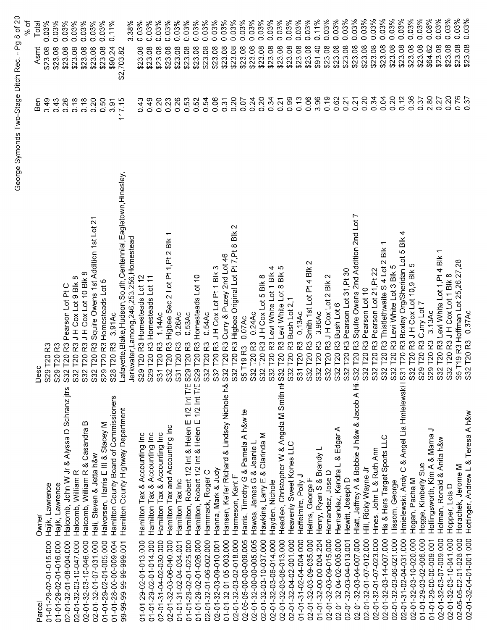|                        |                                                    | George Symonds Two-Stage Ditch Rec.                                        |                       | $-$ Pg 8 of 20      |
|------------------------|----------------------------------------------------|----------------------------------------------------------------------------|-----------------------|---------------------|
|                        |                                                    |                                                                            |                       | % of                |
| Parcel                 | Owner                                              | Desc                                                                       | Ben                   | Total<br>Asmt       |
| 01-01-29-02-01-015.000 | Hajik, Lawrence                                    | R <sub>3</sub><br>S29 T20                                                  | 0.49                  | 0.03%<br>\$23.08    |
| 01-01-29-02-01-016.000 | Hajik, Lawrence                                    | R3<br><b>T20</b><br>S29                                                    | 0.43                  | 0.03%<br>\$23.08    |
| 02-01-32-01-08-004.000 | Halcomb, John W Jr & Alyssa D Schranz jtrs         | T20 R3 Pearson Lot Pt C<br>S32                                             | 0.26                  | 0.03%<br>\$23.08    |
| 02-01-32-03-10-047.000 | Halcomb, William R                                 | 2 T20 R3 J H Cox Lot 9 Blk 8<br>$\overline{\text{S}}$                      | 0.18                  | 0.03%<br>\$23.08    |
| 02-01-32-03-10-046.000 | Halcomb, William R & Casandra B                    | S32 T20 R3 J H Cox Lot 10 Blk 8                                            | 0.18                  | 0.03%<br>\$23.08    |
| 02-01-32-01-07-031.000 | Hall, Steven & Jetta h&w                           | $\overline{\mathcal{N}}$<br>S32 T20 R3 Squire Owens 1st Addition 1st Lot   | 0.20                  | 0.03%<br>\$23.08    |
| 01-01-29-02-01-005.000 | Halvorsen, Harris E III & Stacey M                 | S29 T20 R3 Homesteads Lot 5                                                | 0.50                  | 0.03%<br>\$23.08    |
| 01-01-28-00-00-009.004 | Hamilton County Board of Commissioners             | 3.91Ac<br>S28 T20 R3                                                       | 3.91                  | 0.11%<br>\$90.24    |
| 99-99-99-99-99-999.001 | Hamilton County Highway Department                 | ayette, Blake, Hudson, South, Centennial, Eagletown, Hinesley,<br>्रं      | 117.15                | \$2,703.82          |
|                        |                                                    | Jerkwater, Lamong, 246, 253, 256, Homestead                                |                       | 3.38%               |
| 01-01-29-02-01-013.000 | Hamilton Tax & Accounting Inc                      | S29 T20 R3 Homesteads Lot 12                                               | 43<br>0               | 0.03%<br>\$23.08    |
| 01-01-29-02-01-014.000 | Hamilton Tax & Accounting Inc                      | S29 T20 R3 Homesteads Lot 11                                               | 0.49                  | 0.03%<br>\$23.08    |
| 02-01-31-04-02-030.000 | Hamilton Tax & Accounting Inc                      | 1.14AC<br><b>T20R3</b><br>$\rm \hat{S}$                                    | 0.20                  | 0.03%<br>\$23.08    |
| 02-01-32-03-06-040.000 | Hamilton Tax and Accounting Inc                    | 1, Pt 2 Blk<br>ā,<br>$2$ Lot<br>T20 R3 Higbee Sec<br>S32                   | 0.23                  | 0.03%<br>\$23.08    |
| 01-01-31-02-04-034.001 | Hamilton Tax Inc                                   | 0.26Ac<br>T20 <sub>R3</sub><br>$\overline{\text{S31}}$                     | 0.26                  | 0.03%<br>\$23.08    |
| 01-01-29-02-01-025.000 | Hamilton, Robert 1/2 Int & Helen E 1/2 Int T/E S29 | 0.53AC<br>T20 <sub>R3</sub>                                                | 0.53                  | 0.03%<br>\$23.08    |
| 01-01-29-02-01-026.000 | Hamilton, Robert 1/2 Int & Helen E 1/2 Int T/E S29 | T20 R3 Homesteads Lot 10                                                   | 0.52                  | 0.03%<br>\$23.08    |
| 02-01-32-01-06-002.000 | Hammack, Roger C                                   | 0.54Ac<br>T20 <sub>R3</sub><br>S32                                         | 0.54                  | 0.03%<br>\$23.08    |
| 02-01-32-03-09-010.001 | Hanna, Mark & Judy                                 |                                                                            | <b>90.06</b>          | 0.03%<br>\$23.08    |
| 01-01-32-01-05-003.000 | Hansen, Keifer Richard & Lindsey Nichole h&        | S32 T20 R3 J H Cox Lot Pt 1 Blk 3<br>S32 T20 R3 Curry & Puzey 2nd Lot 46   | 0.31                  | 0.03%<br>\$23.08    |
| 02-01-32-03-02-018.000 | Harmeson, Kent F                                   | $\sim$<br>S32 T20 R3 Higbee Original Lot Pt 7, Pt 8 Blk                    | 0.20                  | 0.03%<br>\$23.08    |
| 02-05-05-00-00-009.005 | Harris, Timothy G & Pamela A h&w te                | 0.07AC                                                                     | 0.07                  | 0.03%<br>\$23.08    |
| 02-01-32-00-00-005.005 | Hawes, James G & Jeanie L                          | 0.24AC<br>S5 T19 R3 (<br>S32 T20 R3                                        | 0.24                  | 0.03%<br>\$23.08    |
| 02-01-32-03-10-037.000 | Hawkins, Larry E & Clarinda M                      | S32 T20 R3 J H Cox Lot 5 Blk 8                                             | 0.20                  | 0.03%<br>\$23.08    |
|                        |                                                    | T20 R3 Levi White Lot 1 Blk 4<br>S32                                       | 0.34                  | 0.03%<br>\$23.08    |
| 02-01-32-03-06-014.000 | Hayden, Nichole                                    | ယ<br>T20 R3 Levi White Lot 8 Blk                                           | 0.21                  | 0.03%<br>\$23.08    |
| 02-01-32-03-06-013.000 | Headlee, Christopher W & Angela M Smith ni S32     |                                                                            | 0.99                  | 0.03%<br>\$23.08    |
| 02-01-32-04-02-001.000 | Heavenly Sweet Kones LLC                           | T20 R3 Bush Lot 2,<br><b>S32</b>                                           |                       | 0.03%               |
| 01-01-31-02-04-004.000 | Heffelmire, Polly J                                | $0.13$ Ac<br><b>T20 R3</b><br>$\overline{ }$<br>33                         | 0.13                  | \$23.08             |
| 02-01-32-03-09-035.000 | Helms, George F                                    | $\mathbf{\Omega}$<br>Smith 1st Lot Pt 4 Blk<br>T20 <sub>R3</sub><br>$\sim$ | 0.06                  | 0.03%<br>\$23.08    |
| 01-01-32-00-00-004.204 | Henry, Ryan S & Brandy L                           | 3.96AC<br><b>T20R3</b><br>$\mathbf{\Omega}$<br>33<br>33                    | 3.96                  | 0.11%<br>\$91.40    |
| 02-01-32-03-09-015.000 | Hernandez, Jose D                                  | $\scriptstyle\sim$<br>R3JH Cox Lot 2 Blk<br>T201<br>$\sim$                 | 0.19                  | 0.03%<br>\$23.08    |
| 02-01-32-04-02-005.000 | & Edgar A<br>Hernandez, Kendra L                   | R3 Bush Lot 6<br>T201<br>S32<br>S32                                        | 0.62                  | 0.03%<br>\$23.08    |
| 02-01-32-03-04-013.001 | Hewitt, Joseph D                                   | Pearson Lot 31, Pt 30<br>R3<br>T20                                         | 0.21                  | 0.03%<br>\$23.08    |
| 02-01-32-03-04-007.000 | Hiatt, Jeffrey A & Bobbie J h&w & Jacob A Hi S32   | Squire Owens 2nd Addition 2nd Lot<br>R3<br>T20                             | 0.21                  | 0.03%<br>\$23.08    |
| 02-01-32-01-07-012.000 | Hill, Ricky Wayne Jr                               | Pearson Lot 10<br>T20 <sub>R3</sub><br>S32<br>S32                          | 0.20                  | 0.03%<br>\$23.08    |
| 02-01-32-01-07-023.000 | Hines, John L & Ruth Ann                           | Pearson Lot 21, Pt 22<br>T20 <sub>R3</sub>                                 | 0.34                  | 0.03%<br>\$23.08    |
| 02-01-32-03-14-007.000 | His & Hers Target Sports LLC                       | Bik<br>Thistlethwaite S 4 Lot 2<br><b>T20 R3</b><br><b>S32</b>             | 0.04                  | 0.03%<br>\$23.08    |
| 02-01-32-03-06-021.000 | Hissom, George                                     | T20 R3 Levi White Lot 3 Blk 5<br>S32                                       | 0.20                  | 0.03%<br>\$23.08    |
| 02-01-31-02-04-031.000 | C & Angel Lia Hmielewski I S31<br>Hmielewski, Andy | 4<br>$\frac{1}{2}$<br>LO<br>T20 R3 Boxley Org/Sheridan Lot                 | 0.12                  | 0.03%<br>\$23.08    |
| 02-01-32-03-10-020.000 | Hogan, Pacha M                                     | Ю<br>T20 R3 JH Cox Lot 10,9 Blk<br>S32                                     | 0.36                  | 0.03%<br>\$23.08    |
| 01-01-29-03-02-006.000 | Hogge, Kimberly Sue                                | T20 R3 Curry Lot 7<br>S29                                                  | 0.37                  | 0.03%<br>\$23.08    |
| 01-01-29-00-00-009.001 | っ<br>Hollingsworth, Kim A & Marna                  | 3.13AC<br>S29 T20 R3                                                       | 2.80                  | 0.08%<br>\$64.62    |
| 02-01-32-03-07-009.000 | Holman, Ronald & Anita h&w                         | S32 T20 R3 Levi White Lot 1, Pt 4 Blk                                      | 0.27                  | 0.03%<br>\$23.08    |
| 02-01-32-03-10-041.000 | Hopper, Lois D                                     | S32 T20 R3 J H Cox Lot 1 Blk 8                                             | 0.20                  | $0.03\%$<br>\$23.08 |
| 02-05-05-02-01-028.000 | Horachek, Jerome M                                 | S5 T19 R3 Hoffman Lot 25,26,27,28                                          | 0.76                  | 0.03%<br>\$23.08    |
| 02-01-32-04-01-001.000 | Hottinger, Andrew L & Teresa A h&w                 | 0.37Ac<br>S32 T20 R3                                                       | $\tilde{\varepsilon}$ | 0.03%<br>\$23.08    |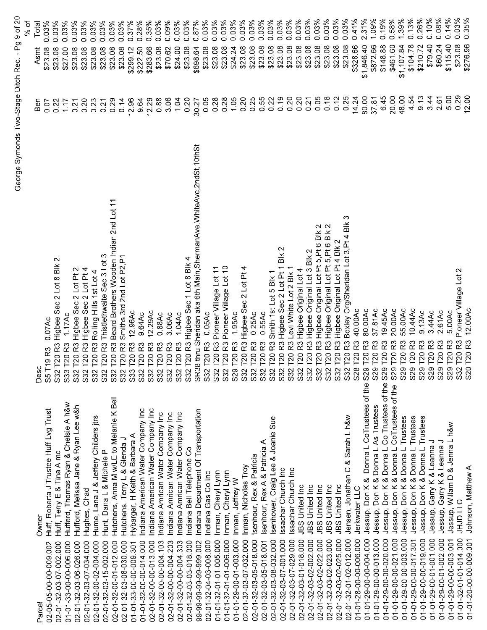|                        |                                               |                                                                                 |              | ა<br>გ                                   |
|------------------------|-----------------------------------------------|---------------------------------------------------------------------------------|--------------|------------------------------------------|
| Parcel                 | Owner                                         | Desc                                                                            | nea          | Total<br>Asmt                            |
| 02-05-05-00-00-009.002 | Huff, Roberta J Trustee Huff Lvg Trust        | 0.07Ac<br>T19 <sub>R3</sub><br>S <sub>5</sub>                                   | 0.07         | 0.03%<br>\$23.08                         |
| 02-01-32-03-07-002.000 | Huff, Terry E & Tina A mc                     | N<br>S32 T20 R3 Higbee Sec 2 Lot 8 Blk                                          | 0.22         | 0.03%<br>\$23.08                         |
| 01-01-33-00-00-006.000 | Hufferd, Thomas Ryan & Chelsie A h&w          | 1.17Ac<br>S33 T20 R3                                                            | 1.17         | 0.03%<br>\$27.00                         |
| 02-01-32-03-06-026.000 | Hufford, Melissa Jane & Ryan Lee w&h          | S32 T20 R3 Higbee Sec 2 Lot Pt 2                                                | 0.21         | 0.03%<br>\$23.08                         |
| 02-01-32-03-07-034.000 | Hughes, Chad                                  | Higbee Sec 2 Lot Pt 4<br>S32 T20 R3                                             | 0.20         | 0.03%<br>\$23.08                         |
| 02-01-32-00-02-004.000 | Hume, Lana J & Jeffery Childers jtrs          | Rolling Hills 1st Lot 4<br>ဥ<br>S32 T20                                         | 0.23         | 0.03%<br>\$23.08                         |
| 02-01-32-03-15-002.000 | Hunt, Dana L & Michele P                      | Thistlethwaite Sec 3 Lot 3<br>$\overline{\mathbf{R}}$<br>T20<br>S32             | 0.21         | 0.03%<br>\$23.08                         |
| 02-01-32-00-01-012.000 | Bell<br>Hutchens, Anna M w/LE to Melanie K    | Beard Brothers Wooden Indian 2nd Lot 11<br>R3<br>$\overline{C}$<br>S32          | 0.29         | 0.03%<br>\$23.08                         |
| 02-01-32-03-08-030.000 | Hutchens, Terry L & Glenda J                  | Smiths 3rd 2nd Lot P2, P1<br>ဥ<br>120<br>S32                                    | 0.14         | 0.03%<br>\$23.08                         |
| 01-01-33-00-00-009.301 | Hybarger, H Keith & Barbara A                 | 12.96Ac<br>R3<br>T201<br>S33                                                    | 12.96        | 0.37%<br>\$299.12                        |
| 01-01-32-00-00-014.000 | Indiana American Water Company Inc            | 9.64Ac<br>ဥ<br>$\overline{120}$<br>S32                                          | 9.64         | 0.28%<br>\$222.50                        |
| 02-01-32-00-00-013.000 | Indiana American Water Company Inc            | 12.29Ac<br>T20 <sub>R3</sub><br>Š                                               | 12.29        | 0.35%<br>\$283.66                        |
| 02-01-32-00-00-004.103 | Indiana Amrican Water Company Inc             | 0.88Ac<br>T20 R3<br>S32                                                         | 0.88         | 0.03%<br>\$23.08                         |
| 02-01-32-00-00-004.203 | ndiana Amrican Water Company Inc              | 3.06Ac<br>T20 <sub>R3</sub><br>S32                                              | 3.06         | 0.09%<br>\$70.62                         |
| 02-01-32-00-00-004.303 | ndiana Amrican Water Company Inc              | 1.04Ac<br>T20 <sub>R3</sub><br>$\sim$<br>$\ddot{\mathrm{S}}$                    | 1.04         | 0.03%<br>\$24.00                         |
| 02-01-32-03-03-018.000 | ndiana Bell Telephone Co                      | T20 R3 Higbee Sec 1 Lot 8 Blk 4<br>အိ                                           | 0.20         | 0.03%<br>\$23.08                         |
| 99-99-99-99-99-999.002 | ndiana Department Of Transportation           | SR38 thru Sheridan aka 6th, Main, ShermanAve, WhiteAve, 2ndSt, 10thSt           | 30.27        | 0.87%<br>\$698.64                        |
| 02-01-32-04-03-008.000 | Indiana Gas Co Inc                            | 0.05Ac<br>2 T20 R3<br>$\ddot{\mathrm{s}}$                                       | 0.05         | 0.03%<br>\$23.08                         |
| 01-01-32-01-01-005.000 | nman, Cheryl Lynn                             | Pioneer Village Lot 11<br>T20 <sub>R3</sub><br>္တ                               | 0.28         | 0.03%<br>\$23.08                         |
| 01-01-32-01-01-006.000 | nman, Cheryl Lynn                             | T20 R3 Pioneer Village Lot 10<br>္တ                                             | 0.28         | 0.03%<br>\$23.08                         |
| 01-01-29-00-01-003.000 | nman, Jeffrey W                               | 1.95Ac<br>9T20R3<br>Š                                                           | 1.05         | 0.03%<br>\$24.24                         |
| 02-01-32-03-07-032.000 | Inman, Nicholas Troy                          | T20 R3 Higbee Sec 2 Lot Pt 4<br>S32                                             | 0.20         | 0.03%<br>\$23.08                         |
| 02-01-32-03-05-018.000 | Isenhour, Rex & Patricia                      | 0.25AC<br>R3<br>T201<br>$\sim$<br>တိ                                            | 0.25         | 0.03%<br>\$23.08                         |
| 02-01-32-03-05-018.001 | Isenhour, Rex A & Patricia A                  | 0.55Ac<br>R3<br>T20<br>$\sim$<br>S.                                             | 0.55         | 0.03%<br>\$23.08                         |
| 02-01-32-03-08-032.000 | Sue<br>Isenhower, Craig Lee & Joanie          | Smith 1st Lot 5 Blk 1<br>R <sub>3</sub><br>T20<br>$\ddot{\mathrm{3}}$           | 0.22         | 0.03%<br>\$23.08                         |
| 02-01-32-03-07-001.000 | ssachar Church Inc                            | Higbee Sec 2 Lot Pt 1 Blk 2<br><b>T20 R3</b><br>S32                             | 0.19         | 0.03%<br>\$23.08                         |
| 02-01-32-03-07-029.000 | ssachar Church Inc                            | Levi White Lot 2 Blk 1<br>$\overline{2}$<br>$\overline{120}$<br>S32             | 0.20         | 0.03%<br>\$23.08                         |
| 02-01-32-03-01-018.000 | JBS United Inc                                | Higbee Original Lot 4<br><b>T20 R3</b><br>S32                                   | 0.20         | 0.03%<br>\$23.08                         |
| 02-01-32-03-02-002.000 | JBS United Inc                                | Higbee Original Lot 3 Blk 2<br>R3<br>T201<br>S32                                | 0.21         | 0.03%<br>\$23.08                         |
| 02-01-32-03-02-022.000 | JBS United Inc                                | $\sim$<br>Higbee Original Lot Pt 5, Pt 6 Blk<br>R3<br>T201                      | 0.05         | 0.03%<br>\$23.08                         |
| 02-01-32-03-02-023.000 | JBS United Inc                                | Higbee Original Lot Pt 5, Pt 6 Blk 2<br>$\overline{3}$<br>T20<br>S32<br>S32     | 0.18         | 0.03%<br>\$23.08                         |
| 02-01-32-03-02-025.000 | JBS United Inc                                | Higbee Original Lot Pt 4 Blk 2<br>R3<br>T20                                     | 0.12         | 0.03%<br>\$23.08                         |
| 02-01-32-01-02-012.000 | Jensen, Jonathan C & Sarah L h&w              | ო<br>Boxley Org/Sheridan Lot 3, Pt 4 Blk<br>R3<br>T <sub>20</sub><br><b>S32</b> | 0.25         | 0.03%<br>\$23.08                         |
| 01-01-28-00-00-006.000 | Jerkwater LLC                                 | 40.00Ac<br>R3<br>$\overline{120}$<br>$\infty$<br>$\Omega$                       | 14.24        | 0.41%<br>\$328.66                        |
| 01-01-29-00-00-004.000 | Jessup, Don K & Donna L CoTrustees of the S2  | 80.00Ac<br>R3<br>T201<br>တ                                                      | 80.00        | 2.31%<br>\$1,846.40                      |
| 01-01-29-00-00-013.000 | Jessup, Don K & Donna L As Trustees           | 37.81Ac<br>ဥ<br>T20<br>$\sigma$<br>$\tilde{\Omega}$                             | 3781         | 1.09%<br>\$872.66                        |
| 01-01-29-00-00-020.000 | Jessup, Don K & Donna L Co Trustees of the S2 | 19.45Ac<br>ဥ<br>T <sub>20</sub><br>$\sigma$                                     | 6.45         | 0.19%<br>\$148.88                        |
| 01-01-29-00-00-021.000 | Jessup, Don K & Donna L CoTrustees of the     | 20.00Ac<br>ဥ<br>T20<br>စ<br>$\Omega$                                            | 20.00        | 0.58%<br>\$461.60                        |
| 01-01-29-00-00-003.000 | Trustees<br>& Donna L<br>Jessup, Don K        | 55.00Ac<br>R3<br><b>T20</b><br>$\sigma$<br>$\delta$                             | 48.00        | 1.39%<br>\$1,107.84                      |
| 01-01-29-00-00-017.301 | Trustees<br>Jessup, Don K & Donna L           | 10.44Ac<br>ဥ<br>T20<br>$\sigma$<br>$\Omega$                                     | 4.54         | 0.13%<br>\$104.78                        |
| 01-01-29-00-00-019.000 | Jessup, Don K & Donna L Trustees              | 9.13Ac<br>ဥ<br>$\overline{120}$<br>$\sigma$<br>$\Omega$                         | 9.13         | 0.26%<br>0.10%<br>\$210.72               |
| 01-01-29-00-01-001.000 | Jessup, Garry K & Leanna J                    | 3.44Ac<br>R3<br>T20<br>$\overline{\mathcal{P}}$<br>$\Omega$                     | 3.44         | \$79.40                                  |
| 01-01-29-00-01-002.000 | Jessup, Garry K & Leanna J                    | 2.61Ac<br>T <sub>20</sub><br>$\infty$<br>$\Omega$                               | 2.61         | 0.14%<br>$0.08\%$<br>\$115.40<br>\$60.24 |
| 01-01-29-00-00-003.001 | Jessup, Willam D & Jenna L h&w                | 5.00Ac<br>ឌ<br>T <sub>20</sub><br>$\overline{\mathbf{Q}}$<br>$\Omega$           | 5.00<br>0.29 | 0.03%<br>\$23.08                         |
| 01-01-32-01-01-014.000 | <b>JHJD LLC</b>                               | R3 Pioneer Village Lot 2<br>1201<br>ss<br>S                                     | 12.00        | 0.35%<br>\$276.96                        |
| 01-01-20-00-00-009.001 | Johnson, Matthew A                            | 12.00Ac<br>0T20R3                                                               |              |                                          |

George Symonds Two-Stage Ditch Rec. - Pg 9 of 20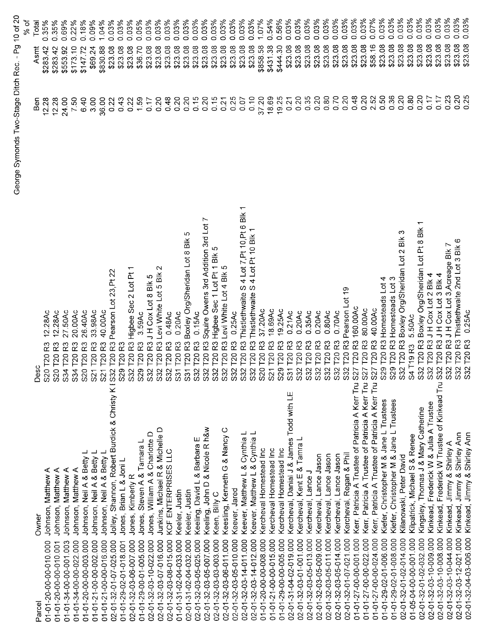|                         |                                                                            |                                                                                 |       |                   | % of  |
|-------------------------|----------------------------------------------------------------------------|---------------------------------------------------------------------------------|-------|-------------------|-------|
| arcel                   | Owner                                                                      | Desc                                                                            | Ben   | Asmt              | Total |
| 010.010-00-00-010.000   | Johnson, Matthew A                                                         | 12.28Ac<br>R3<br>20 T <sub>20</sub><br>္တ                                       | 12.28 | 0.35%<br>\$283.42 |       |
| 011-01-20-00-00-010.001 | Johnson, Matthew A                                                         | 12.28Ac<br>S20 T20                                                              | 12.28 | 0.35%<br>\$283.42 |       |
| 01-01-34-00-00-001.003  | Johnson, Matthew A                                                         | 27.50Ac<br>R3<br>S34 T20                                                        | 24.00 | 0.69%<br>\$553.92 |       |
| 01-01-34-00-00-022.000  | Johnson, Matthew A                                                         | 20.00Ac<br>ဥ<br>T <sub>20</sub><br>S34                                          | 7.50  | 0.22%<br>\$173.10 |       |
| 01-01-20-00-00-003.000  | Johnson, Neil A & Betty L                                                  | 26.40Ac<br>R3<br>T201<br>S20                                                    | 6.40  | 0.18%<br>\$147.72 |       |
| 01-01-21-00-00-002.000  | Johnson, Neil A & Betty L                                                  | 33.98Ac<br>ဥ<br>T <sub>20</sub><br>S21                                          | 3.00  | 0.09%<br>\$69.24  |       |
| 01-01-21-00-00-016.000  | Johnson, Neil A & Betty L                                                  | 40.00Ac<br>R3<br>T201<br>S <sub>21</sub>                                        | 36.00 | 1.04%<br>\$830.88 |       |
| 02-01-32-01-07-025.000  | Jolley, Shannon, Robert Burdick & Christy K I S32                          | Pearson Lot 23, Pt 22<br>R3<br>T201                                             | 0.22  | 0.03%<br>\$23.08  |       |
| 01-01-29-02-01-018.001  | Jones, Brian L & Joni L                                                    | R3<br>T201<br>S29                                                               | 0.43  | 0.03%<br>\$23.08  |       |
| 000.700-08-01-32-01-02  | Jones, Kimberly R                                                          | R3 Higbee Sec 2 Lot Pt<br>T <sub>20</sub><br>S32                                | 0.22  | 0.03%<br>\$23.08  |       |
| 01-01-29-00-01-005.000  | Jones, Steven A & Tamara L                                                 | 3.59Ac<br>R3<br>T <sub>20</sub><br>S29                                          | 1.59  | 0.05%<br>\$36.70  |       |
| 02-01-32-03-10-022.000  | Jones, William A & Charlotte D                                             | R3JHCoxLot 8 Blk 5<br>T20<br><b>S32</b>                                         | 0.17  | 0.03%<br>\$23.08  |       |
| 02-01-32-03-07-016.000  | Junkins, Michael R & Michelle D                                            | 2<br>R3 Levi White Lot 5 Blk<br><b>P20</b><br>S32                               | 0.20  | 0.03%<br>\$23.08  |       |
| 02-01-32-03-08-015.000  | KCF ENTERPRISES LLC                                                        | 0.48Ac<br>T20 <sub>R3</sub>                                                     | 0.48  | 0.03%<br>\$23.08  |       |
| 01-01-31-02-04-033.000  | Keeler, Justin                                                             | 0.20AC<br>53<br>T201<br>S31                                                     | 0.20  | \$23.08           | 0.03% |
| 02-01-31-02-04-032.000  | Keeler, Justin                                                             | ഥ<br>T20 R3 Boxley Org/Sheridan Lot 8 Blk<br>$\overline{\text{S3}}$             | 0.20  | \$23.08           | 0.03% |
| 02-01-32-03-05-025.000  | Keeling, David L & Barbara E                                               | 0.15AC<br>T20 <sub>R3</sub><br>S32                                              | 0.15  | \$23.08           | 0.03% |
| 02-01-32-03-05-007.000  | Keeling, John D & Nicole R h&w                                             | Squire Owens 3rd Addition 3rd Lot 7<br>T20 <sub>R3</sub>                        | 0.20  | \$23.08           | 0.03% |
| 02-01-32-03-03-003.000  | Keen, Billy C                                                              | R3 Higbee Sec 1 Lot Pt 1 Blk 5<br>T201<br>S32<br>S32                            | 0.15  | \$23.08           | 0.03% |
| 02-01-32-03-06-011.000  | Keesling, Kenneth G & Nancy C                                              | Levi White Lot 4 Blk 5<br>R3<br>T <sub>20</sub>                                 | 0.21  | \$23.08           | 0.03% |
| 02-01-32-03-05-010.000  | Keever, Jared                                                              | 0.25Ac                                                                          | 0.25  | \$23.08           | 0.03% |
| 02-01-32-03-14-011.000  | Keever, Matthew L & Cynthia L                                              | $\overline{\phantom{0}}$<br>Thistlethwaite S 4 Lot 7, Pt 10, Pt 6 Blk<br>R3     | 0.07  | \$23.08           | 0.03% |
| 02-01-32-03-14-012.000  | Keever, Matthew L & Cynthia L                                              | Thistlethwaite S 4 Lot Pt 10 Blk 1<br>T20 <sub>R3</sub>                         | 0.10  | \$23.08           | 0.03% |
| 01-01-20-00-00-008.000  | Kercheval Homestead Inc                                                    | 37.20Ac<br>S32 T20 R3<br>S32 T20 R3<br>S32 T20 R3<br>S20 T20 R3                 | 37.20 | \$858.58          | 1.07% |
| 01-01-21-00-00-015.000  | Kercheval Homestead Inc                                                    | 18.69Ac<br>S21 T20 R3                                                           | 18.69 | \$431.38          | 0.54% |
| 01-01-29-00-00-005.000  | Kercheval Homestead Inc                                                    | 19.25Ac<br>S29 T20 R3                                                           | 19.25 | \$444.30          | 0.56% |
| 02-01-31-04-02-019.000  | Kercheval, Danial J & James Todd with LE                                   | $0.21$ Ac<br>S31 T20 R3                                                         | 0.21  | \$23.08           | 0.03% |
| 02-01-32-03-01-001.000  | Kercheval, Kent E & Tamra L                                                | 0.20Ac<br>S32 T20 R3                                                            | 0.20  | \$23.08           | 0.03% |
| 02-01-32-03-05-013.000  | Kercheval, Lance J                                                         | 0.35Ac<br>S32 T20 R3                                                            | 0.35  | \$23.08           | 0.03% |
| 02-01-32-03-05-009.000  | Kercheval, Lance Jason                                                     | 0.20Ac<br>32 T20 R3<br>Ò,                                                       | 0.20  | \$23.08           | 0.03% |
| 02-01-32-03-05-011.000  | Kercheval, Lance Jason                                                     | 0.80Ac<br>ဥ<br>32 T <sub>20</sub><br>ဲဟ                                         | 0.80  | \$23.08           | 0.03% |
| 02-01-32-03-05-014.000  | Kercheval, Lance Jason                                                     | 0.70AC<br>T20 <sub>R3</sub><br>$\overline{32}$<br>ഗ                             | 0.70  | \$23.08           | 0.03% |
| 02-01-32-01-07-021.000  | Kercheval, Regan & Phil                                                    | ၃<br>T20 R3 Pearson Lot<br>32 <sup>1</sup><br>S.                                | 0.20  | \$23.08           | 0.03% |
| 01-01-27-00-00-001.000  | Kerr, Patricia A Trustee of Patricia A Kerr Tru S.                         | 160.00Ac<br>27 T20 R3                                                           | 0.48  | \$23.08           | 0.03% |
| 01-01-27-00-00-022.000  | Kerr, Patricia A Trustee of Patricia A Kerr Tru S.                         | 80.00Ac<br>27 T20 R3                                                            | 0.20  | \$23.08           | 0.03% |
| 01-01-27-00-00-024.000  | Kerr, Patricia A Trustee of Patricia A Kerr Tru S.                         | 40.00Ac<br>27 T20 R3                                                            | 2.52  | \$58.16           | 0.07% |
| 01-01-29-02-01-006.000  | Kiefer, Christopher M & Jane L Trustees                                    | 29 T20 R3 Homesteads Lot 4<br>ഗ                                                 | 0.50  | \$23.08           | 0.03% |
| 01-01-29-02-01-008.000  | Kiefer, Christopher M & Jane L Trustees                                    | S29 T20 R3 Homesteads Lot 3                                                     | 0.36  | \$23.08           | 0.03% |
| 02-01-32-01-02-014.000  | Kilanowski, Peter David                                                    | ო<br>S32 T20 R3 Boxley Org/Sheridan Lot 2 Blk                                   | 0.20  | \$23.08           | 0.03% |
| 01-05-04-00-00-001.000  | Kilpatrick, Michael S & Renee                                              | 5.50Ac<br>S4 T19 R3                                                             | 0.80  | \$23.08           | 0.03% |
| 02-01-32-01-02-032.000  | Kingsley, Thomas J & Mary Catherine                                        | S32 T20 R3 Boxley Org/Sheridan Lot Pt 8 Blk 1<br>S32 T20 R3 J H Cox Lot 2 Blk 4 | 0.20  | \$23.08           | 0.03% |
| 02-01-32-03-10-009.000  | Kinkead, Frederick W & Julia A Trustee                                     |                                                                                 | 0.17  | \$23.08           | 0.03% |
| 02-01-32-03-10-008.000  | Kinkead, Frederick W Trustee of Kinkead Tru S32 T20 R3 J H Cox Lot 3 Blk 4 |                                                                                 | 0.17  | \$23.08           | 0.03% |
| 02-01-32-03-10-044.000  | Kinkead, Jimmy & Shirley A                                                 | T20 R3 J H Cox Lot 3, Acreage Blk 7<br>\$32                                     | 0.23  | \$23.08           | 0.03% |
| 02-01-32-03-12-021.000  | Kinkead, Jimmy & Shirley Ann                                               | T20 R3 Thistlethwaite 2nd Lot 3 Blk 6<br>S32                                    | 0.20  | \$23.08           | 0.03% |
| 02-01-32-04-03-006.000  | Kinkead, Jimmy & Shirley Ann                                               | 0.25Ac<br>S32 T20 R3                                                            | 25    | \$23.08           | 0.03% |

George Symonds Two-Stage Ditch Rec. - Pg 10 of 20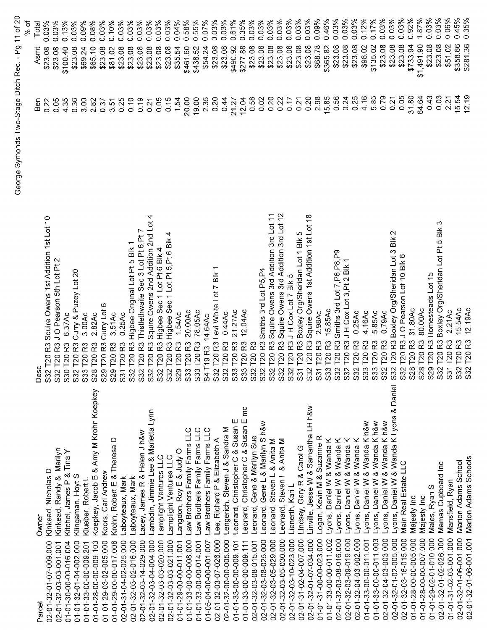|                                                                   |                                                                            |          | ა<br>გ              |
|-------------------------------------------------------------------|----------------------------------------------------------------------------|----------|---------------------|
| Owner<br>Parcel                                                   | Desc                                                                       | າອິ<br>ອ | Total<br>Asmt       |
| Kinkead, Nicholas D<br>02-01-32-01-07-009.000                     | S32 T20 R3 Squire Owens 1st Addition 1st Lot 10                            | 0.22     | 0.03%<br>\$23.08    |
| Kinkead, Randy & Marilyn<br>02-01-32-03-03-001.001                | S32 T20 R3 J O Pearson 5th Lot Pt 2                                        | 0.05     | 0.03%<br>\$23.08    |
| Kitchel, James P & Tina Y<br>01-01-30-00-00-016.004               | 6.37Ac                                                                     | 4.35     | 0.13%<br>\$100.40   |
| Klingaman, Hoyt S<br>01-01-32-01-04-002.000                       | R3 Curry & Puzey Lot 20<br>S30 T20 R3<br>S32 T20 R3<br>S33 T20 R3          | 0.36     | 0.03%<br>\$23.08    |
| Klueber, Robert L<br>01-01-33-00-00-009.201                       | 3.00Ac                                                                     | 3.00     | 0.09%<br>\$69.24    |
| Koepkey, Jacob B & Amy M Krohn Koepkey<br>01-01-28-00-00-009.103  | 2.82Ac<br>S28 T20 R3                                                       | 2.82     | 0.08%<br>\$65.10    |
| Koors, Carl Andrew<br>01-01-29-03-02-005.000                      | S29 T20 R3 Curry Lot 6                                                     | 0.37     | 0.03%<br>\$23.08    |
| Krohn, Robert E & Theresa D<br>01-01-29-00-00-017.008             | 3.51Ac<br>S29 T20 R3                                                       | 3.51     | 0.10%<br>\$81.02    |
| Laboyteaux, Mark<br>02-01-31-04-02-025.000                        | 0.25Ac<br>R3<br>S31 T20                                                    | 0.25     | 0.03%<br>\$23.08    |
| Laboyteaux, Mark<br>02-01-32-03-02-016.000                        | R3 Higbee Original Lot Pt 5 Blk 1<br>S32 T20                               | 0.10     | 0.03%<br>\$23.08    |
| Lacey, James R & Helen J h&w<br>02-01-32-03-14-029.000            | L<br>Thistlethwaite Sec 3 Lot Pt 6, Pt<br>$\overline{R}$<br>S32 T20 F      | 0.19     | 0.03%<br>\$23.08    |
| Lambdin, Jimmie Lee & Marietta Lynn<br>02-01-32-03-04-004 000     | 4<br>Squire Owens 2nd Addition 2nd Lot<br><b>T20 R3</b><br>S32             | 0.21     | 0.03%<br>\$23.08    |
| Lamplight Ventures LLC<br>02-01-32-03-03-020.000                  | T20 R3 Higbee Sec 1 Lot Pt 6 Blk 4<br>$\overline{32}$<br>Ø                 | 0.05     | 0.03%<br>\$23.08    |
| Lamplight Ventures LLC<br>02-01-32-03-03-021.000                  | 32 T20 R3 Higbee Sec 1 Lot Pt 5, Pt 6 Blk 4<br>O)                          | 0.15     | 0.03%<br>\$23.08    |
| Langdon, Roy E & Judy O<br>01-01-29-00-00-011.001                 | 1.54Ac<br>29 T20 R3<br>ပာ                                                  | 1.54     | 0.04%<br>\$35.54    |
| Law Brothers Family Farms LLC<br>01-01-33-00-00-008.000           | 20.00Ac<br>33 T20 R3<br>ഗ                                                  | 20.00    | 0.58%<br>\$461.60   |
| Law Brothers Family Farms LLC<br>01-01-33-00-00-014.001           | 78.05Ac<br>33 T20 R3<br>ω                                                  | 19.00    | 0.55%<br>\$438.52   |
| Law Brothers Family Farms LLC<br>01-05-04-00-00-001.007           | 14.64Ac<br>4 T19 R3<br>O)                                                  | 2.35     | 0.07%<br>\$54.24    |
| Lee, Richard P & Elizabeth A<br>02-01-32-03-07-026.000            | 32 T20 R3 Levi White Lot 7 Blk<br>ၯ                                        | 0.20     | 0.03%<br>\$23.08    |
| Lengerich, Steven J & Sandra M<br>02-01-32-00-00-005.000          | 0.44Ac<br>32 T20 R3<br>ပာ                                                  | 0.44     | 0.03%<br>\$23.08    |
| Leonard, Christopher C & Susan E<br>01-01-33-00-00-009.101        | 21.27Ac<br>33 T20 R3<br>ഗ                                                  | 21.27    | 0.61%<br>\$490.92   |
| Leonard, Christopher C & Susan E mc<br>01-01-33-00-00-009.111     | 12.04Ac<br>33 T20 R3<br><b>ഗ ഗ</b>                                         | 12.04    | 0.35%<br>\$277.88   |
| Leonard, Gene & Marilyn Sue<br>02-01-32-03-08-015.001             | 32 T20 R3                                                                  | 0.58     | 0.03%<br>\$23.08    |
| Leonard, Gene L & Marilyn S h&w<br>02-01-32-03-08-025.000         | 32 T20 R3 Smiths 3rd Lot P5, P4<br>S32 T20 R3 9                            | 0.02     | 0.03%<br>\$23.08    |
| Leonard, Steven L & Anita M<br>02-01-32-03-05-029.000             | Squire Owens 3rd Addition 3rd Lot 11                                       | 0.20     | 0.03%<br>\$23.08    |
| Leonard, Steven L & Anita M<br>02-01-32-03-05-030.000             | Squire Owens 3rd Addition 3rd Lot 12<br>R3<br>S32 T20                      | 0.22     | 0.03%<br>\$23.08    |
| Lienerth, Kari L<br>02-01-32-03-10-023.000                        | R3JHCoxLot7Blk5<br>T20                                                     | 0.17     | 0.03%<br>\$23.08    |
| Lindsay, Gary R & Carol G<br>02-01-31-02-04-007.000               | IO<br>Boxley Org/Sheridan Lot 1 Blk<br>T20 <sub>R3</sub><br>$rac{32}{531}$ | 0.21     | 0.03%<br>\$23.08    |
| Linville, Jesse W & Samantha LH h&w<br>02-01-32-01-07-034.000     | T20 R3 Squire Owens 1st Addition 1st Lot 18<br>S32                         | 0.20     | 0.03%<br>\$23.08    |
| Logan, Kevin M & Suzanne R<br>01-01-31-00-00-023.000              | 2.98Ac<br>T20 <sub>R3</sub><br>$\overline{53}$                             | 2.98     | 0.09%<br>\$68.78    |
| Lyons, Daniel W & Wanda K<br>01-01-33-00-00-011.002               | 15.85Ac<br>S33 T20 R3                                                      | 15.85    | 0.46%<br>\$365.82   |
| Lyons, Daniel W & Wanda K<br>02-01-32-03-08-016.000               | T20 R3 Smiths 3rd Lot 7, P6, P8, P9<br>S32                                 | 0.56     | 0.03%<br>\$23.08    |
| Lyons, Daniel W & Wanda K<br>02-01-32-03-09-019.000               | S32 T20 R3 J H Cox Lot 3, Pt 2 Blk 1                                       | 0.24     | 0.03%<br>\$23.08    |
| Lyons, Daniel W & Wanda K<br>02-01-32-04-03-002.000               | 0.25Ac<br>R <sub>3</sub><br><b>T20</b><br>S32                              | 0.25     | 0.03%<br>\$23.08    |
| Lyons, Daniel W & Wanda K h&w<br>01-01-33-00-00-011.001           | 4.16Ac<br>R3<br>T20<br>533                                                 | 4.16     | 0.12%<br>\$96.02    |
| Lyons, Daniel W & Wanda K h&w<br>01-01-33-00-00-011.003           | 5.85Ac<br>ဥ<br>S33 T20                                                     | 5.85     | 0.17%<br>\$135.02   |
| yons, Daniel W & Wanda K h&w<br>02-01-32-04-03-003.000            | 0.79Ac<br>S32 T20 R3                                                       | 0.79     | 0.03%<br>\$23.08    |
| yons, Daniel W & Wanda K Lyons & Daniel<br>02-01-32-01-02-005.000 | R3 Boxley Org/Sheridan Lot 3 Blk 2<br>S32 T20                              | 0.21     | 0.03%<br>\$23.08    |
| Main Real Estate LLC<br>02-01-32-03-16-015.000                    | J O Pearson Lot 10 Blk 6<br>.<br>ಜ<br>S32 T20                              | 0.05     | 0.03%<br>\$23.08    |
| Majesty Inc<br>01-01-28-00-00-005.000                             | 31.80Ac<br>$\boldsymbol{\mathcal{Z}}$<br>S28 T20                           | 31.80    | 0.92%<br>\$733.94   |
| Majesty Inc<br>01-01-28-00-00-007.000                             | 80.00Ac<br>ဥ<br>S28 T20                                                    | 64.64    | 1.87%<br>\$1,491.90 |
| Males, Ryan S<br>01-01-29-02-01-010.000                           | Homesteads Lot 15<br>R3<br>S29 T20                                         | 0.43     | 0.03%<br>\$23.08    |
| Mamas Cupboard Inc<br>02-01-32-01-02-026.000                      | ω<br>R3 Boxley Org/Sheridan Lot Pt 5 Blk<br>T20<br>$532 -$                 | 0.03     | 0.03%<br>\$23.08    |
| Mansfield, Ryan<br>01-01-31-02-03-001.000                         | 2.21Ac<br>ဥ<br>S31 T20                                                     | 2.21     | 0.06%<br>\$51.02    |
| Marion Adams School<br>02-01-32-01-06-001.000                     | 15.54Ac<br>R3<br>T201<br>$\overline{\text{S}2}$                            | 15.54    | 0.45%<br>\$358.66   |
| Marion Adams Schools<br>02-01-32-01-06-001.001                    | 12.19Ac<br>S32 T20 R3                                                      | 12.19    | 0.35%<br>\$281.36   |

George Symonds Two-Stage Ditch Rec. - Pg 11 of 20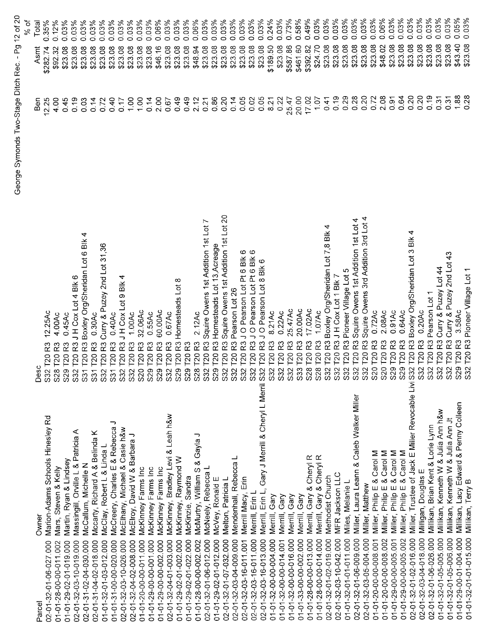|                                               |                                                                      |                                                                                                                  | George Symonds Two-Stage Ditch Rec. - Pg | $12$ of $20$                |
|-----------------------------------------------|----------------------------------------------------------------------|------------------------------------------------------------------------------------------------------------------|------------------------------------------|-----------------------------|
|                                               |                                                                      |                                                                                                                  |                                          | % of                        |
| iacol                                         | Owner                                                                | ပ<br>Des                                                                                                         | Ben                                      | Total<br>Asmt               |
| 00.750-01-02-01-06-02                         | Marion-Adams Schools Hinesley Rd                                     | 12.25Ac<br>R <sub>3</sub><br><b>T20</b><br>S32                                                                   | 12.25                                    | 0.12%<br>0.35%<br>\$282.74  |
| 01-01-28-00-00-011.002                        | Mars, Steven & Kelly                                                 | 4.00Ac<br>R3<br><b>T20</b><br><b>S28</b>                                                                         | 4.00<br>0.45                             | 0.03%<br>\$23.08<br>\$92.32 |
| 01-01-29-02-01-019.000                        | Martin, Ryan & Lindsey                                               | R3JHCoxLot4Blk6<br>0.45Ac<br><b>23</b><br>T20<br>S29                                                             | 0.19                                     | 0.03%<br>\$23.08            |
| 00.024-02-04-030.000<br>00.61-01-32-03-10-019 | Massingill, Orville L & Patricia A<br>McCallum, Michelle N           | 4<br>R3 Boxley Org/Sheridan Lot 6 Blk<br>T <sub>20</sub><br>T <sub>20</sub><br>S <sub>32</sub><br>$\overline{S}$ | 0.03                                     | 0.03%<br>\$23.08            |
| 000.810-24-04-02-018                          | Mccarty, Richard A & Belinda K                                       | 0.30AC<br>$\tilde{\mathbf{r}}$<br>T <sub>20</sub><br>$\overline{53}$                                             | 0.14                                     | 0.03%<br>\$23.08            |
| 01-01-32-01-03-012.000                        | McClay, Robert L & Linda L                                           | Curry & Puzey 2nd Lot 31,36<br>R3<br>120<br>S <sub>32</sub>                                                      | 0.72                                     | 0.03%<br>\$23.08            |
| 01-01-31-00-00-020.000                        | っ<br>McCreery, Charles E & Rebecca                                   | 0.40Ac<br>R <sub>3</sub><br>T20<br>$\overline{\text{S}}$                                                         | 0.40                                     | 0.03%<br>\$23.08            |
| 02-01-32-03-10-026.000                        | McElhany, Michael & Casie h&w                                        | JH Cox Lot 9 Blk<br>R3<br>$\overline{C}$<br>S <sub>32</sub>                                                      | 0.17                                     | 0.03%<br>\$23.08            |
| 000 000-22-04-02-008                          | McElroy, David W & Barbara J                                         | 1.00Ac<br>53<br><b>T20</b><br>S <sub>32</sub>                                                                    | 1.00                                     | 0.03%<br>\$23.08            |
| 01-01-20-00-00-011.000                        | McKinney Farms Inc                                                   | 32.06Ac<br>53<br>120<br><b>S20</b>                                                                               | 100                                      | 0.03%<br>\$23.08            |
| 01-01-29-00-00-001.000                        | McKinney Farms Inc                                                   | 0.55Ac<br><b>23</b><br>T20<br>S <sub>29</sub>                                                                    | 0.14                                     | 0.03%<br>\$23.08            |
| 01-01-29-00-00-002.000                        | McKinney Farms Inc                                                   | 60.00Ac<br>ဥ<br>$\overline{120}$<br>S <sub>29</sub>                                                              | 2.00                                     | $0.06\%$<br>\$46.16         |
| 00.014-32-04-01-003.000                       | McKinney, Bradley Levi & Leah h&w                                    | 0.67Ac<br>53<br>T <sub>20</sub><br>S <sub>32</sub>                                                               | 0.67                                     | 0.03%<br>\$23.08            |
| 01-01-29-02-01-002.000                        | McKinney, Raymond W                                                  | Homesteads Lot 8<br>R3<br>T20<br>S <sub>29</sub>                                                                 | 0.49                                     | 0.03%<br>\$23.08            |
| 01-01-29-02-01-022.000                        | McKinzie, Sandra                                                     | $\approx$<br>T <sub>20</sub><br><b>S29</b>                                                                       | 0.49                                     | 0.03%<br>\$23.08            |
| 01-01-28-00-00-002.002                        | っ<br>McMurtry, William S & Gayla                                     | 2.12AC<br>R3<br>T20<br>S <sub>28</sub>                                                                           | 2.12                                     | 0.06%<br>\$48.94            |
| 02-01-32-01-06-012.000                        | McNeely, Rebecca L                                                   | Squire Owens 1st Addition 1st Lot<br>R3<br>T20<br>S <sub>32</sub>                                                | 0.21                                     | 0.03%<br>\$23.08            |
| 01-01-29-02-01-012.000                        | McVey, Ronald E                                                      | Homesteads Lot 13, Acreage<br>R <sub>3</sub><br>T20<br><b>S29</b>                                                | 0.86                                     | 0.03%<br>\$23.08            |
| 02-01-32-01-07-032.000                        | Melton, Patricia L                                                   | Squire Owens 1st Addition 1st Lot 20<br>R3<br>T <sub>20</sub><br>S <sub>32</sub>                                 | 0.20                                     | 0.03%<br>\$23.08            |
| 02-01-32-03-04-009.000                        | Mendenhall, Rebecca L                                                | Pearson Lot 26<br>R3<br>T <sub>20</sub><br>S <sub>32</sub>                                                       | 0.14                                     | 0.03%<br>\$23.08            |
| 02-01-32-03-16-011.001                        | Merrill Macy, Erin                                                   | O Pearson Lot Pt 6 Blk 6<br>R <sub>3</sub><br><b>T20</b><br>S32                                                  | 0.05                                     | 0.03%<br>\$23.08            |
| 02-01-32-03-16-011.000                        | Merrill, Erin L                                                      | O Pearson Lot Pt 6 Blk 6<br>R3J<br>T20<br>S <sub>32</sub>                                                        | 0.02                                     | 003%<br>\$23.08             |
| 02-01-32-03-16-013.000                        | Gary J Merrill & Cheryl L Merril S32<br>$E\dot{m}$ $L$ ,<br>Merrill, | O Pearson Lot 8 Blk 6<br>R <sub>3</sub><br>$\overline{1201}$                                                     | 0.05                                     | 0.03%<br>\$23.08            |
| 01-01-32-00-00-004.000                        | Gary<br>Merrill,                                                     | 8.21Ac<br>53<br>$\overline{120}$<br>S32                                                                          | 8.21                                     | 0.24%<br>\$189.50           |
| 01-01-32-00-00-014.001                        | Gary<br>Merrill,                                                     | 0.22AC<br>53<br>T201<br>S32                                                                                      | 0.22                                     | 0.03%<br>\$23.08            |
| 01-01-32-00-00-016.000                        | Gary<br>Merrill,                                                     | 25.47Ac<br>R3<br>$\overline{120}$<br>S32                                                                         | 25.47                                    | 0.73%<br>\$587.86           |
| 01-01-33-00-00-002.000                        | Merrill, Gary                                                        | 20.00Ac<br>R3<br>1201<br>S33                                                                                     | 20.00                                    | 0.58%<br>\$461.60           |
| 01-01-28-00-00-013.000                        | Merrill, Gary & Cheryl R                                             | 17.02Ac<br>53<br>120<br><b>S28</b>                                                                               | 17.02                                    | 0.49%<br>\$392.82           |
| 01-01-28-00-00-014.000                        | Merrill, Gary & Cheryl R                                             | 1.07Ac<br>23<br>120<br><b>S28</b>                                                                                | 10.7                                     | 0.03%<br>\$24.70            |
| 02-01-32-01-02-019.000                        | Methodist Church                                                     | Boxley Org/Sheridan Lot 7,8 Blk<br>ဥ<br>120<br>S32                                                               | 0.41                                     | 0.03%<br>\$23.08            |
| 02-01-32-03-10-042.000                        | MFR Jackson LLC                                                      | JH Cox Lot 1 Blk 7<br>R3<br>T20<br><b>S32</b>                                                                    | 0.19                                     | $0.03\%$<br>\$23.08         |
| 01-01-32-01-01-011.000                        | Miles, Melanie L                                                     | Pioneer Village Lot 5<br>R3<br>T20<br><b>S32</b>                                                                 | 0.29                                     | $0.03\%$<br>\$23.08         |
| 02-01-32-01-06-009.000                        | Miller, Laura Leann & Caleb Walker Miller                            | Squire Owens 1st Addition 1st Lot 4<br>R3<br>T20<br>S32                                                          | 0.28                                     | 0.03%<br>\$23.08            |
| 02-01-32-03-05-004.000                        | Miller, Matthew                                                      | Squire Owens 3rd Addition 3rd Lot 4<br>R3<br>$\overline{C}$<br>S32                                               | 0.20                                     | 0.03%<br>\$23.08            |
| 01-01-20-00-00-008.001                        | Carol M<br>Miller, Philip E &                                        | $0.72$ Ac<br>ဥ<br><b>T20</b><br>S <sub>20</sub>                                                                  | 0.72                                     | $0.03\%$<br>\$23.08         |
| 01-01-20-00-00-008.002                        | Miller, Philip E & Carol M                                           | 2.08Ac<br>53<br>T20<br><b>S20</b>                                                                                | 2.08                                     | 0.06%<br>\$48.02            |
| 01-01-29-00-00-005.001                        | Miller, Philip E & Carol M                                           | 0.91Ac<br>53<br><b>T20</b><br>S29                                                                                | 0.91                                     | 0.03%<br>\$23.08            |
| 01-01-29-00-00-005.002                        | Miller, Philip E & Carol M                                           | 0.64Ac<br>$\approx$<br>T20<br><b>S29</b>                                                                         | 0.64                                     | 0.03%<br>\$23.08            |
| 02-01-32-01-02-016.000                        | Miller, Trustee of Jack E Miller Revocable Livi S32                  | R3 Boxley Org/Sheridan Lot 3 Blk 4<br>T20                                                                        | 0.20                                     | $0.03\%$<br>\$23.08         |
| 02-01-32-03-04-018.000                        | Milligan, Douglas E                                                  | 0.20Ac<br>R3<br>T201<br>S <sub>32</sub>                                                                          | 0.20                                     | 0.03%<br>\$23.08            |
| 02-01-32-01-06-026.000                        | Millikan, Brian Kent & Lorie Lynn                                    | Pearson Lot 1<br>T20 <sub>R3</sub><br>S32                                                                        | 0.19                                     | 0.03%<br>\$23.08            |
| 01-01-32-01-05-005.000                        | Millikan, Kenneth VV & Julia Ann h&w                                 | Curry & Puzey Lot 44<br>T20 <sub>R3</sub><br>S32                                                                 | 0.31                                     | 0.03%<br>\$23.08            |
| 01-01-32-01-05-006.000                        | Millikan, Kenneth W & Julia Ann Jt                                   | T20 R3 Curry & Puzey 2nd Lot 43<br>S32                                                                           | 0.31                                     | 0.03%<br>\$23.08            |
| 01-01-29-00-01-004.000                        | Milikan, Lacy Edward & Penny Colleen                                 | 3.58Ac<br><b>T20 R3</b><br>S29<br>S32                                                                            | 1.88                                     | 0.05%<br>\$43.40            |
| 01-01-32-01-01-015.000                        | Millikan, Terry B                                                    | T20 R3 Pioneer Village Lot 1                                                                                     | $\frac{28}{2}$                           | 0.03%<br>\$23.08            |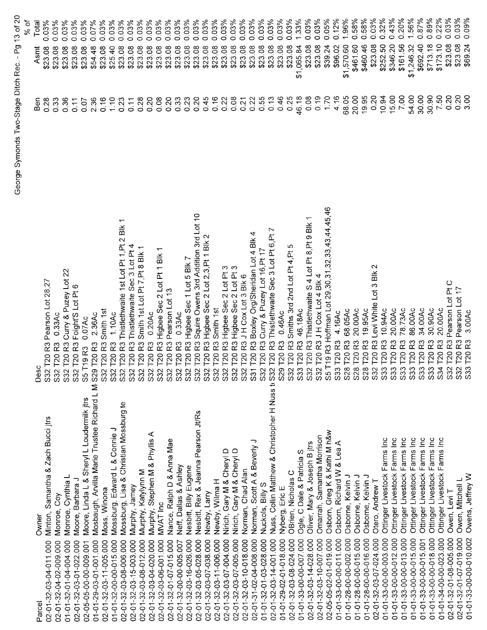|                                                                                  |                                                                             |       | % of                |
|----------------------------------------------------------------------------------|-----------------------------------------------------------------------------|-------|---------------------|
| Owner<br>Parcel                                                                  | ဒိ<br>≏                                                                     | Ben   | Total<br>Asmt       |
| Minton, Samantha & Zach Bucci jtrs<br>02-01-32-03-04-011.000                     | 32 T20 R3 Pearson Lot 28,27                                                 | 0.28  | 0.03%<br>\$23.08    |
| Monroe, Coy<br>02-01-32-04-02-009.000                                            | 0.33AC<br>32 T20 R3                                                         | 0.33  | 0.03%<br>\$23.08    |
| Monroe, Cynthia L<br>01-01-32-01-04-004.000                                      | 32 T20 R3 Curry & Puzey Lot 22<br>တ်တယ်                                     | 0.36  | 0.03%<br>\$23.08    |
| Moore, Barbara J<br>02-01-32-03-01-022.000                                       | S32 T20 R3 Foight'S Lot Pt 6                                                | 0.11  | 0.03%<br>\$23.08    |
| Moore, Linda L & Sheryl L Loudermilk jtrs<br>02-05-05-00-00-009.001              | 0.07Ac<br>S5 T19 R3                                                         | 0.07  | 0.03%<br>\$23.08    |
| Mosbaugh, Arvilla Marie Trustee Richard L M S29 T20 R3<br>01-01-29-03-01-001.000 | 2.36Ac                                                                      | 2.36  | 0.07%<br>\$54.48    |
| Moss, Winona<br>02-01-32-03-11-005.000                                           | S32 T20 R3 Smith 1st                                                        | 0.16  | 0.03%<br>\$23.08    |
| Mossburg, Edward L & Connie J<br>01-01-32-00-00-015.000                          | 1.10Ac<br>R3<br>S32 T20                                                     | 1.10  | 0.03%<br>\$25.40    |
| Mossburg, Lisa & Christian Mossburg te<br>02-01-32-03-08-006.000                 | $\overline{ }$<br>R3 Thistlethwaite 1st Lot Pt 1, Pt 2 Blk<br>S32 T20       | 0.23  | 0.03%<br>\$23.08    |
| Murphy, Jamey<br>02-01-32-03-15-003.000                                          | R3 Thistlethwaite Sec 3 Lot Pt 4                                            | 0.11  | 0.03%<br>\$23.08    |
| Murphy, Katylynn M<br>02-01-32-03-08-012.000                                     | R3 Smith 1st Lot Pt 7, Pt 8 Blk 1<br>S32 T20 F<br>S32 T20 F<br>S32 T20 F    | 0.28  | 0.03%<br>\$23.08    |
| Murphy, Stephen M & Phyllis A<br>02-01-32-03-04-020.000                          | 0.20Ac<br>R3                                                                | 0.20  | 0.03%<br>\$23.08    |
| MVAT Inc<br>02-01-32-03-06-001.000                                               | R3 Higbee Sec 2 Lot Pt 1 Blk 1<br>T <sub>20</sub><br>S32                    | 0.08  | 0.03%<br>\$23.08    |
| Nance, Ralph D & Anna Mae<br>02-01-32-01-07-015.000                              | Pearson Lot 13<br>$\overline{R3}$<br>S32 T20                                | 0.20  | 0.03%<br>\$23.08    |
| Neff, Dallas & Ashley<br>02-01-32-00-00-005.007                                  | 0.33Ac<br>R3<br>T <sub>20</sub><br>S32                                      | 0.33  | 0.03%<br>\$23.08    |
| Nesbitt, Billy Eugene<br>02-01-32-03-16-026.000                                  | R3 Higbee Sec 1 Lot 5 Blk 7<br>S32 T20                                      | 0.23  | 0.03%<br>\$23.08    |
| Nesbitt, Rex & Jeanna Pearson Jt/Rs<br>02-01-32-03-05-028 000                    | Squire Owens 3rd Addition 3rd Lot 10<br>R3<br>$\overline{120}$<br>S32       | 0.20  | 0.03%<br>\$23.08    |
| Newby, Larry<br>02-01-32-03-07-038.000                                           | Higbee Sec 2 Lot 2,3, Pt 1 Blk 2<br>R3<br>T20<br>S32                        | 0.45  | 0.03%<br>\$23.08    |
| Newby, Wilma H<br>02-01-32-03-11-006.000                                         | Smith 1st<br>R3<br>T20<br>S32                                               | 0.16  | 0.03%<br>\$23.08    |
| Nirich, Gary M & Cheryl D<br>02-01-32-03-07-004.000                              | Highee Sec 2 Lot Pt 3<br>$\overline{3}$<br>T201<br>S32                      | 0.22  | 0.03%<br>\$23.08    |
| Nirich, Gary M & Cheryl D<br>02-01-32-03-07-005.000                              | R3 Higbee Sec 2 Lot Pt 3<br>T <sub>20</sub><br>S32                          | 0.08  | 0.03%<br>\$23.08    |
| Norman, Chad Alan<br>02-01-32-03-10-018.000                                      | T20 R3 J H Cox Lot 3 Blk 6<br>S32                                           | 0.21  | 0.03%<br>\$23.08    |
| Norman, Scott A & Beverly J<br>02-01-31-02-04-008.000                            | R3 Boxley Org/Sheridan Lot 4 Blk 4<br>S31 T20                               | 0.22  | 0.03%<br>\$23.08    |
| Nuckols, Billy S<br>01-01-32-01-03-028.000                                       | S32 T20 R3 Curry & Puzey Lot 16, Pt 17                                      | 0.55  | 0.03%<br>\$23.08    |
| Nuss, Collin Matthew & Christopher H Nuss ti S32 T20<br>02-01-32-03-14-001.000   | R3 Thistlethwaite Sec 3 Lot Pt 6, Pt 7                                      | 0.13  | 0.03%<br>\$23.08    |
| Nyberg, Eric E<br>01-01-29-02-01-018.000                                         | 0.46Ac<br>S29 T20 R3                                                        | 0.46  | 0.03%<br>\$23.08    |
| OBrien, Nicholas C<br>02-01-32-03-08-024.000                                     | S32 T20 R3 Smiths 3rd 2nd Lot Pt 4, Pt 5                                    | 0.25  | 0.03%<br>\$23.08    |
| Ogle, C Dale & Patricia S<br>01-01-33-00-00-007.000                              | 46.18Ac<br>S33 T20 R3                                                       | 46.18 | 1.33%<br>\$1,065.84 |
| Oliver, Mary & Joseph B jtrs<br>02-01-32-03-14-028.000                           | S32 T20 R3 Thistlethwaite S 4 Lot Pt 8, Pt 9 Blk                            | 0.08  | 0.03%<br>\$23.08    |
| Omarrah, Samantha Morrison<br>02-01-32-03-10-007.000                             | S32 T20 R3 J H Cox Lot 4 Blk 4                                              | 0.19  | 0.03%<br>\$23.08    |
| Osborn, Greg K & Kathi M h&w<br>02-05-05-02-01-019.000                           | 5 T19 R3 Hoffman Lot 29, 30, 31, 32, 33, 43, 44, 45, 46<br>ഗ                | 1.70  | 0.05%<br>\$39.24    |
| Osborn, Richard W & Lea A<br>01-01-33-00-00-011.000                              | 4.16Ac<br>33 T20 R3<br>ഗ                                                    | 4.16  | 0.12%<br>\$96.02    |
| Osborne, Kelvin J<br>01-01-28-00-00-002.000                                      | 68.05Ac<br>S28 T20 R3                                                       | 68.05 | 1.96%<br>\$1,570.60 |
| Osborne, Kelvin J<br>01-01-28-00-00-015.000                                      | 20.00Ac<br>R3<br>S28 T20                                                    | 20.00 | 0.58%<br>\$461.60   |
| Osborne, Kelvin J<br>01-01-28-00-00-016.000                                      | 19.95Ac<br>R <sub>3</sub><br>T201<br>\$28                                   | 19.95 | 0.58%<br>\$460.46   |
| Otero, Andrew T<br>02-01-32-03-07-024.000                                        | $\sim$<br>Levi White Lot 3 Blk<br>R3<br>$\overline{120}$<br>S32             | 0.20  | 0.03%<br>\$23.08    |
| Ottinger Livestock Farms Inc<br>01-01-33-00-00-003.000                           | 10.94Ac<br>R3<br>120<br>533                                                 | 10.94 | 0.32%<br>\$252.50   |
| Ottinger Livestock Farms Inc<br>01-01-33-00-00-012.000                           | 20.00Ac<br>ಜ<br>$\overline{120}$<br>533                                     | 15.00 | 0.43%<br>\$346.20   |
| Ottinger Livestock Farms Inc<br>01-01-33-00-00-013.000                           | 78.73Ac<br>R3<br>T <sub>20</sub><br>$33 -$                                  | 7.00  | 0.20%<br>\$161.56   |
| Ottinger Livestock Farms Inc<br>01-01-33-00-00-015.000                           | 86.00Ac<br>ಜ<br>S33 T20                                                     | 54.00 | 1.56%<br>\$1,246.32 |
| Ottinger Livestock Farms Inc<br>01-01-33-00-00-015.001                           | 34.00Ac<br>R3<br>S33 T20                                                    | 30.00 | 0.87%<br>\$692.40   |
| Ottinger Livestock Farms Inc<br>01-01-33-00-00-018.000                           | 30.90Ac<br>R <sub>3</sub><br>S33 T20                                        | 30.90 | 0.89%<br>\$713.18   |
| Ottinger Livestock Farms Inc<br>01-01-34-00-00-023.000                           | 20.00Ac<br>ဥ<br><b>T20</b><br>34                                            | 7.50  | 0.22%<br>\$173.10   |
| Owen, Levi T<br>02-01-32-01-08-005.000                                           | Pearson Lot Pt C<br>R3<br>$\overline{120}$<br>32 <sup>2</sup>               | 0.20  | 0.03%<br>\$23.08    |
| Owen, Mitchell L<br>02-01-32-01-07-019.000                                       | R <sub>3</sub> Pearson Lot 17<br>$\overline{120}$<br>$\overline{\text{32}}$ | 0.20  | 0.03%<br>\$23.08    |
| Owens, Jeffrey W<br>01-01-33-00-00-010.002                                       | 3.00Ac<br>R <sub>3</sub><br>S33 T20                                         | 3.00  | 0.09%<br>\$69.24    |

George Symonds Two-Stage Ditch Rec. - Pg 13 of 20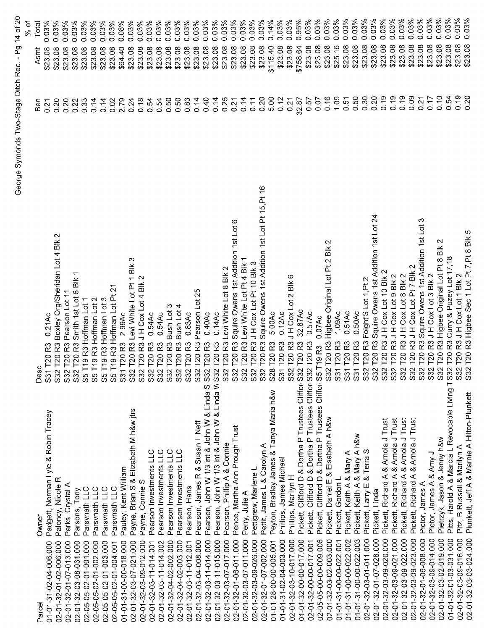|                                                                                                            |                                                                                                                                                                                                  |            | 5<br>R              |
|------------------------------------------------------------------------------------------------------------|--------------------------------------------------------------------------------------------------------------------------------------------------------------------------------------------------|------------|---------------------|
| Owner<br>Parcel                                                                                            | Desc                                                                                                                                                                                             | <b>Ben</b> | Total<br>Asmt       |
| Padgett, Norman Lyle & Robin Tracey<br>01-01-31-02-04-006.000                                              | 0.21AC<br>1 T20 R3                                                                                                                                                                               | 0.21       | 0.03%<br>\$23.08    |
| Paloncy, Nicole R<br>02-01-32-01-02-006.000                                                                | T20 R3 Boxley Org/Sheridan Lot 4 Blk 2<br>$\tilde{\mathbf{z}}$<br>ິ 3 3                                                                                                                          | 0.20       | 0.03%<br>\$23.08    |
| Parks, Crystal A<br>02-01-32-01-07-013.000                                                                 |                                                                                                                                                                                                  | 0.20       | 0.03%<br>\$23.08    |
| Parsons, Tony<br>02-01-32-03-08-031.000                                                                    | 2 T20 R3 Smith 1st Lot 6 Blk                                                                                                                                                                     | 0.22       | 0.03%<br>\$23.08    |
| Parsvnath LLC<br>02-05-05-02-01-001.000                                                                    |                                                                                                                                                                                                  | 0.33       | 0.03%<br>\$23.08    |
| Parsvnath LLC<br>02-05-05-02-01-002.000                                                                    |                                                                                                                                                                                                  | 0.14       | 0.03%<br>\$23.08    |
| Parsvnath LLC<br>02-05-05-02-01-003.000                                                                    |                                                                                                                                                                                                  | 0.14       | 0.03%<br>\$23.08    |
| Parsvnath LLC<br>02-05-05-02-01-004.001                                                                    |                                                                                                                                                                                                  | 0.02       | 0.03%<br>\$23.08    |
| Pauley, Kent William<br>01-01-31-00-00-018.000                                                             | S32 T20 R3 Pearson Lot 11<br>S32 T20 R3 Smith 1st Lot 6 Blk<br>S5 T19 R3 Hoffman Lot 1<br>S5 T19 R3 Hoffman Lot 2<br>S5 T19 R3 Hoffman Lot 3<br>S5 T19 R3 Hoffman Lot Pt 21<br>S31 T20 R3 2.99Ac | 2.79       | $0.08\%$<br>\$64.40 |
| Payne, Brian S & Elizabeth M h&w jtrs<br>02-01-32-03-07-021.000                                            | ო                                                                                                                                                                                                | 0.24       | 0.03%<br>\$23.08    |
| Payne, Connie S<br>02-01-32-03-09-012.000                                                                  | S32 T20 R3 Levi White Lot Pt 1 Blk<br>S32 T20 R3 J H Cox Lot 4 Blk 2                                                                                                                             | 0.18       | 0.03%<br>\$23.08    |
| Pearson Investments LLC<br>02-01-32-03-11-014.001                                                          | 0.54Ac<br>T20 <sub>R3</sub>                                                                                                                                                                      | 0.54       | 0.03%<br>\$23.08    |
| Pearson Investments LLC<br>02-01-32-03-11-014.002                                                          | 0.54Ac<br>T20 <sub>R3</sub><br>S32<br>S32                                                                                                                                                        | 0.54       | 0.03%<br>\$23.08    |
| Pearson Investments LLC<br>02-01-32-04-02-002.000                                                          | T20 R3 Bush Lot 3                                                                                                                                                                                | 0.50       | 0.03%<br>\$23.08    |
| Pearson Investments LLC<br>02-01-32-04-02-003.000                                                          | R3 Bush Lot 4<br>T <sub>20</sub><br>S32 <sup>-</sup>                                                                                                                                             | 0.50       | 0.03%<br>\$23.08    |
| Pearson, Hans<br>02-01-32-03-11-012.001                                                                    | 0.83AC<br><b>T20R3</b><br>S32                                                                                                                                                                    | 0.83       | 0.03%<br>\$23.08    |
| Pearson, James R & Susan L Neff<br>02-01-32-03-04-008.000                                                  | T20 R3 Pearson Lot 25<br>S32                                                                                                                                                                     | 0.14       | 0.03%<br>\$23.08    |
| Pearson, John W 1/3 int & John W & Linda S<br>02-01-32-03-11-014.000                                       | 0.40Ac<br>T <sub>20</sub> R <sub>3</sub><br>S32                                                                                                                                                  | 0.40       | 0.03%<br>\$23.08    |
| Pearson, John W 1/3 int & John W & Linda W S32 T20 R3<br>02-01-32-03-11-015.000                            | 0.14AC                                                                                                                                                                                           | 0.14       | 0.03%<br>\$23.08    |
| Pearson, Phillip A & Connie<br>02-01-32-03-07-017.000                                                      | S32 T20 R3 Levi White Lot 8 Blk 2                                                                                                                                                                | 0.25       | 0.03%<br>\$23.08    |
| Pence, Martha Ann Prough Trust<br>02-01-32-01-06-011.000                                                   | ဖ<br>S32 T20 R3 Squire Owens 1st Addition 1st Lot                                                                                                                                                | 0.21       | 0.03%<br>\$23.08    |
| Perry, Julie A<br>02-01-32-03-07-011.000                                                                   | S32 T20 R3 Levi White Lot Pt 4 Blk                                                                                                                                                               | 0.14       | 0.03%<br>\$23.08    |
| Pettigrew, Marlene L<br>02-01-32-03-09-026.000                                                             | S32 T20 R3 J H Cox Lot Pt 10 Blk 3                                                                                                                                                               | 0.11       | 0.03%<br>\$23.08    |
| Pettit, James L & Carolyn A<br>02-01-32-01-07-002.000                                                      | S32 T20 R3 Squire Owens 1st Addition 1st Lot Pt 15, Pt 16                                                                                                                                        | 0.20       | 0.03%<br>\$23.08    |
| Peyton, Bradley James & Tanya Maria h&w<br>01-01-28-00-00-005.001                                          | 5.00Ac<br>S28 T20 R3                                                                                                                                                                             | 5.00       | 0.14%<br>\$115.40   |
| Phillips, James Michael<br>01-01-31-02-04-003.000                                                          | 0.12AC<br>S31 T20 R3                                                                                                                                                                             | 0.12       | 0.03%<br>\$23.08    |
| Phillips, Marilyn H<br>02-01-32-03-10-017.000                                                              | ဖ<br>JHCox Lot 2 Blk<br>S32 T20 R3                                                                                                                                                               | 0.21       | 0.03%<br>\$23.08    |
| Clifford D & Dortha P Trustees Cliffor S32 T20 R3<br>Pickett,<br>01-01-32-00-00-017.000                    | 32.87Ac                                                                                                                                                                                          | 32.87      | 0.95%<br>\$758.64   |
| Clifford D & Dortha P Trustees Cliffor S32 T20 R3<br>Pickett,<br>02-01-32-00-00-017.001                    | 0.57Ac                                                                                                                                                                                           | 0.57       | 0.03%<br>\$23.08    |
| Clifford D & Dortha P Trustees Cliffor S5 T19 R3<br>Pickett,<br>02-05-05-00-00-009.006                     | 0.07Ac                                                                                                                                                                                           | 0.07       | 0.03%<br>\$23.08    |
| Daniel E & Eisabeth A h&w<br>Pickett,<br>02-01-32-03-02-003.000                                            | S32 T20 R3 Higbee Original Lot Pt 2 Blk 2                                                                                                                                                        | 0.16       | 0.03%<br>\$23.08    |
| Gordon L<br>Pickett,<br>01-01-31-00-00-022.001                                                             | 1.09Ac<br>S31 T20 R3                                                                                                                                                                             | 1,09       | 0.03%<br>\$25.16    |
| Keith A & Mary A<br>Pickett,<br>01-01-31-00-00-022.002                                                     | 0.51Ac<br>S31 T20 R3<br>S31 T20 R3                                                                                                                                                               | 0.51       | 0.03%<br>\$23.08    |
| Pickett, Keith A & Mary A h&w<br>01-01-31-00-00-022.003                                                    | 0.50Ac                                                                                                                                                                                           | 0.50       | 0.03%<br>\$23.08    |
| Larry E & Terra S<br>Pickett,<br>02-01-32-03-01-011.000                                                    | S32 T20 R3 Foight'S Lot 1, Pt 2                                                                                                                                                                  | 0.30       | 0.03%<br>\$23.08    |
| Pickett, Linda<br>02-01-32-01-07-028.000                                                                   | T20 R3 Squire Owens 1st Addition 1st Lot 24                                                                                                                                                      | 0.20       | 0.03%<br>\$23.08    |
| Pickett, Richard A & Arnola J Trust<br>02-01-32-03-09-020.000                                              | 32 T20 R3 J H Cox Lot 10 Blk 2<br>S32 T20 R3 S<br>S32 T20 R3 J<br>S32 T20 R3 J<br>S32 T20 R3 J                                                                                                   | 0.19       | 0.03%<br>\$23.08    |
| Pickett, Richard A & Arnola J Trust<br>02-01-32-03-09-021.000                                              | T20 R3 J H Cox Lot 9 Blk 2                                                                                                                                                                       | 0.19       | 0.03%<br>\$23.08    |
| Pickett, Richard A & Arnola J Trust<br>02-01-32-03-09-022.000                                              | JHCox Lot 8 Blk 2                                                                                                                                                                                | 0.19       | 0.03%<br>\$23.08    |
| Pickett, Richard A & Arnola J Trust<br>02-01-32-03-09-023 000                                              | JH Cox Lot Pt 7 Blk 2<br>S32 T20 R3                                                                                                                                                              | 0.09       | 0.03%<br>\$23.08    |
| Pictor, James A<br>02-01-32-01-06-008.000                                                                  | ∾<br>Squire Owens 1st Addition 1st Lot<br>R3<br>T <sub>20</sub><br>S32 <sup>-</sup>                                                                                                              | 0.21       | 0.03%<br>\$23.08    |
| Pictor, James A & Amy J<br>02-01-32-03-09-014.000                                                          | R3JHCoxLot3Blk2<br>T <sub>20</sub>                                                                                                                                                               | 0.17       | 0.03%<br>\$23.08    |
| Pietrzyk, Jason & Jenny h&w<br>02-01-32-03-02-019.000                                                      | S32 T20 R3 Higbee Original Lot Pt 8 Blk                                                                                                                                                          | 0.10       | 0.03%<br>\$23.08    |
| Pitts, Harold A & Marcia L Revocable Living T S32 T20 R3 Curry & Puzey Lot 17,18<br>01-01-32-01-03-031.000 |                                                                                                                                                                                                  | 0.54       | 0.03%<br>\$23.08    |
| Pitz, B Russell & Marilyn A<br>02-01-32-03-09-016.000                                                      | S32 T20 R3 J H Cox Lot 1 Blk 2                                                                                                                                                                   | 0.19       | 0.03%<br>\$23.08    |
| Plunkett. Jeff A & Marnie A Hilton-Plunkett<br>02-01-32-03-03-024.000                                      | S32 T20 R3 Higbee Sec 1 Lot Pt 7, Pt 8 Blk 5                                                                                                                                                     | 0.20       | 0.03%<br>\$23.08    |

George Symonds Two-Stage Ditch Rec. - Pg 14 of 20<br>% of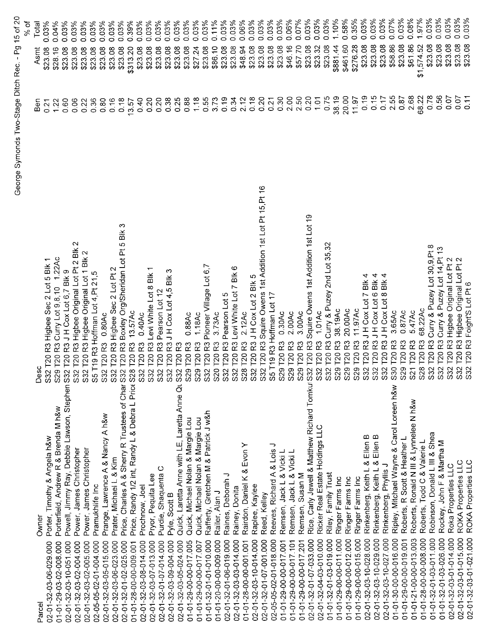|                                                                             |                                                                          |                   | ۵۹<br>۶             |
|-----------------------------------------------------------------------------|--------------------------------------------------------------------------|-------------------|---------------------|
| Owner<br>Parcel                                                             | ب<br>ре.<br>О                                                            | Ben               | Total<br>Asmt       |
| Porter, Timothy & Angela h&w<br>02-01-32-03-06-029.000                      | T20 R3 Higbee Sec 2 Lot 5 Blk 1<br>S32                                   | 0.21              | 0.03%<br>\$23.08    |
| Porterfield, Andrew R & Brenda M h&w<br>01-01-29-03-02-008.000              | 1.22AC<br>T20 R3 Curry Lot 9, 8, 10<br>S29                               | 1.22              | 0.04%<br>\$28.16    |
| Powell, Jimmy Ray, Debbie Lawson, Stephen S32<br>02-01-32-03-10-051.000     | T20 R3 J H Cox Lot 6,7 Blk 9                                             | 0.60              | 0.03%<br>\$23.08    |
| Power, James Christopher<br>02-01-32-03-02-004.000                          | T20 R3 Higbee Original Lot Pt 2 Blk 2<br>S32                             | 0.06              | 0.03%<br>\$23.08    |
| Power, James Christopher<br>02-01-32-03-02-005.000                          | T20 R3 Higbee Original Lot 1 Blk 2<br>S32                                | 0.22              | 0.03%<br>\$23.08    |
| Pramukhlife Inc<br>02-05-05-02-01-004 000                                   | T19 R3 Hoffman Lot 4, Pt 21, 5<br>ဖ်                                     | 0.36              | 0.03%<br>\$23.08    |
| Prange, Lawrence A & Nancy A h&w<br>02-01-32-03-05-015.000                  | 0.80Ac<br><b>T20 R3</b><br>S32                                           | 0.80              | 0.03%<br>\$23.08    |
| Prater, Michael L & Kim<br>02-01-32-03-06-023.000                           | T20 R3 Higbee Sec 2 Lot Pt 2<br>S <sub>32</sub>                          | 0.16              | 0.03%<br>\$23.08    |
| Price, Charles A & Sherry R Trustees of Char S32<br>02-01-32-01-02-025.000  | ω<br>T20 R3 Boxley Org/Sheridan Lot Pt 5 Blk                             | 0.18              | 0.03%<br>\$23.08    |
| Price, Randy 1/2 int, Randy L & Debra L Price S28<br>01-01-28-00-00-009.001 | 13.57Ac<br><b>T20 R3</b>                                                 | 13.57             | 0.39%<br>\$313.20   |
| Prochnow, Joel<br>02-01-32-03-08-014.000                                    | 0.40Ac<br>T20 <sub>R3</sub><br>S <sub>32</sub>                           | 0.40              | 0.03%<br>\$23.08    |
| Pryor, Pequita Lee<br>02-01-32-03-07-013 000                                | T20 R3 Levi White Lot 8 Blk<br>S <sub>32</sub>                           | 0.20              | 0.03%<br>\$23.08    |
| Purdie, Shaquenta C<br>02-01-32-01-07-014.000                               | T20 R3 Pearson Lot 12<br>S32                                             | 0.20              | 0.03%<br>\$23.08    |
| Pyle, Scott B<br>02-01-32-03-09-004.000                                     | S<br>T20 R3 J H Cox Lot 4,5 Blk<br>S32                                   | 0.38              | 0.03%<br>\$23.08    |
| Quick, Laretta Anne with LE, Laretta Anne Qu<br>02-01-32-03-05-024.000      | T20 <sub>R3</sub><br>S32                                                 | 0.25              | 0.03%<br>\$23.08    |
| Quick, Michael Nolan & Margie Lou<br>01-01-29-00-00-017.005                 | 0.88Ac<br><b>T20 R3</b><br>S29                                           | 0.88              | 0.03%<br>\$23.08    |
| Quick, Michael Nolan & Margie Lou<br>01-01-29-00-00-017.007                 | 1.18AC<br><b>T20 R3</b><br>S29                                           | 1.18              | 0.03%<br>\$27.24    |
| Rafferty, Gretchen M & Patrick J w&h<br>01-01-32-01-01-010.000              | T20 R3 Pioneer Village Lot 6,7<br>S32                                    | 0.55              | 0.03%<br>\$23.08    |
| Railer, Alan J<br>01-01-20-00-00-009.000                                    | 3.73Ac<br>S20 T20 R3                                                     | 3.73              | 0.11%<br>\$86.10    |
| Raines, Deborah J<br>02-01-32-01-06-019.000                                 | Ю<br>S32 T20 R3 Pearson Lot                                              | 0.19              | 0.03%<br>\$23.08    |
| Rainey, Donita<br>02-01-32-03-03-014.000                                    | $^\circ$<br>S32 T20 R3 Levi White Lot 7 Blk                              | 0.34              | 0.03%<br>\$23.08    |
| Rairdon, Daniel K & Evon Y<br>01-01-28-00-00-001.001                        | 2.12AC<br>S28 T20 R3                                                     | 2.12              | 0.06%<br>\$48.94    |
| Raplee, Kaylee<br>02-01-32-03-10-014.000                                    | Ю<br>S32 T20 R3 J H Cox Lot 2 Blk                                        | 0.18              | 0.03%<br>\$23.08    |
| Reed, Kelley<br>02-01-32-01-07-001.000                                      | S32 T20 R3 Squire Owens 1st Addition 1st Lot Pt 15, Pt 16                | 0.20              | 0.03%<br>\$23.08    |
| っ<br>Reeves, Richard A & Lois<br>02-05-05-02-01-018.000                     | T19 R3 Hoffman Lot 17<br>SS                                              | 0.21              | 0.03%<br>\$23.08    |
| Remsen, Jack L & Vicki L<br>01-01-29-00-00-017.001                          | 0.30Ac<br>S29 T20 R3                                                     | 0.30              | 0.03%<br>\$23.08    |
| Remsen, Jack L & Vicki L<br>01-01-29-00-00-017 101                          | 2.00Ac<br>T20 <sub>R3</sub><br>$S29$ <sup>-</sup>                        | 2.00              | 0.06%<br>\$46.16    |
| Remsen, Susan M<br>01-01-29-00-00-017.201                                   | 3.00Ac<br>T20 <sub>R3</sub><br>S29                                       | 2.50              | 0.07%<br>\$57.70    |
| Rice, Carly Jewell & Matthew Richard Tomkul S32<br>02-01-32-01-07-033.000   | T20 R3 Squire Owens 1st Addition 1st Lot 19                              | 0.20              | 0.03%<br>\$23.08    |
| Ricker Real Estate Holdings LLC<br>02-01-32-04-03-010.000                   | 1.01Ac<br><b>T20R3</b><br>S32                                            | 1.01              | 0.03%<br>\$23.32    |
| Riley, Family Trust<br>01-01-32-01-03-019.000                               | Curry & Puzey 2nd Lot 35,32<br>T20 <sub>R3</sub><br>S32                  | 0.75              | 0.03%<br>\$23.08    |
| Ringer Farms Inc<br>01-01-29-00-00-011.000                                  | 38.19Ac<br>S29 T20 R3                                                    | 38.19             | 1.10%<br>\$881.44   |
| Ringer Farms Inc<br>01-01-29-00-00-012.000                                  | 20.00Ac<br>T20 <sub>R3</sub><br>ၜ<br>$\tilde{\Omega}$                    | 20.00             | 0.58%<br>\$461.60   |
| Ringer Farms Inc<br>01-01-29-00-00-015.000                                  | 11.97Ac<br>9T20R3<br>$\tilde{\Omega}$                                    | 11.97             | 0.35%<br>\$276.28   |
| Rinkenberg, Keith L & Ellen<br>02-01-32-03-10-028.000                       | Blk 4<br>IH Cox Lot 7<br>T20 <sub>R3</sub><br>$\mathbf{\Omega}$<br>်ဘ    | 0.19              | 0.03%<br>\$23.08    |
| Ellen B<br>Ellen B<br>Rinkenberg, Keith L &<br>02-01-32-03-10-029.000       | Blk 4<br>3 JH Cox Lot 6<br><b>T20 R</b><br>$\sim$<br>တ္တိ                | 0.15              | 0.03%<br>\$23.08    |
| Rinkenberg, Phyllis J<br>02-01-32-03-10-027.000                             | 4<br>$\frac{1}{2}$<br>$\infty$<br>JHCoxLot<br>$\infty$<br>T20<br>2<br>္တ | 0.17              | 0.03%<br>\$23.08    |
| Ripley, Mitchael Wayne & Carol Loreen h&w<br>01-01-30-00-00-016.000         | 3.65Ac<br>T20 <sub>R3</sub><br>S30                                       | 2.55              | 0.07%<br>\$58.86    |
| Roberts, R Scott & Heather L<br>01-01-29-00-00-019.001                      | 0.87Ac<br><b>T20 R3</b><br>S <sub>29</sub>                               | 0.87              | 0.03%<br>\$23.08    |
| Roberts, Ronald N III & Lynnelee N h&w<br>01-01-21-00-00-013.003            | 5.47Ac<br><b>T20 R3</b><br>S21                                           | 2.68              | 0.08%<br>\$61.86    |
| Roberts, Todd C & Valerie L<br>01-01-28-00-00-008.000                       | 68.22Ac<br><b>T20R3</b><br>$\infty$<br>$\overline{\Omega}$               | 68.22             | 1.97%<br>\$1,574.52 |
| Robinson, Donald L III & Shea<br>01-01-32-01-03-011.000                     | Curry & Puzey Lot 30,9,Pt 8<br><b>T20R3</b><br>S32                       | 0.78              | $0.03\%$<br>\$23.08 |
| Rockey, John F & Martha M<br>01-01-32-01-03-026.000                         | T20 R3 Curry & Puzey Lot 14, Pt 13<br>S32                                | 0.56              | 0.03%<br>\$23.08    |
| Roka Properties LLC<br>02-01-32-03-01-014.000                               | T20 R3 Higbee Original Lot Pt 2<br>S32                                   | 0.07              | 0.03%<br>\$23.08    |
| ROKA Properties LLC<br>02-01-32-03-01-015.000                               | T20 R3 Higbee Original Lot Pt 2<br><b>S32</b>                            | 0.07              | 0.03%<br>\$23.08    |
| ROKA Properties LLC<br>02-01-32-03-01-021.000                               | Foight'S Lot Pt<br>R3<br><b>T20</b><br>S32                               | $\overline{0.11}$ | .03%<br>\$23.08     |
|                                                                             |                                                                          |                   |                     |

George Symonds Two-Stage Ditch Rec. - Pg 15 of 20<br>%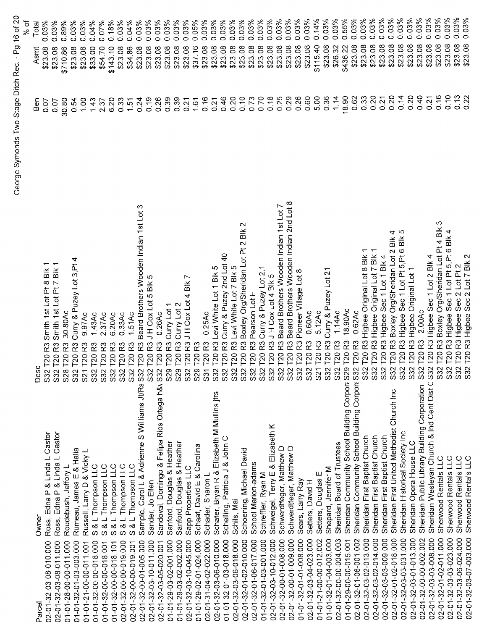|                                                                            |                                                                                |          | 5<br>Ş              |
|----------------------------------------------------------------------------|--------------------------------------------------------------------------------|----------|---------------------|
| Owner<br>Parcel                                                            | ပ<br>Зе<br>О                                                                   | n<br>Ben | Total<br>Asmt       |
| Ross, Edna P & Linda L Castor<br>02-01-32-03-08-010.000                    | Smith 1st Lot Pt 8 Blk<br>T20 <sub>R3</sub><br>S <sub>32</sub>                 | 0.07     | 0.03%<br>\$23.08    |
| Ross, Edna P & Linda L Castor<br>02-01-32-03-08-011.000                    | Smith 1st Lot Pt 7 Blk 1<br>T20 <sub>R3</sub><br>S <sub>32</sub>               | 0.07     | 0.03%<br>\$23.08    |
| Roudebush, Jeffory L<br>01-01-28-00-00-011.000                             | 30 80Ac<br>R <sub>3</sub><br>T201<br>S <sub>28</sub>                           | 30.80    | 0.89%<br>\$710.86   |
| Rumeau, James E & Halia<br>01-01-32-01-03-003.000                          | Curry & Puzey Lot 3, Pt 4<br>R <sub>3</sub><br>T <sub>20</sub><br>S32          | 0.54     | 0.03%<br>\$23.08    |
| Russell, Larry D & Vicky L<br>01-01-21-00-00-011.001                       | 9.97Ac<br>R <sub>3</sub><br><b>T20</b><br>S21                                  | 1.00     | 0.03%<br>\$23.08    |
| S & L Thompson LLC<br>01-01-32-00-00-018.000                               | $1.43$ Ac<br>ဥ<br>T20<br>S <sub>32</sub>                                       | 1.43     | 0.04%<br>\$33.00    |
| & L Thompson LLC<br>$\omega$<br>01-01-32-00-00-018.001                     | 2.37Ac<br>R <sub>3</sub><br>T20<br>S32                                         | 2.37     | 0.07%<br>\$54.70    |
| & L Thompson LLC<br>ဖာ<br>01-01-32-00-00-018.101                           | 6.20Ac<br>R3<br>T201<br>S <sub>32</sub>                                        | 6.20     | 0.18%<br>\$143.10   |
| & L Thompson LLC<br>S.<br>02-01-32-00-00-019.000                           | 0.33AC<br>R3<br><b>T20</b><br>S <sub>32</sub>                                  | 0.33     | 0.03%<br>\$23.08    |
| S & L Thompson LLC<br>02-01-32-00-00-019.001                               | 1.51Ac<br>R3<br>T20<br>S <sub>32</sub>                                         | 1.51     | 0.04%<br>\$34.86    |
| Sample, Carol L & Adrienne S Willliams Jt/Rs S32<br>02-01-32-00-01-005.000 | Beard Brothers Wooden Indian 1st Lot 3<br>R <sub>3</sub><br>T20                | 0.24     | 0.03%<br>\$23.08    |
| Sander, Jo Ellen<br>02-01-32-03-10-011.000                                 | JHCox Lot 5 Blk 5<br>R3<br>T <sub>20</sub><br>S <sub>32</sub>                  | 0.19     | 0.03%<br>\$23.08    |
| Sandoval, Domingo & Felipa Rios Ortega h&v S32<br>02-01-32-03-05-020.001   | 0.26Ac<br>R <sub>3</sub><br>T201                                               | 0.26     | 0.03%<br>\$23.08    |
| Sanford, Douglas & Heather<br>01-01-29-03-02-001.000                       | Curry Lot 1<br>T20 <sub>R3</sub><br>S29                                        | 0.39     | 0.03%<br>\$23.08    |
| Sanford, Douglas & Heather<br>01-01-29-03-02-002.000                       | Curry Lot 2<br>R3<br>T <sub>20</sub><br>S29                                    | 0.39     | 0.03%<br>\$23.08    |
| Sapp Properties LLC<br>02-01-32-03-10-045.000                              | JHCox Lot 4 Blk<br>R3<br>T <sub>20</sub><br>S32                                | 0.21     | 0.03%<br>\$23.08    |
| Schaaf, David E & Carolina<br>01-01-29-02-01-024.000                       | R3<br>T <sub>20</sub><br>S <sub>29</sub>                                       | 1.61     | 0.05%<br>\$37.16    |
| Schader, Sharon L<br>02-01-31-04-02-022.000                                | 0.25Ac<br>R3<br>T20<br>$\overline{3}$                                          | 0.16     | 0.03%<br>\$23.08    |
| Schafer, Bryan R & Elizabeth M Mullins jtrs<br>02-01-32-03-06-010.000      | T20 R3 Levi White Lot 1 Blk 5<br>S32                                           | 0.21     | 0.03%<br>\$23.08    |
| Schelling, Patricia J & John C<br>01-01-32-01-03-018.000                   | T20 R3 Curry & Puzey 2nd Lot 40<br>S <sub>32</sub>                             | 0.46     | 0.03%<br>\$23.08    |
| Schils, Mai<br>02-01-32-03-06-018 000                                      | Levi White Lot 7 Blk 5<br>T20 <sub>R3</sub><br>S32                             | 0.20     | 0.03%<br>\$23.08    |
| Schoening, Michael David<br>02-01-32-01-02-010.000                         | $\mathbf{\sim}$<br>Boxley Org/Sheridan Lot Pt 2 Blk<br><b>T20 R3</b><br>S32    | 0.10     | 0.03%<br>\$23.08    |
| School Marion-adams<br>02-01-32-01-06-017.000                              | Pearson Lot F<br>R3<br>T201<br>S32                                             | 0.73     | 0.03%<br>\$23.08    |
| Schreffler, Ryan M<br>01-01-32-01-03-001.000                               | Curry & Puzey Lot 2,1<br>$\overline{R}$<br>T <sub>20</sub><br>S32              | 0.70     | 0.03%<br>\$23.08    |
| Schweigel, Terry E & Elizabeth K<br>02-01-32-03-10-012.000                 | JHCox Lot 4 Blk 5<br>R3<br>T20<br>S32                                          | 0.18     | 0.03%<br>\$23.08    |
| Schwerdtfeger, Matthew D<br>02-01-32-00-01-008.000                         | Beard Brothers Wooden Indian 1st Lot 7<br>R3<br>T20<br>S32                     | 0.25     | 0.03%<br>\$23.08    |
| Schwerdtfeger, Matthew D<br>02-01-32-00-01-009.000                         | Beard Brothers Wooden Indian 2nd Lot 8<br>R3<br>120<br>S32                     | 0.29     | 0.03%<br>\$23.08    |
| Sears, Larry Ray<br>01-01-32-01-01-008.000                                 | R3 Pioneer Village Lot 8<br>T20<br>S32                                         | 0.26     | 0.03%<br>\$23.08    |
| Setters, David H<br>02-01-32-03-04-023.000                                 | 0.60Ac<br>R3<br>T20<br>Š                                                       | 0.60     | $0.03\%$<br>\$23.08 |
| Ш<br>Setters, Douglas<br>01-01-21-00-00-012.002                            | 5.12Ac<br>R3<br>720<br>$\Omega$                                                | 5.00     | 0.14%<br>\$115.40   |
| Shepard, Jennifer M<br>01-01-32-01-04-003.000                              | Curry & Puzey Lot 21<br>R3<br>T201<br>$\mathbf{\Omega}$<br>$\ddot{\mathbb{S}}$ | 0.36     | 0.03%<br>\$23.08    |
| Sheridan Board of Trustees<br>02-01-32-00-00-004.003                       | 1.14AC<br>R3<br>T20<br>S32                                                     | 1.14     | 0.03%<br>\$26.32    |
| Sheridan Community School Building Corpor: S2<br>01-01-29-00-00-015.001    | 18.90Ac<br>R3<br>T20<br>Φ                                                      | 18.90    | 0.55%<br>\$436.22   |
| Sheridan Community School Building Corpor: S32<br>02-01-32-01-06-001.002   | 0.62Ac<br>R <sub>3</sub><br>120                                                | 0.62     | 0.03%<br>\$23.08    |
| Sheridan First Baptist Church<br>02-01-32-03-02-013.000                    | R3 Higbee Original Lot 8 Blk 1<br>120 <sub>1</sub><br>S32                      | 0.33     | 0.03%<br>\$23.08    |
| Sheridan First Baptist Church<br>02-01-32-03-02-014.000                    | T20 R3 Higbee Original Lot 7 Blk 1<br>S32                                      | 0.20     | 0.03%<br>\$23.08    |
| Sheridan First Baptist Church<br>02-01-32-03-03-009.000                    | Higbee Sec 1 Lot 1 Blk 4<br><b>T20 R3</b><br>S32                               | 0.21     | 0.03%<br>\$23.08    |
| Sheridan First United Methodist Church Inc<br>02-01-32-01-02-018.000       | Bik 4<br>Boxley Org/Sheridan Lot 2<br>$\overline{R3}$<br>T201<br>S32           | 0.20     | 0.03%<br>\$23.08    |
| Sheridan Historical Society Inc<br>02-01-32-03-03-031.000                  | Higbee Sec 1 Lot Pt 5, Pt 6 Blk 5<br><b>T20 R3</b><br>S32                      | 0.14     | 0.03%<br>\$23.08    |
| Sheridan Opera House LLC<br>02-01-32-03-01-013.000                         | Higbee Original Lot 1<br>T20 <sub>R3</sub><br>S32                              | 0.20     | 0.03%<br>\$23.08    |
| Sheridan Public Library Building Corporation<br>02-01-32-00-00-002.002     | 2.00Ac<br>R3<br>T20<br>S32                                                     | 0.40     | 0.03%<br>\$23.08    |
| Sheridan Wesleyan Church & Ind Cent Dist C S32<br>02-01-32-03-03-008.000   | T20 R3 Higbee Sec 1 Lot 2 Blk 4                                                | 0.21     | 0.03%<br>\$23.08    |
| Sherwood Rentals LLC<br>02-01-32-01-02-011.000                             | က<br>Boxley Org/Sheridan Lot Pt 4 Blk<br>T20 <sub>R3</sub><br>S32              | 0.16     | 0.03%<br>\$23.08    |
| Sherwood Rentals LLC<br>02-01-32-03-03-023.000                             | T20 R3 Higbee Sec 1 Lot Pt 5, Pt 6 Blk 4<br>S32                                | 0.10     | $0.03\%$<br>\$23.08 |
| Sherwood Rentals LLC<br>02-01-32-03-06-024.000                             | S32 T20 R3 Higbee Sec 2 Lot Pt 2<br>S32 T20 R3 Higbee Sec 2 Lot 7 Blk 2        | 0.13     | 0.03%<br>\$23.08    |
| Sherwood Rentals LLC<br>02-01-32-03-07-003.000                             |                                                                                | 0.22     | 0.03%<br>\$23.08    |

George Symonds Two-Stage Ditch Rec. - Pg 16 of 20<br>%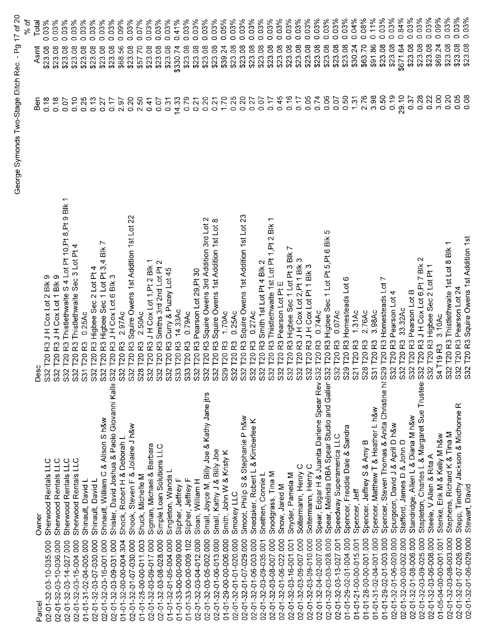|                        |                                                                                 | George Symonds Two-Stage Ditch Rec.                                                                            |       | 17 of 20<br>$P_{q}$ .      |
|------------------------|---------------------------------------------------------------------------------|----------------------------------------------------------------------------------------------------------------|-------|----------------------------|
|                        |                                                                                 |                                                                                                                |       | % of                       |
| Parcel                 | Owner                                                                           | ပ<br>Des                                                                                                       | Ben   | Total<br>Asmt              |
| 02-01-32-03-10-035.000 | Sherwood Rentals LLC                                                            | Blk 9<br>JH Cox Lot 2<br>R3<br>T20<br>S32                                                                      | 0.18  | 0.03%<br>\$23.08           |
| 02-01-32-03-10-036.000 | Sherwood Rentals LLC                                                            | JHCox Lot 1 Blk 9<br>R3<br>T <sub>20</sub><br>S <sub>32</sub>                                                  | 0.18  | 0.03%<br>\$23.08           |
| 02-01-32-03-14-027.000 | Sherwood Rentals LLC                                                            | $\overline{ }$<br>$\frac{1}{2}$<br>σ<br>S 4 Lot Pt 10, Pt 8, Pt<br>R3 Thistlethwaite<br>T <sub>20</sub><br>S32 | 0.07  | 0.03%<br>\$23.08           |
| 02-01-32-03-15-004.000 | $\frac{1}{2}$<br>Sherwood Rentals                                               | Sec 3 Lot Pt 4<br>R <sub>3</sub> Thistlethwaite<br><b>T20</b><br>S32                                           | 0.10  | 0.03%<br>\$23.08           |
| 01-01-31-02-04-005.000 | Shinault, David L                                                               | 0.25Ac<br>R <sub>3</sub><br><b>T20</b><br>S31                                                                  | 0.25  | 0.03%<br>\$23.08           |
| 02-01-32-03-07-030.000 | Shinault, David L                                                               | R3 Higbee Sec 2 Lot Pt 4<br>T <sub>20</sub><br>\$32                                                            | 0.13  | 0.03%<br>\$23.08           |
| 02-01-32-03-16-001.000 | Shinault, William C & Alison S h&w                                              | L<br>R3 Higbee Sec 1 Lot Pt 3,4 Blk<br>T <sub>20</sub><br>S <sub>32</sub>                                      | 0.27  | 0.03%<br>\$23.08           |
| 02-01-32-03-09-031.000 | Shisler, David Joshua & Paolo Giovanni Kallir S32                               | R3JHCoxLot6Blk3<br>T20                                                                                         | 0.17  | 0.03%<br>\$23.08           |
| 01-01-32-00-00-004.304 | Shock, Robert H & Deborah L                                                     | 2.97Ac<br>R3<br>T <sub>20</sub><br>S <sub>32</sub>                                                             | 2.97  | 0.09%<br>\$68.56           |
| 02-01-32-01-07-030.000 | Shook, Steven F & Jolaine J h&w                                                 | Squire Owens 1st Addition 1st Lot 22<br>R3<br>T20<br>S <sub>32</sub>                                           | 0.20  | 0.03%<br>\$23.08           |
| 01-01-28-00-00-011.003 | Shuck, Michelle M                                                               | 2.50Ac<br>R3<br>T20<br>S <sub>28</sub>                                                                         | 2.50  | 0.07%                      |
| 02-01-32-03-09-017.000 | Sigman, Michael & Barbara                                                       | JH Cox Lot 1, Pt 2 Blk 1<br>R <sub>3</sub><br>T20<br>S <sub>32</sub>                                           | 0.41  | 0.03%<br>\$5770<br>\$23.08 |
| 02-01-32-03-08-028.000 | Simple Loan Solutions LLC                                                       | Smiths 3rd 2nd Lot Pt 2<br>T20 <sub>R3</sub><br>$\Im$                                                          | 0.07  | 0.03%<br>\$23.08           |
| 01-01-32-01-05-004.000 | Singleton, Wanda L                                                              | Curry & Puzey Lot 45<br>R3<br>T <sub>20</sub><br>S <sub>32</sub>                                               | 0.31  | 0.03%<br>\$23.08           |
| 01-01-33-00-00-009.000 | Slipher, Jeffrey F                                                              | 14.33Ac<br>T20 <sub>R3</sub><br>S33                                                                            | 14.33 | 0.41%<br>\$330.74          |
| 01-01-33-00-00-009.102 | Slipher, Jeffrey F                                                              | 0.79AC<br>R3<br>T201<br>S33                                                                                    | 0.79  | 0.03%<br>\$23.08           |
| 02-01-32-03-04-012.000 | Sloan, William H                                                                | R3 Pearson Lot 29, Pt 30<br>T <sub>20</sub><br>S32                                                             | 0.21  | 0.03%<br>\$23.08           |
| 02-01-32-03-05-002.000 | Small, Joyce M, Billy Joe & Kathy Jane jtrs                                     | Squire Owens 3rd Addition 3rd Lot 2<br>T20 <sub>R3</sub><br>$\ddot{\Omega}$                                    | 0.20  | 0.03%<br>\$23.08           |
| 02-01-32-01-06-013.000 | Small, Kathy J & Billy Joe                                                      | Squire Owens 1st Addition 1st Lot 8<br>R3<br>S32 T20                                                           | 0.21  | 0.03%<br>\$23.08           |
| 01-01-29-00-00-006.000 | Smith, John W & Kristy K                                                        | 1.70Ac<br>R3<br>S29 T20                                                                                        | 1.70  | 0.05%<br>\$39.24           |
| 02-01-32-01-01-020.000 | Smokey LLC                                                                      | 0.25AC<br>R3<br>S32 T20                                                                                        | 0.25  | 0.03%<br>\$23.08           |
| 02-01-32-01-07-029.000 | Smoot, Philip S & Stephanie P h&w                                               | $\mathbb{S}^2$<br>Squire Owens 1st Addition 1st Lot<br>R3<br>T201<br>S32                                       | 0.20  | 0.03%<br>\$23.08           |
| 02-01-32-01-06-003.000 | Snedaker, Robert L & Kimberlee K                                                | 0.27AC<br>R3<br>T201<br>S32                                                                                    | 0.27  | 0.03%<br>\$23.08           |
| 02-01-32-03-09-035.001 | Snethen, Connie L                                                               | $\mathbf{\sim}$<br>Smith 1st Lot Pt 4 Blk<br>R <sub>3</sub><br>T20<br>S32                                      | 0.07  | 0.03%<br>\$23.08           |
| 02-01-32-03-08-007.000 | Snodgrass, Tina M                                                               | Thistlethwaite 1st Lot Pt 1, Pt 2 Blk<br>R3<br>T20<br>S32                                                      | 0.17  | 0.03%<br>\$23.08           |
| 02-01-32-01-06-022.000 | Snow, Jared M                                                                   | Pearson Lot Pt E<br>R3<br>T20<br><b>S32</b>                                                                    | 0.45  | 0.03%<br>\$23.08           |
| 02-01-32-03-16-001.001 | Snyder, Pamela M                                                                | r<br>Higbee Sec 1 Lot Pt 3 Blk<br>R3<br>T20<br>S32                                                             | 0.16  | 0.03%<br>\$23.08           |
| 02-01-32-03-09-007.000 | Soltermann, Henry C                                                             | က<br>JHCox Lot 2, Pt 1 Blk<br>R3<br>T20<br>S32                                                                 | 0.17  | 0.03%<br>\$23.08           |
| 02-01-32-03-09-010.000 | Soltermann, Henry C                                                             | JHCox Lot Pt 1 Blk<br>R3<br>T20<br><b>S32</b>                                                                  | 0.05  | 0.03%<br>\$23.08           |
| 02-01-32-04-02-007.000 | Spear, Edgar H & Juanita Darlene Spear Rev S32                                  | 0.74AC<br>R3<br>T <sub>20</sub>                                                                                | 0.74  | 0.03%<br>\$23.08           |
| 02-01-32-03-03-028.000 | Spear, Melinda DBA Spear Studio and Galler S32                                  | Ю<br>$\frac{1}{2}$<br>$5.$ Pt $6$<br>ā,<br>Higbee Sec 1 Lot<br>R <sub>3</sub><br>T20                           | 0.06  | 0.03%<br>\$23.08           |
| 02-01-32-03-13-027.001 | Speedway Superamerica LLC                                                       | 0.07Ac<br>T <sub>20</sub> R <sub>3</sub><br><b>S32</b>                                                         | 0.07  | 0.03%<br>\$23.08           |
| 01-01-29-02-01-004.000 | Spencer, Freddie Dale & Sandra                                                  | ဖ<br>Homesteads Lot<br>T20 <sub>R3</sub><br>S29                                                                | 0.50  | 0.03%<br>\$23.08           |
| 01-01-21-00-00-015.001 | Spencer, Jeff                                                                   | 131Ac<br>T20 <sub>R3</sub><br>$\infty$                                                                         | 1.31  | 0.04%<br>\$30.24           |
| 01-01-28-00-00-001.000 | Spencer, Jeffrey S & Amy B                                                      | 2.76Ac<br><b>T20R3</b>                                                                                         | 2.76  | 0.08%<br>\$63.70           |
| 01-01-31-02-04-001.000 | Spencer, Matthew T & Heather L h&w                                              | 3.98Ac<br>T20 <sub>R3</sub><br>$rac{28}{531}$                                                                  | 3.98  | 0.11%<br>\$91.86           |
| 01-01-29-02-01-003.000 | Spencer, Steven Thomas & Anita Christine h<                                     | Ľ<br>T20 R3 Homesteads Lot                                                                                     | 0.50  | 0.03%<br>\$23.08           |
| 02-01-32-01-06-020.000 | Spurgeon, David J & April D h&w                                                 | 4<br>Pearson Lot<br><b>T20 R3</b><br>S32                                                                       | 0.19  | 0.03%<br>\$23.08           |
| 02-01-32-00-00-002.000 | Stafford, James D & John D                                                      | 33.32Ac<br><b>T20 R3</b><br>S32                                                                                | 29.10 | 0.84%<br>\$671.64          |
| 02-01-32-01-08-006.000 | Standridge, Allen L & Diana M h&w                                               | S32 T20 R3 Pearson Lot B                                                                                       | 0.37  | 0.03%<br>\$23.08           |
| 02-01-32-03-09-025.000 | Stapleton, Charles L & Margaret Sue Trustee: S32 T20 R3 J H Cox Lot 6, Pt 7 Blk | N                                                                                                              | 0.28  | 0.03%<br>\$23.08           |
| 02-01-32-03-06-008.000 | Steele, V Allen & Rita A                                                        | S32 T20 R3 Higbee Sec 2 Lot Pt                                                                                 | 0.22  | 0.03%<br>\$23.08           |
| 01-05-04-00-00-001.001 | Stenke, Erik M & Kelly M h&w                                                    | 3.10Ac<br>T19 <sub>R3</sub><br>$\Omega$                                                                        | 3.00  | 0.09%<br>\$69.24           |
| 02-01-32-03-08-003.000 | Stephens, Richard K & Tina M                                                    | 2 T20 R3 Thistlethwaite 1st Lot 8 Blk<br>္တ                                                                    | 0.20  | 0.03%<br>\$23.08           |
| 02-01-32-01-07-026.000 | Stepp, Timothy Jackson & Michonne R                                             | S32 T20 R3 Pearson Lot 24                                                                                      | 0.05  | 0.03%<br>\$23.08           |
| 02-01-32-01-06-029.000 | Stewart, David                                                                  | S32 T20 R3 Squire Owens 1st Addition 1st                                                                       | 0.08  | 0.03%<br>\$23.08           |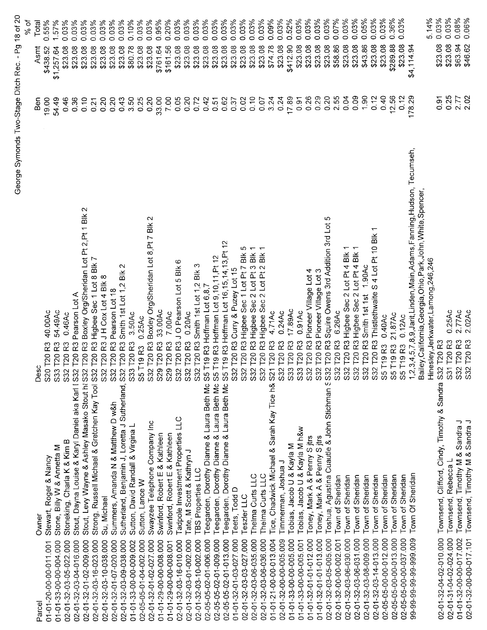|                        |                                                                                 |                                                                                                                 |              |                    | % of  |
|------------------------|---------------------------------------------------------------------------------|-----------------------------------------------------------------------------------------------------------------|--------------|--------------------|-------|
| Parce                  | Owner                                                                           | Desc                                                                                                            | Ben          | Asmt               | Total |
| 01-01-20-00-00-011.001 | Stewart, Roger & Nancy                                                          | 40.00Ac<br>S20 T20 R3                                                                                           | 19.00        | \$438.52           | 0.55% |
| 01-01-33-00-00-004.000 | Stone, Billy W & Annetta M                                                      | 54.49Ac<br>S33 T20 R3                                                                                           | 54.49        | \$1,257.64         | 1.57% |
| 02-01-32-03-05-022.000 | Stoneking, Charla K & Kim B                                                     | 0.46Ac<br>S32 T20 R3                                                                                            | 0.46         | \$23.08            | 0.03% |
| 02-01-32-03-04-016.000 | Stout, Dayna Louise & Karyl Daniel aka Karl I S32 T20 R3                        | Pearson Lot A                                                                                                   | 0.36         | \$23.08            | 0.03% |
| 02-01-32-01-02-009.000 |                                                                                 | $\mathbf{\sim}$<br>Stout, Levy Wayne & Ashley Masako Stout h: S32 T20 R3 Boxley Org/Sheridan Lot Pt 2, Pt 1 Blk | 0.10         | \$23.08            | 0.03% |
| 02-01-32-03-16-023.000 | Strong, Russell Michael & Gretchen Kay Tool S32 T20 R3 Higbee Sec 1 Lot 8 Blk 7 |                                                                                                                 | 0.21         | \$23.08            | 0.03% |
| 02-01-32-03-10-038.000 | Su, Michael                                                                     | JHCox Lot 4 Blk 8<br>S32 T20 R3                                                                                 | 0.20         | \$23.08            | 0.03% |
| 02-01-32-01-07-020.000 | Summers, Amanda N & Matthew D w&h                                               | S32 T20 R3 Pearson Lot 18                                                                                       | 0.20         | \$23.08            | 0.03% |
| 02-01-32-03-09-038.000 | Sutherland, Benjamin J, Loretta J Sutherland, S32 T20 R3                        | $\mathbf{\sim}$<br>Smith 1st Lot 1,2 Blk                                                                        | 0.43         | \$23.08            | 0.03% |
| 01-01-33-00-00-009.002 | Sutton, David Randall & Virgina L                                               | 3.50Ac<br>S33 T20 R3                                                                                            | 3.50         | \$80.78            | 0.10% |
| 02-05-05-01-04-002.000 | Sutton, Lance W                                                                 | 0.25Ac<br>S5 T19 R3                                                                                             | 0.25         | \$23.08            | 0.03% |
| 02-01-32-01-02-027.000 | Swayzee Telephone Company Inc                                                   | Blk 2                                                                                                           | 0.20         | \$23.08            | 0.03% |
| 01-01-29-00-00-008.000 | Swinford, Robert E & Kathleen                                                   | S32 T20 R3 Boxley Org/Sheridan Lot 8,Pt 7<br>S29 T20 R3  33.00Ac<br>S29 T20 R3   7.00Ac                         | 33.00        | \$761.64           | 0.95% |
| 01-01-29-00-00-008.001 | Swinford, Robert E & Kathleen                                                   |                                                                                                                 | 7.00         | \$161.56           | 0.20% |
| 02-01-32-03-16-010.000 | Tadpole Investment Properties LLC                                               | S32 T20 R3 J O Pearson Lot 5 Blk 6                                                                              | 0.05         | \$23.08            | 0.03% |
| 02-01-32-03-01-002.000 | Tate, M Scott & Kathryn J                                                       | 0.20Ac<br>S32 T20 R3                                                                                            | 0.20         | \$23.08            | 0.03% |
| 02-01-32-03-10-002.000 | <b>TBS Properties LLC</b>                                                       | 32 T20 R3 Smith 1st Lot 1,2 Blk<br>Ò,                                                                           | 0.72         | \$23.08            | 0.03% |
| 02-05-05-02-01-006.000 | Teegarden, Dorothy Dianne & Laura Beth Mc                                       | 5 T19 R3 Hoffman Lot 6,8,7<br>Ø                                                                                 | 0.42         | \$23.08            | 0.03% |
| 02-05-05-02-01-009.000 | Teegarden, Dorothy Dianne & Laura Beth Mc                                       | 5 T19 R3 Hoffman Lot 9,10,11, Pt 12<br>Ö                                                                        | 0.51         | \$23.08            | 0.03% |
| 02-05-05-02-01-013.000 | Teegarden, Dorothy Dianne & Laura Beth Mc                                       | 5 T19 R3 Hoffman Lot 16, 15, 14, 13, Pt 12<br>Ø                                                                 | 0.62         | \$23.08            | 0.03% |
| 01-01-32-01-03-027.000 | Teets, Todd D                                                                   | 32 T20 R3 Curry & Puzey Lot 15<br>Ö,                                                                            | 0.37         | \$23.08            | 0.03% |
| 02-01-32-03-03-027.000 | Teszler LLC                                                                     | ယ<br>S32 T20 R3 Higbee Sec 1 Lot Pt 7 Blk                                                                       | 0.02         | \$23.08            | 0.03% |
| 02-01-32-03-06-035.000 | Thelma Curts LLC                                                                | R3 Higbee Sec 2 Lot Pt 3 Blk<br>32T20<br>Ö,                                                                     | 0.10         | \$23.08            | 0.03% |
| 02-01-32-03-06-036.000 | Thelma Curts LLC                                                                | 32 T20 R3 Higbee Sec 2 Lot Pt 2 Blk 1<br>ഗ                                                                      | 0.07         | \$23.08            | 0.03% |
| 01-01-21-00-00-013.004 | Tice, Chadwick Michael & Sarah Kay Tice h&                                      | 4.71Ac<br>S21 T20 R3                                                                                            | 3.24         | \$74.78            | 0.09% |
| 02-01-32-00-00-005.009 | Timmerman, Joshua J                                                             | 0.24Ac<br>S32 T20 R3                                                                                            | 0.24         | \$23.08            | 0.03% |
| 01-01-33-00-00-005.000 | Tobias, Jacob U & Kayla M                                                       | 17.89Ac<br>S33 T20 R3                                                                                           | 17.89        | \$412.90           | 0.52% |
| 01-01-33-00-00-005.001 | Tobias, Jacob U & Kayla M h&w                                                   | 0.91AC<br>S33 T20 R3                                                                                            | 0.91         | \$23.08            | 0.03% |
| 01-01-32-01-01-012.000 |                                                                                 | S32 T20 R3 Pioneer Village Lot 4                                                                                | 0.26         | \$23.08            | 0.03% |
| 01-01-32-01-01-013.000 | Toney, Mark A & Penny S jtrs<br>Toney, Mark A & Penny S jtrs                    | S32 T20 R3 Pioneer Village Lot 3                                                                                | 0.29         | \$23.08            | 0.03% |
| 02-01-32-03-05-005.000 | Toshua, Agustina Cuautle & John Stichman 5 S32 T20                              | ம<br>Squire Owens 3rd Addition 3rd Lot<br>R3                                                                    | 0.20         | \$23.08            | 0.03% |
| 02-01-32-00-00-002.001 | Town of Sheridan                                                                | 6.26Ac<br>R3<br>S32 T20                                                                                         | 2.55         | \$58.86            | 0.07% |
| 02-01-32-03-06-030.000 | Town of Sheridan                                                                | S32 T20 R3 Higbee Sec 2 Lot Pt 4 Blk                                                                            | 0.04         | \$23.08            | 0.03% |
| 02-01-32-03-06-031.000 | Town of Sheridan                                                                | S32 T20 R3 Higbee Sec 2 Lot Pt 4 Blk 1                                                                          | 0.09         | \$23.08            | 0.03% |
| 02-01-32-03-08-009.000 | Town of Sheridan                                                                | S32 T20 R3 Smith 1st 1st 1.90Ac                                                                                 | 1,90         | \$43.86            | 0.05% |
| 02-01-32-03-14-013.000 | Town of Sheridan                                                                | S32 T20 R3 Thistlethwaite S 4 Lot Pt 10 Blk 1                                                                   | 0.12         | \$23.08            | 0.03% |
| 02-05-05-00-00-012.000 | Town of Sheridan                                                                | 0.40Ac<br>S5 T19 R3                                                                                             | 0.40         | \$23.08            | 0.03% |
| 02-05-05-00-00-013.000 | Town of Sheridan                                                                | 21.87Ac<br>S5 T19 R3                                                                                            | 12.56        | \$289.88           | 0.36% |
| 02-05-05-00-00-037.000 | Town of Sheridan                                                                | 0.12AC<br>S5 T19 R3                                                                                             | 0.12         | \$23.08            | 0.03% |
| 99-99-99-99-99-999.009 | Town Of Sheridan                                                                | 1,2,3,4,5,7,8,9,Jarit,Linden,Main,Adams,Fanning,Hudson, Tecumseh,                                               | 178.29       | \$4,114.94         |       |
|                        |                                                                                 | Bailey, California, Georgia, Ohio, Park, John, White, Spencer,                                                  |              |                    | 5.14% |
|                        |                                                                                 | Hinesley, Jerkwater, Lamong, 246, 246                                                                           |              |                    | 0.03% |
| 02-01-32-04-02-010.000 | Townsend, Clifford, Cindy, Timothy & Sandra S32 T20 R3                          |                                                                                                                 | 0.91         | \$23.08            | 0.03% |
| 02-01-31-04-02-024.000 | Townsend, Rebecca L                                                             | 0.25AC<br>S31 T20 R3                                                                                            | 0.25         | \$23.08            | 0.08% |
| 01-01-32-00-00-017.002 | Timothy M & Sandra J<br>Townsend,                                               | 2.77Ac<br>S32 T20 R3                                                                                            | 2.02<br>2.77 | \$63.94<br>\$46.62 | 0.06% |
| 02-01-32-00-00-017.101 | Townsend, Timothy M & Sandra J                                                  | 2.02Ac<br>32 T20 R3<br>ഗ                                                                                        |              |                    |       |

George Symonds Two-Stage Ditch Rec. - Pg 18 of 20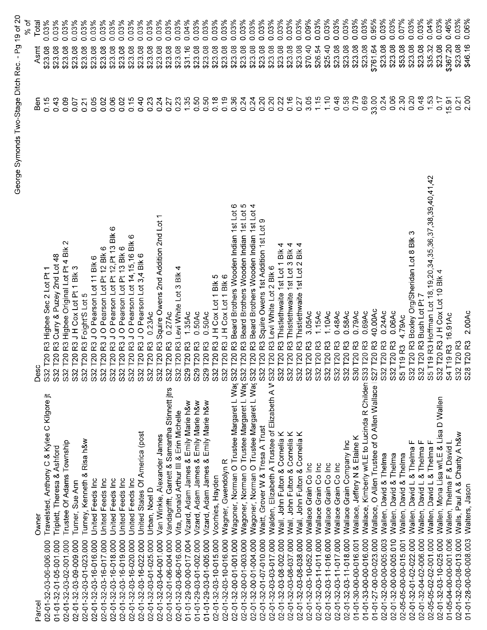| Š<br>$\ddot{\phantom{0}}$<br>q<br>1<br>τ<br>ĭ<br>c<br>$\mathbf{I}$<br>b<br>Q<br>f,<br>ï<br>١<br>j<br>İ |  |
|--------------------------------------------------------------------------------------------------------|--|
| ١<br>Ĭ<br>¢<br>Ì                                                                                       |  |

| Parcel                 | Owner                                                | Desc                                                                                          | nea   | Asmt     | Total |
|------------------------|------------------------------------------------------|-----------------------------------------------------------------------------------------------|-------|----------|-------|
| 02-01-32-03-06-006.000 | Travelsted, Anthony C & Kylee C Kilgore jt           | Highee Sec 2 Lot Pt 1<br>R3<br>S32 T20                                                        | 0.15  | \$23.08  | 0.03% |
| 01-01-32-01-05-001.000 | Triplett, Theresa & Ashford                          | R3 Curry & Puzey 2nd Lot 48<br>S32 T20                                                        | 0.43  | \$23.08  | 0.03% |
| 02-01-32-03-02-001.000 | Trustee Of Adams Township                            | $\sim$<br>R3 Higbee Original Lot Pt 4 Blk<br>S32 T20                                          | 0.09  | \$23.08  | 0.03% |
| 02-01-32-03-09-009.000 | Turner, Sue Ann                                      | R3 JH Cox Lot Pt 1 Blk 3<br>S32 T20                                                           | 0.07  | \$23.08  | 0.03% |
| 02-01-32-03-01-023.000 | Turney, Kenneth & Risa h&w                           | R3 Foight'S Lot 5<br><b>T20</b><br>532                                                        | 0.21  | \$23.08  | 0.03% |
| 02-01-32-03-16-016.000 | United Feeds Inc                                     | R3 J O Pearson Lot 11 Blk 6<br>T <sub>20</sub><br>S32                                         | 0.05  | \$23.08  | 0.03% |
| 02-01-32-03-16-017.000 | United Feeds Inc                                     | R3 J O Pearson Lot Pt 12 Blk 6<br>T <sub>20</sub><br>S32                                      | 0.02  | \$23.08  | 0.03% |
| 02-01-32-03-16-018.000 | United Feeds Inc                                     | ဖ<br>R3 J O Pearson Lot Pt 12, Pt 13 Blk<br>T20<br>S32                                        | 0.06  | \$23.08  | 0.03% |
| 02-01-32-03-16-019.000 | United Feeds Inc                                     | R3 J O Pearson Lot Pt 13 Blk 6<br>T <sub>20</sub><br>S <sub>2</sub>                           | 0.02  | \$23.08  | 0.03% |
| 02-01-32-03-16-020.000 | United Feeds Inc                                     | ဖ<br>R3 J O Pearson Lot 14,15,16 Blk<br>T20<br>$\overline{\text{S2}}$                         | 0.15  | \$23.08  | 0.03% |
| 02-01-32-03-16-022.000 | United States Of America (post                       | R3 J O Pearson Lot 3,4 Blk 6<br>T20<br>S32                                                    | 0.40  | \$23.08  | 0.03% |
| 02-01-32-03-01-025.000 | Urban, Noel D                                        | 0.23Ac<br>R3<br>T20<br>S32                                                                    | 0.23  | \$23.08  | 0.03% |
| 02-01-32-03-04-001.000 | Van Winkle, Alexander James                          | R3 Squire Owens 2nd Addition 2nd Lot<br>T <sub>20</sub><br>S32                                | 0.24  | \$23.08  | 0.03% |
| 02-01-32-01-06-004.000 | Vandagrifft, Garrett & Samantha Stinnett jtrs        | 0.27AC<br>R <sub>3</sub><br>T20<br>532                                                        | 0.27  | \$23.08  | 0.03% |
| 02-01-32-03-06-016.000 | Vita, Donald Arthur III & Erin Michelle              | R3 Levi White Lot 3 Blk<br>S32 T20                                                            | 0.23  | \$23.08  | 0.03% |
| 01-01-29-00-00-017.004 | Vizard, Adam James & Emily Marie h&w                 | 1.35AC<br>$\approx$<br>S29 T20                                                                | 1.35  | \$31.16  | 0.04% |
| 01-01-29-03-01-002.000 | Vizard, Adam James & Emily Marie h&w                 | 0.50Ac<br>R3<br>S29 T20                                                                       | 0.50  | \$23.08  | 0.03% |
| 01-01-29-03-01-005.000 | Vizard, Adam James & Emily Marie h&w                 | 0.50Ac<br>R3<br>T20<br>S29                                                                    | 0.50  | \$23.08  | 0.03% |
| 02-01-32-03-10-015.000 | Voorhies, Hayden                                     | R3JHCoxLot1Blk5<br>T20<br>S <sub>32</sub>                                                     | 0.18  | \$23.08  | 0.03% |
| 02-01-32-03-10-016.000 | Wagner, Gwendolyn R                                  | JHCoxLot1Blk6<br><b>T20R3</b><br>S32                                                          | 0.19  | \$23.08  | 0.03% |
| 02-01-32-00-01-001.000 |                                                      | ဖ<br>Wagoner, Norman O Trustee Margaret L Wa( S32 T20 R3 Beard Brothers Wooden Indian 1st Lot | 0.36  | \$23.08  | 0.03% |
| 02-01-32-00-01-003.000 | Wagoner, Norman O Trustee Margaret L Wax S32 T20     | R3 Beard Brothers Wooden Indian 1st Lot 5                                                     | 0.24  | \$23.08  | 0.03% |
| 02-01-32-00-01-004.000 | Wagoner, Norman O Trustee Margaret L Wa(S            | 4<br>Beard Brothers Wooden Indian 1st Lot<br>R3<br>32 T20                                     | 0.24  | \$23.08  | 0.03% |
| 02-01-32-01-07-010.000 | Waitt, Grover W & Tresa A Trust                      | Φ<br>Squire Owens 1st Addition 1st Lot<br>R3<br>T20<br>S32                                    | 0.20  | \$23.08  | 0.03% |
| 02-01-32-03-03-017.000 | Walden, Elizabeth A Trustee of Elizabeth A V S32     | R3 Levi White Lot 2 Blk 6<br>T <sub>20</sub>                                                  | 0.20  | \$23.08  | 0.03% |
| 02-01-32-03-08-002.000 | Wall, John Fulton & Cornelia K                       | 4<br>R3 Thistlethwaite 1st Lot 1 Blk<br>T20<br>S32                                            | 0.22  | \$23.08  | 0.03% |
| 02-01-32-03-08-037.000 | Wall, John Fulton & Cornelia K                       | R3 Thistlethwaite 1st Lot 3 Blk 4<br>S32 T20                                                  | 0.16  | \$23.08  | 0.03% |
| 02-01-32-03-08-038.000 | ⊻<br>Wall, John Fulton & Cornelia                    | 4<br>Bik<br>R3 Thistlethwaite 1st Lot 2<br>S32 T20                                            | 0.27  | \$23.08  | 0.03% |
| 02-01-32-03-10-052.000 | Wallace Grain Co Inc                                 | 3.05Ac<br>ဥ<br>S32 T20                                                                        | 3.05  | \$70.40  | 0.09% |
| 02-01-32-03-11-011.000 | Wallace Grain Co Inc                                 | 1.15AC<br>53<br>T20<br>\$32                                                                   | 1.15  | \$26.54  | 0.03% |
| 02-01-32-03-11-016.000 | Wallace Grain Co Inc                                 | 1.10Ac<br>$\mathbbm{R}^3$<br>$\overline{C}$<br>S32                                            | 1.10  | \$25.40  | 0.03% |
| 02-01-32-03-11-017.000 | Wallace Grain Co Inc                                 | 0.48Ac<br>R3<br>T20<br>S32                                                                    | 0.48  | \$23.08  | 0.03% |
| 02-01-32-03-11-018.000 | Wallace Grain Company Inc                            | 0.58Ac<br>53<br>T20<br>S32                                                                    | 0.58  | \$23.08  | 0.03% |
| 01-01-30-00-00-016.001 | Wallace, Jeffery N & Elaine K                        | 0.79AC<br>ဥ<br>S30 T20                                                                        | 0.79  | \$23.08  | 0.03% |
| 01-01-33-00-00-016.000 | Wallace, Kimberly w/LE to Lucinda R Childer: S33 T20 | 0.69Ac<br>ဥ                                                                                   | 0.69  | \$23.08  | 0.03% |
| 01-01-27-00-00-023.000 | Wallace, O Allen Trustee of O Allen Wallace          | 40.00Ac<br>53<br><b>T20</b><br>$\overline{27}$<br>Ø                                           | 33.00 | \$761.64 | 0.95% |
| 02-01-32-00-00-005.003 | Wallen, David & Thelma                               | 0.24Ac<br>T20 <sub>R3</sub><br>S32                                                            | 0.24  | \$23.08  | 0.03% |
| 02-01-32-00-00-005.010 | Wallen, David & Thelma                               | 0.06AC<br>S32 T20 R3                                                                          | 0.06  | \$23.08  | 0.03% |
| 02-05-05-00-00-015.001 | Wallen, David & Thelma                               | 4.79Ac<br>5T19R3                                                                              | 2.30  | \$53.08  | 0.07% |
| 02-01-32-01-02-022.000 | Wallen, David L & Thelma F                           | ო<br>S32 T20 R3 Boxley Org/Sheridan Lot 8 Blk                                                 | 0.20  | \$23.08  | 0.03% |
| 02-01-32-04-02-006.000 | Wallen, David L & Thelma F                           | S32 T20 R3 Bush Lot Pt 7                                                                      | 0.48  | \$23.08  | 0.03% |
| 02-05-05-02-02-001.000 | Wallen, David L & Thelma F                           | S5 T19 R3 Hoffman Lot 18,19,20,34,35,36,37,38,39,40,41,42                                     | 1.53  | \$35.32  | 0.04% |
| 02-01-32-03-10-025.000 | Wallen, Mona Lisa w/LE & Lisa D Wallen               | 332 T20 R3 J H Cox Lot 10 Blk 4                                                               | 0.17  | \$23.08  | 0.03% |
| 01-05-04-00-00-001.006 | Wallen, Thelma F & David L                           | 16.91Ac<br>34 T19 R3                                                                          | 15.91 | \$367.20 | 0.46% |
| 02-01-32-03-08-013.000 | Walls, Paul A & Charity A h&w                        | 32 T20 R3                                                                                     | 0.21  | \$23.08  | 0.03% |
| 01-01-28-00-00-008.003 | Walters, Jason                                       | 2.00Ac<br>S28 T20 R3                                                                          | 2.00  | \$46.16  | 0.06% |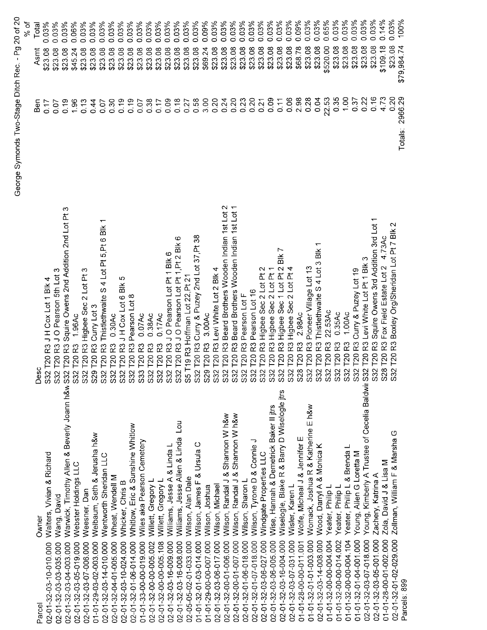| 100%<br>\$79,984.74 | Totals: 2966.29                                   |                                                                                     | Parcels: 899                                                               |
|---------------------|---------------------------------------------------|-------------------------------------------------------------------------------------|----------------------------------------------------------------------------|
| 0.03%<br>\$23.08    | 0.20                                              | Boxley Org/Sheridan Lot Pt 7 Blk 2<br>R3<br>T201<br>S32                             | Zollman, William F & Marsha G<br>02-01-32-01-02-029.000                    |
| 0.14%<br>\$109.18   | 473                                               | Fox Field Estate Lot 2 4.73Ac<br><b>T20 R3</b><br>$\infty$<br>S                     | Zola, David J & Lisa M<br>01-01-28-00-01-002.000                           |
| 0.03%<br>\$23.08    | 0.16                                              | Squire Owens 3rd Addition 3rd Lot<br>R3<br>T201<br>S32                              | Zachery, Katrina A<br>02-01-32-03-05-001.000                               |
| 0.03%<br>\$23.08    | 0.22                                              | T20 R3 Levi White Lot Pt 1 Blk 3                                                    | Young, Kimberly A Trustee of Cecelia Baldwii S32<br>02-01-32-03-07-018.000 |
| 0.03%<br>\$23.08    | 0.37                                              | R3 Curry & Puzey Lot 19<br>T20<br>S32                                               | Young, Allen G Loretta M<br>01-01-32-01-04-001.000                         |
| 0.03%<br>\$23.08    | 1.00                                              | 1.00Ac<br>R3<br>1201<br>S32                                                         | Yeater, Philip L & Brenda L<br>01-01-32-00-00-004.104                      |
| 0.03%<br>\$23.08    | 0.35                                              | 0.35Ac<br>R3<br>T20<br>S32                                                          | Yeater, Philip L<br>01-01-32-00-00-014.002                                 |
| 0.65%<br>\$520.00   | 22.53                                             | 22.53Ac<br>R3<br>T20<br>$\mathbf{\Omega}$<br>္တြ                                    | Yeater, Philip L<br>01-01-32-00-00-004.004                                 |
| 0.03%<br>\$23.08    | 0.04                                              | Thistlethwaite S 4 Lot 3 Blk<br>.<br>หั<br>120<br>$\sim$<br>ິສ ສ                    | Wood, Darryl A & Monica K<br>02-01-32-03-14-008.000                        |
| 0.03%<br>\$23.08    | 0.28                                              | Pioneer Village Lot 13<br>ဥ<br>T20<br>$\sim$                                        | Womack, Joshua R & Katherine E h&w<br>01-01-32-01-01-003 000               |
| 0.09%<br>\$68.78    | 2.98                                              | 2.98Ac<br>ဥ<br>T20<br>$\infty$<br>8                                                 | Wolfe, Micheal J & Jennifer E<br>01-01-28-00-00-011.001                    |
| 0.03%<br>\$23.08    | 0.06                                              | Higbee Sec 2 Lot Pt 4<br>က္<br>T201<br>္တ                                           | Wisler, Karen L<br>02-01-32-03-07-031.000                                  |
| 0.03%<br>\$23.08    | 0.11                                              | R3 Higbee Sec 1 Lot Pt 2 Blk 7<br>$\overline{120}$<br>$\mathbf{\Omega}$<br>်ကိ      | Wiselogle, Blake R & Barry D Wiselogle jtrs<br>02-01-32-03-16-004.000      |
| 0.03%<br>\$23.08    | 0.09                                              | Higbee Sec 2 Lot Pt 1<br>R3<br>T201<br>္တြ                                          | Wise, Hannah & Demetrick Baker II jtrs<br>02-01-32-03-06-005.000           |
| 0.03%<br>\$23.08    | 0.21                                              | R3 Higbee Sec 2 Lot Pt 2<br>1201<br>အိ                                              | Windgate Properties LLC<br>02-01-32-03-06-027.000                          |
| 0.03%<br>\$23.08    | 0.20                                              | Pearson Lot 16<br>R3<br>T201<br>$\sim$<br>$\ddot{\mathbb{S}}$                       | Wilson, Tyrone D & Connie J<br>02-01-32-01-07-018.000                      |
| 0.03%<br>\$23.08    | 0.23                                              | Pearson Lot F<br><b>T20R3</b><br>္တြ                                                | Wilson, Sharon L<br>02-01-32-01-06-018.000                                 |
| 0.03%<br>\$23.08    | 0.20                                              | Beard Brothers Wooden Indian 1st Lot<br><b>T20R3</b><br>S32<br>S32                  | Wilson, Randal J & Shannon W h&w<br>02-01-32-00-01-007 000                 |
| 0.03%<br>\$23.08    | 0.24                                              | $\sim$<br>T20 R3 Beard Brothers Wooden Indian 1st Lot                               | Wilson, Randal J & Shannon W h&w<br>02-01-32-00-01-006.000                 |
| 0.03%<br>\$23.08    | 0.20                                              | S32 T20 R3 Levi White Lot 2 Blk 4                                                   | Wilson, Michael<br>02-01-32-03-06-017.000                                  |
| 0.09%<br>\$69.24    | 3.00                                              | 3.00Ac<br>9 T20 R3<br>Š                                                             | Wilson, Joshua<br>01-01-29-00-00-007.000                                   |
| 0.03%<br>\$23.08    | 0.58                                              | S32 T20 R3 Curry & Puzey 2nd Lot 37, Pt 38                                          | & Ursula C<br>Wilson, James F<br>01-01-32-01-03-014.000                    |
| 0.03%<br>\$23.08    | 0.27                                              | T19 R3 Hoffman Lot 22, Pt 2<br>$S\bar{S}$                                           | Wilson, Alan Dale<br>02-05-05-02-01-033.000                                |
| 0.03%<br>\$23.08    | 0.18                                              | ဖ<br>S32 T20 R3 J O Pearson Lot Pt 1, Pt 2 Blk                                      | $\vec{p}$<br>Williams, Jesse Allen & Linda<br>02-01-32-03-16-008.000       |
| 0.03%<br>\$23.08    | 0.09                                              | T20 R3 J O Pearson Lot Pt 1 Blk 6<br>S32                                            | Williams, Jesse A & Linda L<br>02-01-32-03-16-009.000                      |
| 0.03%<br>\$23.08    | 0.17                                              | 0.17AC<br>T20 <sub>R3</sub><br>S3                                                   | Willett, Gregory L<br>02-01-32-00-00-005.108                               |
| 0.03%<br>\$23.08    | 0.38                                              | 0.38AC<br><b>T20 R3</b><br>$\overline{\widetilde{\mathcal{S}}}$                     | Willett, Gregory L<br>02-01-32-00-00-005.002                               |
| 0.03%<br>\$23.08    | 0.07                                              | 0.07Ac<br><b>T20 R3</b><br>တိ                                                       | Wiles aka Pearson Cemetery<br>01-01-33-00-00-019.000                       |
| 0.03%<br>\$23.08    | 0.19                                              | T20 R3 Pearson Lot 8<br>S32                                                         | Whitlow, Eric & Sunshine Whitlow<br>02-01-32-01-06-014.000                 |
| 0.03%<br>\$23.08    | 0.19                                              | Ю<br>Bik<br>T20 R3 J H Cox Lot 6<br>$\ddot{\rm s}$                                  | Whicker, Chris B<br>02-01-32-03-10-024.000                                 |
| 0.03%<br>\$23.08    | 0.30                                              | 0.30AC<br>R3<br>T201<br>š                                                           | Wheat, Wendell M<br>02-01-32-04-01-005.000                                 |
| 0.03%<br>\$23.08    | 0.07                                              | ᡪ<br>R3 Thistlethwaite S 4 Lot Pt 5, Pt 6 Blk<br>$\overline{120}$<br>$\ddot{\rm s}$ | Wentworth Sheridan LLC<br>02-01-32-03-14-010.000                           |
| 0.03%<br>\$23.08    | 0.44                                              | S29 T20 R3 Curry Lot 3                                                              | Welbaum, Seth & Jerusha h&w<br>01-01-29-03-02-003.000                      |
| 0.03%<br>\$23.08    | 0.13                                              | ∾<br>T20 R3 Higbee Sec 2 Lot Pt<br>532                                              | Weesner, Dan<br>02-01-32-03-07-006.000                                     |
| 0.06%<br>\$45.24    | 1.96                                              | 1.96Ac<br><b>T20 R3</b><br><b>S32</b>                                               | Webster Holdings LLC<br>02-01-32-03-05-019.000                             |
| 0.03%<br>\$23.08    | 0.19                                              | R3 Squire Owens 2nd Addition 2nd Lot Pt 3<br>T <sub>20</sub>                        | Warwick, Timothy Allen & Beverly Joann h&w S32<br>02-01-32-03-04-003.000   |
| 0.03%<br>\$23.08    | 0.07                                              | T20 R3 J O Pearson 5th Lot 3<br>$\overline{\text{S}}$                               | Wang, David<br>02-01-32-03-03-035.000                                      |
| 0.03%<br>\$23.08    | 0.17                                              | T20 R3 J H Cox Lot 1 Blk 4<br>S <sub>32</sub>                                       | Walters, Vivian & Richard<br>02-01-32-03-10-010.000                        |
| Total<br>Asmt       | Ben                                               | Desc                                                                                | Owner<br>Parcel                                                            |
| % of                |                                                   |                                                                                     |                                                                            |
|                     | George Symonds Two-Stage Ditch Rec. - Pg 20 of 20 |                                                                                     |                                                                            |
|                     |                                                   |                                                                                     |                                                                            |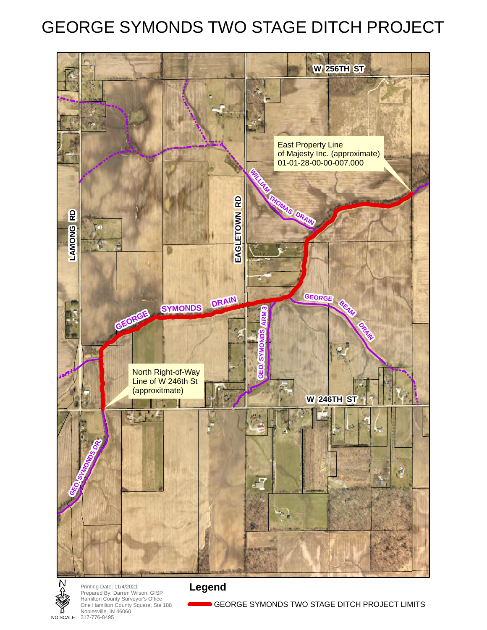# GEORGE SYMONDS TWO STAGE DITCH PROJECT





**N**<br>
Printing Date: 11/4/2021<br>
Prepared By: Darren Wi<br>
Hamilton County Survey<br>
One Hamilton County So<br>
Noblesville, IN 46060<br> **PRODERED 317-776-8495** Prepared By: Darren Wilson, GISP Hamilton County Surveyor's Office One Hamilton County Square, Ste 188 Noblesville, IN 46060 NO SCALE 317-776-8495